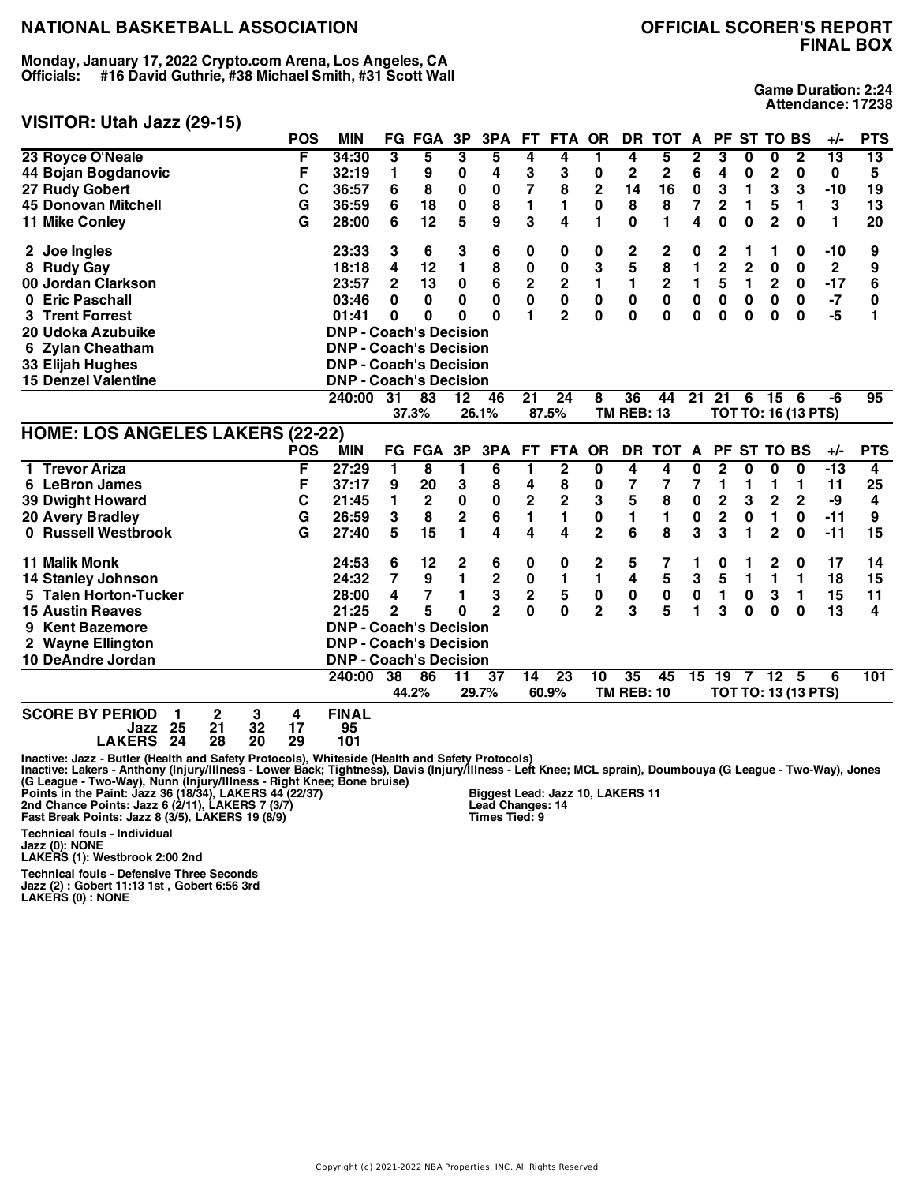**Monday, January 17, 2022 Crypto.com Arena, Los Angeles, CA Officials: #16 David Guthrie, #38 Michael Smith, #31 Scott Wall**

# **FINAL BOX**

**Game Duration: 2:24 Attendance: 17238**

## **VISITOR: Utah Jazz (29-15)**

|                                                                | <b>POS</b>         | <b>MIN</b>                    | FG.             | FGA             | 3P              | 3PA             |                         | FT FTA OR       |                | DR                | <b>TOT</b>     | A            |                         |              | PF ST TO BS     |                            | $+/-$           | <b>PTS</b> |
|----------------------------------------------------------------|--------------------|-------------------------------|-----------------|-----------------|-----------------|-----------------|-------------------------|-----------------|----------------|-------------------|----------------|--------------|-------------------------|--------------|-----------------|----------------------------|-----------------|------------|
| 23 Royce O'Neale                                               | F                  | 34:30                         | 3               | 5               | 3               | 5               | 4                       | 4               | 1              | 4                 | 5              | 2            | 3                       | 0            | 0               | $\mathbf{2}$               | $\overline{13}$ | 13         |
| 44 Bojan Bogdanovic                                            | F                  | 32:19                         | 1               | 9               | 0               | 4               | 3                       | 3               | 0              | 2                 | 2              | 6            | 4                       | 0            | $\overline{2}$  | 0                          | 0               | 5          |
| 27 Rudy Gobert                                                 | C                  | 36:57                         | 6               | 8               | 0               | 0               | $\overline{7}$          | 8               | $\mathbf 2$    | 14                | 16             | 0            | 3                       | 1            | 3               | 3                          | $-10$           | 19         |
| <b>45 Donovan Mitchell</b>                                     | G                  | 36:59                         | 6               | 18              | $\pmb{0}$       | 8               | $\blacksquare$          | 1               | 0              | 8                 | 8              | 7            | $\overline{\mathbf{c}}$ | 1            | 5               | 1                          | 3               | 13         |
| 11 Mike Conley                                                 | G                  | 28:00                         | 6               | 12              | 5               | 9               | 3                       | 4               | 1              | 0                 | 1              | 4            | $\mathbf{0}$            | $\bf{0}$     | $\overline{2}$  | $\bf{0}$                   | 1               | 20         |
| 2 Joe Ingles                                                   |                    | 23:33                         | 3               | 6               | 3               | 6               | 0                       | 0               | 0              | 2                 | 2              | 0            | 2                       | 1            | 1               | 0                          | -10             | 9          |
| 8 Rudy Gay                                                     |                    | 18:18                         | 4               | 12              | 1               | 8               | 0                       | 0               | 3              | 5                 | 8              | 1            | $\overline{2}$          | $\mathbf{2}$ | $\bf{0}$        | $\bf{0}$                   | $\mathbf 2$     | 9          |
| 00 Jordan Clarkson                                             |                    | 23:57                         | $\overline{2}$  | 13              | $\mathbf 0$     | 6               | $\mathbf 2$             | $\mathbf 2$     | 1              | 1                 | $\mathbf 2$    | 1            | 5                       | 1            | $\mathbf 2$     | 0                          | $-17$           | 6          |
| 0 Eric Paschall                                                |                    | 03:46                         | 0               | 0               | $\mathbf{0}$    | $\bf{0}$        | $\mathbf 0$             | $\mathbf 0$     | 0              | 0                 | $\bf{0}$       | 0            | $\mathbf 0$             | $\bf{0}$     | $\bf{0}$        | 0                          | $-7$            | 0          |
| <b>Trent Forrest</b>                                           |                    | 01:41                         | 0               | 0               | 0               | $\bf{0}$        | 1                       | $\overline{2}$  | 0              | 0                 | $\bf{0}$       | $\mathbf{0}$ | $\bf{0}$                | 0            | $\bf{0}$        | 0                          | $-5$            | 1          |
| 20 Udoka Azubuike                                              |                    | <b>DNP - Coach's Decision</b> |                 |                 |                 |                 |                         |                 |                |                   |                |              |                         |              |                 |                            |                 |            |
| 6 Zylan Cheatham                                               |                    | <b>DNP - Coach's Decision</b> |                 |                 |                 |                 |                         |                 |                |                   |                |              |                         |              |                 |                            |                 |            |
| 33 Elijah Hughes                                               |                    | <b>DNP - Coach's Decision</b> |                 |                 |                 |                 |                         |                 |                |                   |                |              |                         |              |                 |                            |                 |            |
| <b>15 Denzel Valentine</b>                                     |                    | <b>DNP - Coach's Decision</b> |                 |                 |                 |                 |                         |                 |                |                   |                |              |                         |              |                 |                            |                 |            |
|                                                                |                    | 240:00                        | 31              | $\overline{83}$ | $\overline{12}$ | 46              | $\overline{21}$         | $\overline{24}$ | 8              | $\overline{36}$   | 44             | 21           | $\overline{21}$         | 6            | $\overline{15}$ | - 6                        | -6              | 95         |
|                                                                |                    |                               |                 | 37.3%           |                 | 26.1%           |                         | 87.5%           |                | <b>TM REB: 13</b> |                |              |                         |              |                 | <b>TOT TO: 16 (13 PTS)</b> |                 |            |
| <b>HOME: LOS ANGELES LAKERS (22-22)</b>                        |                    |                               |                 |                 |                 |                 |                         |                 |                |                   |                |              |                         |              |                 |                            |                 |            |
|                                                                | <b>POS</b>         | <b>MIN</b>                    |                 | <b>FG FGA</b>   | 3P              | 3PA             | <b>FT</b>               | <b>FTA</b>      | <b>OR</b>      | <b>DR</b>         | <b>TOT</b>     | A            | <b>PF</b>               | <b>ST</b>    | <b>TO BS</b>    |                            | $+/-$           | <b>PTS</b> |
| 1 Trevor Ariza                                                 | F                  | 27:29                         | 1               | 8               | 1               | 6               | 1                       | $\mathbf 2$     | 0              | 4                 | 4              | 0            | $\overline{\mathbf{2}}$ | 0            | 0               | 0                          | $-13$           | 4          |
| 6 LeBron James                                                 | F                  | 37:17                         | 9               | 20              | 3               | 8               | 4                       | 8               | 0              | 7                 | 7              | 7            | 1                       | 1            | 1               | $\mathbf{1}$               | 11              | 25         |
| <b>39 Dwight Howard</b>                                        | C                  | 21:45                         | 1               | $\mathbf 2$     | $\bf{0}$        | $\mathbf 0$     | $\overline{\mathbf{c}}$ | $\overline{2}$  | 3              | 5                 | 8              | 0            | $\overline{2}$          | 3            | $\overline{c}$  | $\overline{2}$             | -9              | 4          |
| 20 Avery Bradley                                               | G                  | 26:59                         | 3               | 8               | 2               | $6\phantom{1}6$ | $\blacksquare$          | 1               | $\bf{0}$       | 1                 | $\blacksquare$ | $\pmb{0}$    | $\overline{\mathbf{c}}$ | $\bf{0}$     | 1               | 0                          | $-11$           | 9          |
| 0 Russell Westbrook                                            | G                  | 27:40                         | 5               | 15              | 1               | 4               | 4                       | 4               | $\overline{2}$ | 6                 | 8              | 3            | 3                       | 1            | $\overline{2}$  | $\bf{0}$                   | $-11$           | 15         |
| <b>11 Malik Monk</b>                                           |                    | 24:53                         | 6               | 12              | 2               | 6               | 0                       | 0               | 2              | 5                 | 7              |              | 0                       |              | 2               | 0                          | 17              | 14         |
| <b>14 Stanley Johnson</b>                                      |                    | 24:32                         | 7               | 9               | $\mathbf{1}$    | $\mathbf 2$     | 0                       | 1               | $\blacksquare$ | 4                 | 5              | 3            | 5                       | $\mathbf{1}$ | $\blacksquare$  | $\mathbf{1}$               | 18              | 15         |
| 5 Talen Horton-Tucker                                          |                    | 28:00                         | 4               | $\overline{7}$  | 1               | 3               | $\mathbf 2$             | 5               | $\pmb{0}$      | $\pmb{0}$         | $\pmb{0}$      | $\pmb{0}$    | 1                       | $\bf{0}$     | 3               | 1                          | 15              | 11         |
| <b>15 Austin Reaves</b>                                        |                    | 21:25                         | $\overline{2}$  | 5               | $\bf{0}$        | $\overline{2}$  | $\mathbf{0}$            | $\mathbf 0$     | $\overline{2}$ | 3                 | 5              | 1            | 3                       | $\bf{0}$     | $\bf{0}$        | $\bf{0}$                   | 13              | 4          |
| <b>Kent Bazemore</b><br>9                                      |                    | <b>DNP - Coach's Decision</b> |                 |                 |                 |                 |                         |                 |                |                   |                |              |                         |              |                 |                            |                 |            |
| 2 Wayne Ellington                                              |                    | <b>DNP - Coach's Decision</b> |                 |                 |                 |                 |                         |                 |                |                   |                |              |                         |              |                 |                            |                 |            |
| 10 DeAndre Jordan                                              |                    | <b>DNP - Coach's Decision</b> |                 |                 |                 |                 |                         |                 |                |                   |                |              |                         |              |                 |                            |                 |            |
|                                                                |                    | 240:00                        | $\overline{38}$ | 86              | 11              | $\overline{37}$ | $\overline{14}$         | 23              | 10             | 35                | 45             |              | $15 \t19$               |              | 7 12 5          |                            | 6               | 101        |
|                                                                |                    |                               |                 | 44.2%           |                 | 29.7%           |                         | 60.9%           |                | <b>TM REB: 10</b> |                |              |                         |              |                 | TOT TO: 13 (13 PTS)        |                 |            |
| <b>SCORE BY PERIOD</b><br>$\mathbf 2$<br>1<br>ク斥<br>21<br>1277 | 3<br>4<br>っっ<br>17 | <b>FINAL</b><br>ᅂ             |                 |                 |                 |                 |                         |                 |                |                   |                |              |                         |              |                 |                            |                 |            |

**Jazz 25 21 32 17 95 LAKERS 24 28 20 29 101**

Inactive: Jazz - Butler (Health and Safety Protocols), Whiteside (Health and Safety Protocols)<br>Inactive: Lakers - Anthony (Injury/Illness - Lower Back; Tightness), Davis (Injury/Illness - Left Knee; MCL sprain), Doumbouya

**Technical fouls - Individual**

**Jazz (0): NONE LAKERS (1): Westbrook 2:00 2nd**

Technical fouls - Defensive Three Seconds<br>Jazz (2) : Gobert 11:13 1st , Gobert 6:56 3rd<br>LAKERS (0) : NONE

**Biggest Lead: Jazz 10, LAKERS 11 Lead Changes: 14 Times Tied: 9**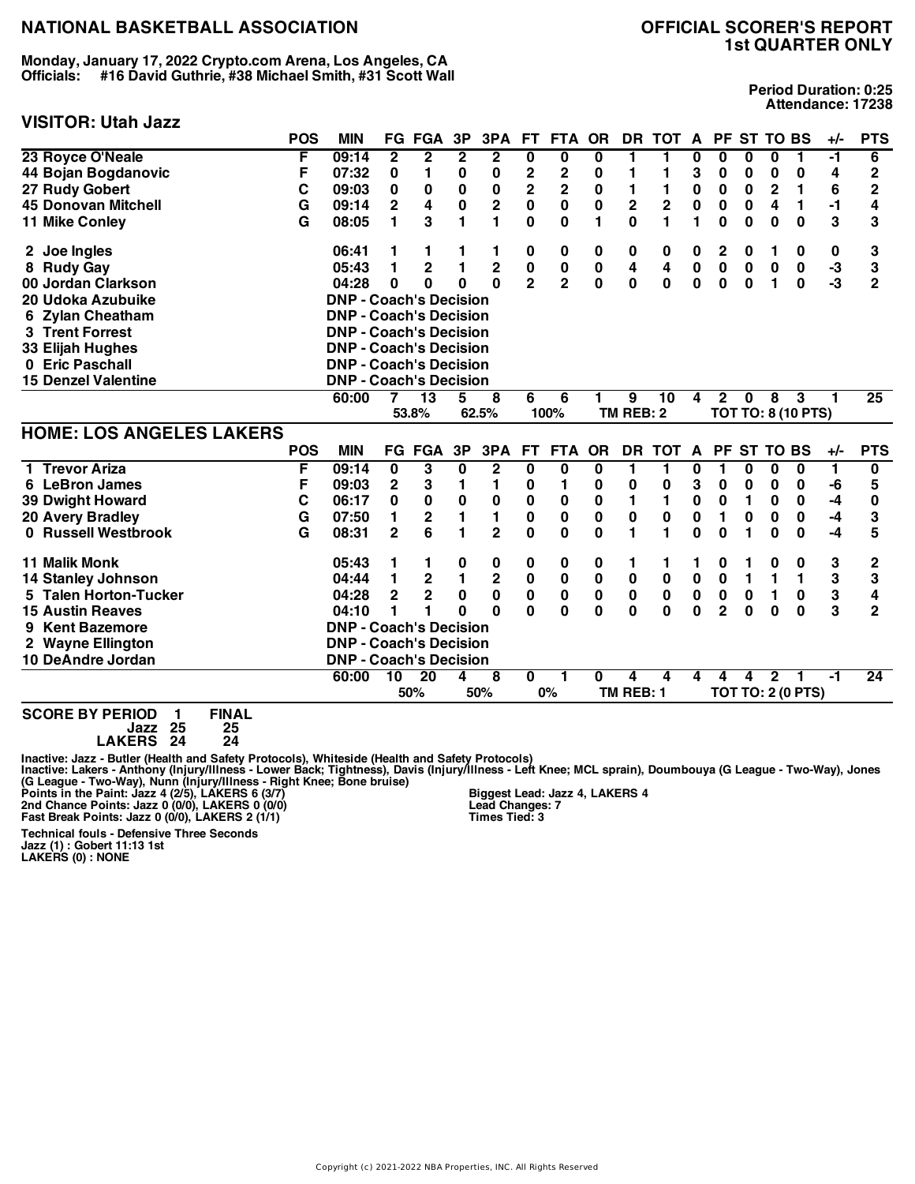**Monday, January 17, 2022 Crypto.com Arena, Los Angeles, CA Officials: #16 David Guthrie, #38 Michael Smith, #31 Scott Wall**

#### **VISITOR: Utah Jazz**

**Period Duration: 0:25 Attendance: 17238**

|                                                   | <b>POS</b> | <b>MIN</b>                    |                         | <b>FG FGA</b>   | 3P             | 3PA                     | <b>FT</b>               | <b>FTA</b>              | <b>OR</b>               |             | DR TOT A                |              |                |           | PF ST TO BS    |                           | +/-   | <b>PTS</b>              |
|---------------------------------------------------|------------|-------------------------------|-------------------------|-----------------|----------------|-------------------------|-------------------------|-------------------------|-------------------------|-------------|-------------------------|--------------|----------------|-----------|----------------|---------------------------|-------|-------------------------|
| 23 Royce O'Neale                                  | F          | 09:14                         | $\overline{\mathbf{2}}$ | $\overline{2}$  | $\overline{2}$ | $\overline{2}$          | 0                       | $\overline{\mathbf{0}}$ | $\overline{\mathbf{0}}$ | 1           | 1                       | 0            | 0              | 0         | 0              | 1                         | -1    | 6                       |
| 44 Bojan Bogdanovic                               | F          | 07:32                         | 0                       | 1               | $\pmb{0}$      | $\bf{0}$                | 2                       | 2                       | $\bf{0}$                | 1           | 1                       | 3            | 0              | 0         | 0              | 0                         | 4     | $\overline{c}$          |
| 27 Rudy Gobert                                    | C          | 09:03                         | 0                       | 0               | 0              | 0                       | $\overline{\mathbf{2}}$ | $\overline{\mathbf{c}}$ | 0                       | 1           | 1                       | 0            | 0              | 0         | $\overline{2}$ | 1                         | 6     | $\overline{c}$          |
| <b>45 Donovan Mitchell</b>                        | G          | 09:14                         | 2                       | 4               | $\pmb{0}$      | $\mathbf 2$             | 0                       | $\mathbf 0$             | $\bf{0}$                | $\mathbf 2$ | $\overline{\mathbf{c}}$ | $\pmb{0}$    | 0              | 0         | 4              | $\mathbf{1}$              | -1    | 4                       |
| 11 Mike Conley                                    | G          | 08:05                         | 1                       | 3               | 1              | $\blacksquare$          | $\mathbf{0}$            | $\mathbf 0$             | 1                       | 0           | 1                       | 1            | $\mathbf 0$    | $\bf{0}$  | $\bf{0}$       | $\bf{0}$                  | 3     | 3                       |
| 2 Joe Ingles                                      |            | 06:41                         | 1                       | 1               |                | 1                       | 0                       | 0                       | 0                       | 0           | 0                       | 0            | 2              | 0         | 1              | 0                         | 0     | 3                       |
| 8 Rudy Gay                                        |            | 05:43                         | 1                       | $\overline{2}$  | 1              | $\overline{2}$          | 0                       | 0                       | $\bf{0}$                | 4           | 4                       | $\mathbf 0$  | $\mathbf 0$    | $\bf{0}$  | $\bf{0}$       | 0                         | $-3$  | 3                       |
| 00 Jordan Clarkson                                |            | 04:28                         | 0                       | 0               | $\Omega$       | $\mathbf{0}$            | $\overline{2}$          | $\overline{2}$          | $\mathbf 0$             | 0           | $\bf{0}$                | $\bf{0}$     | 0              | $\bf{0}$  | 1              | $\mathbf 0$               | $-3$  | $\overline{2}$          |
| 20 Udoka Azubuike                                 |            | <b>DNP - Coach's Decision</b> |                         |                 |                |                         |                         |                         |                         |             |                         |              |                |           |                |                           |       |                         |
| <b>Zylan Cheatham</b>                             |            | <b>DNP - Coach's Decision</b> |                         |                 |                |                         |                         |                         |                         |             |                         |              |                |           |                |                           |       |                         |
| 3 Trent Forrest                                   |            | <b>DNP - Coach's Decision</b> |                         |                 |                |                         |                         |                         |                         |             |                         |              |                |           |                |                           |       |                         |
| 33 Elijah Hughes                                  |            | <b>DNP - Coach's Decision</b> |                         |                 |                |                         |                         |                         |                         |             |                         |              |                |           |                |                           |       |                         |
| 0 Eric Paschall                                   |            | <b>DNP - Coach's Decision</b> |                         |                 |                |                         |                         |                         |                         |             |                         |              |                |           |                |                           |       |                         |
| <b>15 Denzel Valentine</b>                        |            | <b>DNP - Coach's Decision</b> |                         |                 |                |                         |                         |                         |                         |             |                         |              |                |           |                |                           |       |                         |
|                                                   |            | 60:00                         |                         | $\overline{13}$ | 5              | 8                       | 6                       | 6                       |                         | 9           | 10                      | 4            | 2              | $\bf{0}$  | 8              | 3                         |       | 25                      |
|                                                   |            |                               |                         | 53.8%           |                | 62.5%                   |                         | 100%                    |                         | TM REB: 2   |                         |              |                |           |                | <b>TOT TO: 8 (10 PTS)</b> |       |                         |
| <b>HOME: LOS ANGELES LAKERS</b>                   |            |                               |                         |                 |                |                         |                         |                         |                         |             |                         |              |                |           |                |                           |       |                         |
|                                                   | <b>POS</b> | <b>MIN</b>                    |                         | <b>FG FGA</b>   | 3P             | 3PA                     | <b>FT</b>               | <b>FTA</b>              | <b>OR</b>               | <b>DR</b>   | <b>TOT</b>              | $\mathbf{A}$ | <b>PF</b>      | <b>ST</b> | <b>TO BS</b>   |                           | $+/-$ | <b>PTS</b>              |
| 1 Trevor Ariza                                    | F          | 09:14                         | $\bf{0}$                | 3               | 0              | $\mathbf{2}$            | 0                       | 0                       | 0                       | 1           | 1                       | 0            | 1              | 0         | 0              | 0                         | 1     | $\overline{\mathbf{0}}$ |
| 6 LeBron James                                    | F          | 09:03                         | $\mathbf{2}$            | 3               | 1              | 1                       | 0                       | 1                       | 0                       | 0           | 0                       | 3            | 0              | 0         | 0              | 0                         | -6    | 5                       |
| <b>39 Dwight Howard</b>                           | С          | 06:17                         | 0                       | $\mathbf 0$     | $\pmb{0}$      | 0                       | 0                       | 0                       | 0                       | 1           | 1                       | 0            | 0              | 1         | 0              | 0                         | -4    | 0                       |
| <b>20 Avery Bradley</b>                           | G          | 07:50                         | 1                       | $\mathbf 2$     | 1              | 1                       | 0                       | 0                       | 0                       | 0           | $\bf{0}$                | 0            | 1              | $\bf{0}$  | 0              | 0                         | -4    | 3                       |
| 0 Russell Westbrook                               | G          | 08:31                         | $\overline{2}$          | 6               | 1              | $\overline{\mathbf{2}}$ | 0                       | 0                       | 0                       | 1           | 1                       | $\bf{0}$     | 0              | 1         | $\bf{0}$       | $\bf{0}$                  | $-4$  | 5                       |
| 11 Malik Monk                                     |            | 05:43                         | 1                       |                 | 0              | 0                       | 0                       | 0                       | 0                       | 1           | 1                       |              | 0              |           | 0              | 0                         | 3     | 2                       |
| <b>14 Stanley Johnson</b>                         |            | 04:44                         | 1                       | $\mathbf 2$     | $\mathbf{1}$   | $\mathbf 2$             | 0                       | $\pmb{0}$               | 0                       | $\pmb{0}$   | $\pmb{0}$               | $\pmb{0}$    | $\bf{0}$       | 1         | 1              | 1                         | 3     | 3                       |
| 5 Talen Horton-Tucker                             |            | 04:28                         | $\mathbf{2}$            | $\mathbf 2$     | $\pmb{0}$      | 0                       | 0                       | $\pmb{0}$               | 0                       | $\pmb{0}$   | $\pmb{0}$               | $\mathbf 0$  | $\bf{0}$       | 0         | 1              | 0                         | 3     | 4                       |
| <b>15 Austin Reaves</b>                           |            | 04:10                         | 1                       | 1               | O              | $\bf{0}$                | 0                       | 0                       | 0                       | $\bf{0}$    | $\bf{0}$                | $\bf{0}$     | $\overline{2}$ | $\bf{0}$  | $\bf{0}$       | $\bf{0}$                  | 3     | $\mathbf{2}$            |
| 9 Kent Bazemore                                   |            | <b>DNP - Coach's Decision</b> |                         |                 |                |                         |                         |                         |                         |             |                         |              |                |           |                |                           |       |                         |
| 2 Wayne Ellington                                 |            | <b>DNP - Coach's Decision</b> |                         |                 |                |                         |                         |                         |                         |             |                         |              |                |           |                |                           |       |                         |
| 10 DeAndre Jordan                                 |            | <b>DNP - Coach's Decision</b> |                         |                 |                |                         |                         |                         |                         |             |                         |              |                |           |                |                           |       |                         |
|                                                   |            | 60:00                         | 10                      | $\overline{20}$ | 4              | 8                       | 0                       |                         | 0                       | 4           | Δ                       | 4            | 4              | 4         | $\mathbf{2}$   |                           | -1    | $\overline{24}$         |
|                                                   |            |                               |                         | 50%             |                | 50%                     |                         | 0%                      |                         | TM REB: 1   |                         |              |                |           |                | <b>TOT TO: 2 (0 PTS)</b>  |       |                         |
| COODE DV DEDIAN<br><b>CINAL</b><br>$\blacksquare$ |            |                               |                         |                 |                |                         |                         |                         |                         |             |                         |              |                |           |                |                           |       |                         |

**SCORE BY PERIOD 1 FINAL Jazz 25 25 LAKERS 24 24**

Inactive: Jazz - Butler (Health and Safety Protocols), Whiteside (Health and Safety Protocols)<br>Inactive: Lakers - Anthony (Injury/Illness - Lower Back; Tightness), Davis (Injury/Illness - Left Knee; MCL sprain), Doumbouya

**Biggest Lead: Jazz 4, LAKERS 4 Lead Changes: 7 Times Tied: 3**

**Technical fouls - Defensive Three Seconds Jazz (1) : Gobert 11:13 1st LAKERS (0) : NONE**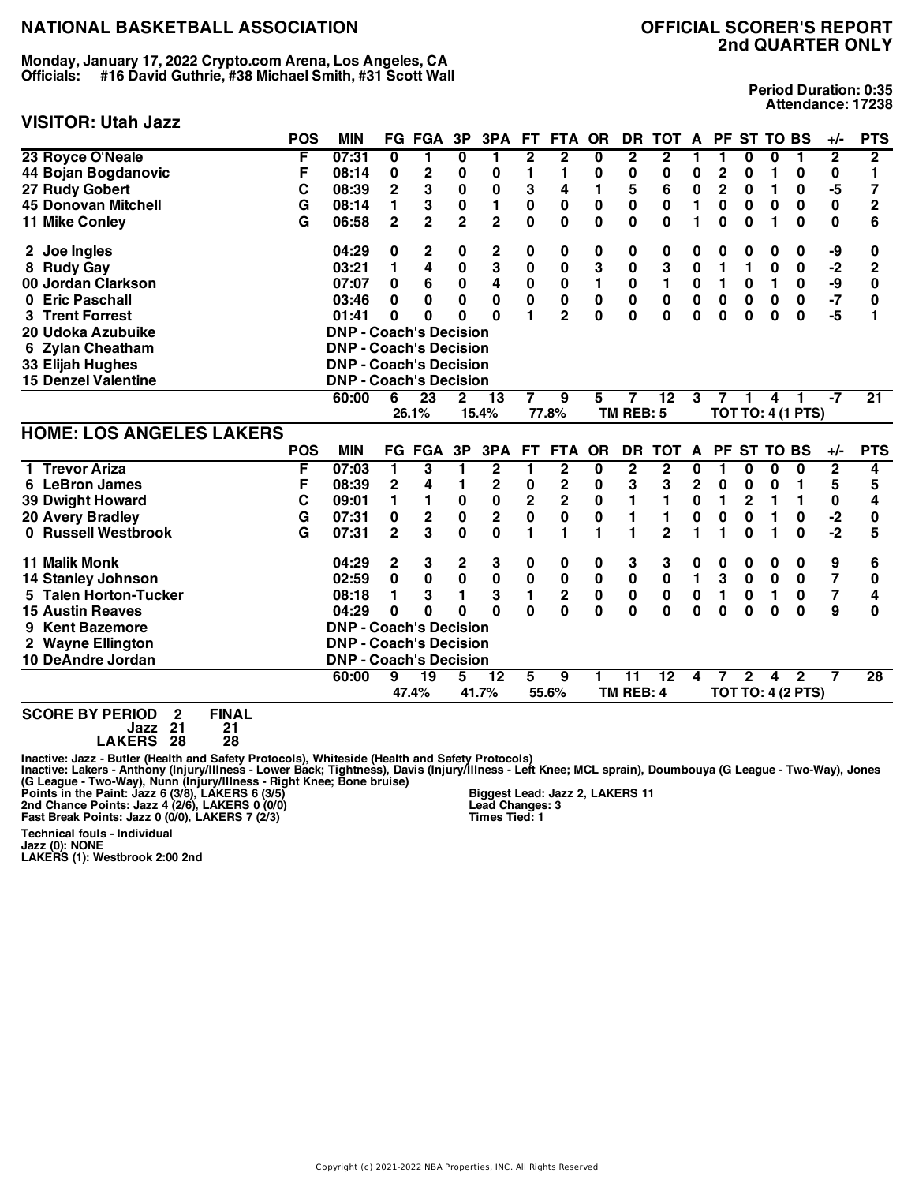**Monday, January 17, 2022 Crypto.com Arena, Los Angeles, CA Officials: #16 David Guthrie, #38 Michael Smith, #31 Scott Wall**

#### **VISITOR: Utah Jazz**

**Period Duration: 0:35 Attendance: 17238**

|                                 | <b>POS</b> | <b>MIN</b>                    |                         | <b>FG FGA</b>           | 3P             | 3PA                     | FT.                     | <b>FTA</b>              | <b>OR</b>    | <b>DR</b>               | <b>TOT</b>      | A              |                | PF ST TO BS    |              |                          | $+/-$                   | <b>PTS</b>      |
|---------------------------------|------------|-------------------------------|-------------------------|-------------------------|----------------|-------------------------|-------------------------|-------------------------|--------------|-------------------------|-----------------|----------------|----------------|----------------|--------------|--------------------------|-------------------------|-----------------|
| 23 Royce O'Neale                | F          | 07:31                         | $\overline{\mathbf{0}}$ | 1                       | 0              | 1                       | $\overline{2}$          | $\overline{2}$          | 0            | $\overline{\mathbf{2}}$ | $\mathbf{2}$    | 1              | 1              | 0              | 0            | 1                        | $\overline{2}$          | $\overline{2}$  |
| 44 Bojan Bogdanovic             | F          | 08:14                         | 0                       | $\mathbf 2$             | $\bf{0}$       | 0                       | 1                       | 1                       | 0            | $\pmb{0}$               | $\bf{0}$        | 0              | 2              | 0              | 1            | 0                        | 0                       | 1               |
| 27 Rudy Gobert                  | C          | 08:39                         | $\overline{2}$          | 3                       | $\bf{0}$       | $\bf{0}$                | 3                       | 4                       | 1            | 5                       | 6               | $\mathbf 0$    | $\overline{2}$ | 0              | 1            | 0                        | $-5$                    | 7               |
| <b>45 Donovan Mitchell</b>      | G          | 08:14                         | 1                       | 3                       | $\bf{0}$       | 1                       | $\pmb{0}$               | $\pmb{0}$               | $\mathbf 0$  | $\mathbf 0$             | $\bf{0}$        | 1              | 0              | $\bf{0}$       | 0            | 0                        | $\mathbf 0$             | $\overline{2}$  |
| 11 Mike Conley                  | G          | 06:58                         | $\overline{2}$          | $\overline{2}$          | $\overline{2}$ | $\overline{2}$          | $\mathbf 0$             | $\mathbf 0$             | $\mathbf{0}$ | $\mathbf 0$             | $\bf{0}$        | 1              | 0              | $\bf{0}$       | 1            | $\mathbf 0$              | $\mathbf 0$             | 6               |
| 2 Joe Ingles                    |            | 04:29                         | 0                       | 2                       | 0              | $\mathbf 2$             | 0                       | 0                       | 0            | 0                       | 0               | 0              | 0              | 0              | 0            | 0                        | -9                      | 0               |
| 8 Rudy Gay                      |            | 03:21                         | 1                       | $\overline{\mathbf{4}}$ | $\bf{0}$       | 3                       | $\mathbf 0$             | $\mathbf 0$             | 3            | $\mathbf 0$             | 3               | $\mathbf 0$    | 1              | 1              | 0            | $\mathbf 0$              | $-2$                    | $\overline{2}$  |
| 00 Jordan Clarkson              |            | 07:07                         | 0                       | 6                       | $\mathbf 0$    | 4                       | $\mathbf 0$             | $\bf{0}$                | 1            | $\pmb{0}$               | $\blacksquare$  | $\mathbf 0$    | 1              | 0              | 1            | $\mathbf 0$              | -9                      | 0               |
| <b>Eric Paschall</b><br>0       |            | 03:46                         | 0                       | $\bf{0}$                | 0              | $\bf{0}$                | $\mathbf 0$             | $\bf{0}$                | 0            | $\pmb{0}$               | $\bf{0}$        | $\pmb{0}$      | 0              | 0              | $\bf{0}$     | 0                        | $-7$                    | 0               |
| <b>Trent Forrest</b>            |            | 01:41                         | 0                       | 0                       | 0              | $\bf{0}$                | 1                       | $\overline{2}$          | $\mathbf 0$  | 0                       | $\bf{0}$        | 0              | $\bf{0}$       | $\bf{0}$       | $\bf{0}$     | $\mathbf 0$              | $-5$                    | 1               |
| 20 Udoka Azubuike               |            | <b>DNP - Coach's Decision</b> |                         |                         |                |                         |                         |                         |              |                         |                 |                |                |                |              |                          |                         |                 |
| 6 Zylan Cheatham                |            | <b>DNP - Coach's Decision</b> |                         |                         |                |                         |                         |                         |              |                         |                 |                |                |                |              |                          |                         |                 |
| 33 Elijah Hughes                |            | <b>DNP - Coach's Decision</b> |                         |                         |                |                         |                         |                         |              |                         |                 |                |                |                |              |                          |                         |                 |
| <b>15 Denzel Valentine</b>      |            | <b>DNP - Coach's Decision</b> |                         |                         |                |                         |                         |                         |              |                         |                 |                |                |                |              |                          |                         |                 |
|                                 |            | 60:00                         | 6                       | 23                      | 2              | $\overline{13}$         | 7                       | 9                       | 5            | 7                       | $\overline{12}$ | 3              |                |                | 4            |                          | -7                      | $\overline{21}$ |
|                                 |            |                               |                         | 26.1%                   |                | 15.4%                   |                         | 77.8%                   |              | TM REB: 5               |                 |                |                |                |              | <b>TOT TO: 4 (1 PTS)</b> |                         |                 |
| <b>HOME: LOS ANGELES LAKERS</b> |            |                               |                         |                         |                |                         |                         |                         |              |                         |                 |                |                |                |              |                          |                         |                 |
|                                 | <b>POS</b> | <b>MIN</b>                    |                         | <b>FG FGA</b>           | 3P             | 3PA                     | FT.                     | FTA OR                  |              |                         | DR TOT A        |                |                | PF ST TO BS    |              |                          | $+/-$                   | <b>PTS</b>      |
| 1 Trevor Ariza                  | F          | 07:03                         | 1                       | 3                       | 1              | $\overline{\mathbf{2}}$ | 1                       | $\overline{\mathbf{2}}$ | 0            | $\mathbf 2$             | $\mathbf{2}$    | 0              | 1              | 0              | 0            | 0                        | $\overline{2}$          | 4               |
| 6 LeBron James                  | F          | 08:39                         | $\mathbf 2$             | 4                       | 1              | $\mathbf 2$             | 0                       | $\mathbf 2$             | 0            | 3                       | 3               | $\overline{2}$ | 0              | 0              | 0            | 1                        | 5                       | 5               |
| <b>39 Dwight Howard</b>         | C          | 09:01                         | 1                       | 1                       | $\mathbf 0$    | $\mathbf 0$             | $\overline{\mathbf{2}}$ | $\overline{\mathbf{c}}$ | $\mathbf 0$  | 1                       | $\mathbf{1}$    | $\mathbf 0$    | 1              | $\overline{2}$ | $\mathbf{1}$ | $\mathbf{1}$             | 0                       | 4               |
| <b>20 Avery Bradley</b>         | G          | 07:31                         | 0                       | 2                       | $\mathbf 0$    | $\mathbf 2$             | $\mathbf 0$             | $\mathbf 0$             | $\mathbf 0$  | 1                       | 1               | 0              | $\bf{0}$       | 0              | 1            | 0                        | $-2$                    | 0               |
| 0 Russell Westbrook             | G          | 07:31                         | $\overline{2}$          | 3                       | $\mathbf 0$    | $\bf{0}$                | 1                       | 1                       | 1            | 1                       | $\overline{2}$  | 1              | 1              | $\bf{0}$       | 1            | $\mathbf 0$              | $-2$                    | 5               |
| <b>11 Malik Monk</b>            |            | 04:29                         | 2                       | 3                       | 2              | 3                       | 0                       | 0                       | 0            | 3                       | 3               | 0              | 0              | 0              | 0            | 0                        | 9                       | 6               |
| <b>14 Stanley Johnson</b>       |            | 02:59                         | $\mathbf 0$             | $\mathbf 0$             | $\mathbf 0$    | $\pmb{0}$               | $\pmb{0}$               | $\pmb{0}$               | $\pmb{0}$    | $\mathbf 0$             | $\pmb{0}$       | $\blacksquare$ | 3              | $\bf{0}$       | $\mathbf 0$  | $\mathbf 0$              | $\overline{\mathbf{z}}$ | 0               |
| 5 Talen Horton-Tucker           |            | 08:18                         | 1                       | 3                       | 1              | 3                       | $\blacksquare$          | $\overline{\mathbf{c}}$ | $\mathbf 0$  | $\pmb{0}$               | $\bf{0}$        | $\pmb{0}$      | 1              | 0              | $\mathbf{1}$ | 0                        | $\overline{\mathbf{r}}$ | 4               |
| <b>15 Austin Reaves</b>         |            | 04:29                         | $\bf{0}$                | 0                       | O              | $\Omega$                | $\mathbf{0}$            | $\mathbf 0$             | $\mathbf{0}$ | $\mathbf 0$             | $\mathbf 0$     | $\mathbf 0$    | $\mathbf 0$    | $\bf{0}$       | $\bf{0}$     | $\mathbf 0$              | 9                       | 0               |
| <b>Kent Bazemore</b><br>9       |            | <b>DNP - Coach's Decision</b> |                         |                         |                |                         |                         |                         |              |                         |                 |                |                |                |              |                          |                         |                 |
| 2 Wayne Ellington               |            | <b>DNP - Coach's Decision</b> |                         |                         |                |                         |                         |                         |              |                         |                 |                |                |                |              |                          |                         |                 |
| 10 DeAndre Jordan               |            | <b>DNP - Coach's Decision</b> |                         |                         |                |                         |                         |                         |              |                         |                 |                |                |                |              |                          |                         |                 |
|                                 |            | 60:00                         | 9                       | $\overline{19}$         | 5              | $\overline{12}$         | 5                       | 9                       | 1            | $\overline{11}$         | $\overline{12}$ | 4              |                | $\mathbf{2}$   | 4            | $\mathbf{2}$             |                         | $\overline{28}$ |
|                                 |            |                               |                         | 47.4%                   |                | 41.7%                   |                         | 55.6%                   |              | TM REB: 4               |                 |                |                |                |              | <b>TOT TO: 4 (2 PTS)</b> |                         |                 |
|                                 |            |                               |                         |                         |                |                         |                         |                         |              |                         |                 |                |                |                |              |                          |                         |                 |

**SCORE BY PERIOD 2 FINAL Jazz 21 21**

**LAKERS 28 28**

Inactive: Jazz - Butler (Health and Safety Protocols), Whiteside (Health and Safety Protocols)<br>Inactive: Lakers - Anthony (Injury/Illness - Lower Back; Tightness), Davis (Injury/Illness - Left Knee; MCL sprain), Doumbouya

**Technical fouls - Individual**

**Jazz (0): NONE LAKERS (1): Westbrook 2:00 2nd**

**Biggest Lead: Jazz 2, LAKERS 11 Lead Changes: 3 Times Tied: 1**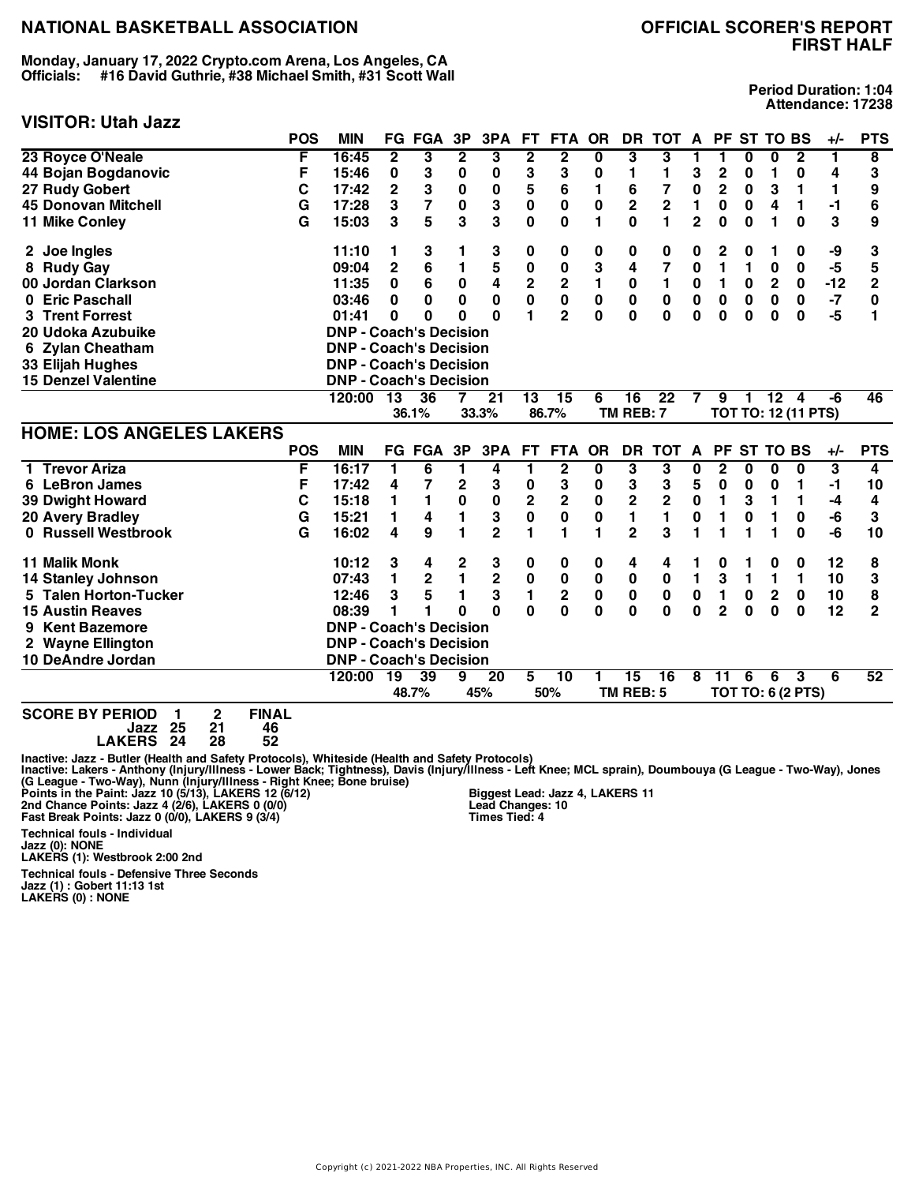**Monday, January 17, 2022 Crypto.com Arena, Los Angeles, CA Officials: #16 David Guthrie, #38 Michael Smith, #31 Scott Wall**

## **VISITOR: Utah Jazz**

**Period Duration: 1:04 Attendance: 17238**

|                                 | <b>POS</b> | <b>MIN</b>                    |                | <b>FG FGA</b>   | 3P                      | 3PA                     | <b>FT</b>               | <b>FTA</b>              | <b>OR</b>    | <b>DR</b>               | <b>TOT</b>              | A                       |                | PF ST TO BS |                 |                            | $+/-$ | <b>PTS</b>     |
|---------------------------------|------------|-------------------------------|----------------|-----------------|-------------------------|-------------------------|-------------------------|-------------------------|--------------|-------------------------|-------------------------|-------------------------|----------------|-------------|-----------------|----------------------------|-------|----------------|
| 23 Royce O'Neale                | F          | 16:45                         | 2              | 3               | $\overline{\mathbf{2}}$ | 3                       | 2                       | 2                       | 0            | 3                       | 3                       |                         | 1              | 0           | 0               | $\mathbf{2}$               | 1     | 8              |
| 44 Bojan Bogdanovic             | F          | 15:46                         | 0              | 3               | 0                       | 0                       | 3                       | 3                       | 0            | 1                       | 1                       | 3                       | 2              | 0           | 1               | 0                          | 4     | 3              |
| 27 Rudy Gobert                  | C          | 17:42                         | $\overline{2}$ | 3               | $\mathbf 0$             | $\mathbf 0$             | 5                       | 6                       | 1            | 6                       | 7                       | $\mathbf 0$             | $\overline{2}$ | $\bf{0}$    | 3               | 1                          | 1     | 9              |
| <b>45 Donovan Mitchell</b>      | G          | 17:28                         | 3              | $\overline{7}$  | $\mathbf 0$             | 3                       | $\mathbf 0$             | $\mathbf 0$             | $\bf{0}$     | $\overline{\mathbf{2}}$ | $\overline{\mathbf{2}}$ | 1                       | 0              | 0           | 4               | 1                          | $-1$  | 6              |
| 11 Mike Conley                  | G          | 15:03                         | 3              | 5               | 3                       | 3                       | 0                       | 0                       | 1            | $\mathbf{0}$            | 1                       | $\overline{\mathbf{c}}$ | 0              | $\bf{0}$    | 1               | $\bf{0}$                   | 3     | 9              |
| 2 Joe Ingles                    |            | 11:10                         | 1              | 3               |                         | 3                       | 0                       | 0                       | 0            | 0                       | 0                       | 0                       | 2              | 0           | 1               | 0                          | -9    | 3              |
| 8 Rudy Gay                      |            | 09:04                         | $\overline{2}$ | 6               | 1                       | 5                       | $\mathbf 0$             | $\mathbf 0$             | 3            | 4                       | $\overline{7}$          | $\mathbf 0$             | 1              | 1           | 0               | 0                          | $-5$  | 5              |
| 00 Jordan Clarkson              |            | 11:35                         | 0              | 6               | $\pmb{0}$               | 4                       | $\overline{\mathbf{c}}$ | $\overline{\mathbf{2}}$ | $\mathbf{1}$ | $\pmb{0}$               | $\mathbf{1}$            | $\mathbf 0$             | 1              | 0           | $\mathbf 2$     | 0                          | $-12$ | $\mathbf{2}$   |
| <b>Eric Paschall</b><br>0       |            | 03:46                         | 0              | $\bf{0}$        | $\mathbf{0}$            | 0                       | $\mathbf 0$             | $\mathbf 0$             | 0            | 0                       | $\bf{0}$                | $\mathbf 0$             | 0              | $\bf{0}$    | 0               | 0                          | -7    | 0              |
| <b>3 Trent Forrest</b>          |            | 01:41                         | $\bf{0}$       | 0               | 0                       | $\bf{0}$                | 1                       | $\overline{2}$          | $\mathbf 0$  | $\bf{0}$                | $\mathbf 0$             | $\bf{0}$                | 0              | $\bf{0}$    | $\bf{0}$        | $\mathbf 0$                | $-5$  | 1              |
| 20 Udoka Azubuike               |            | <b>DNP - Coach's Decision</b> |                |                 |                         |                         |                         |                         |              |                         |                         |                         |                |             |                 |                            |       |                |
| 6 Zylan Cheatham                |            | <b>DNP - Coach's Decision</b> |                |                 |                         |                         |                         |                         |              |                         |                         |                         |                |             |                 |                            |       |                |
| 33 Elijah Hughes                |            | <b>DNP - Coach's Decision</b> |                |                 |                         |                         |                         |                         |              |                         |                         |                         |                |             |                 |                            |       |                |
| <b>15 Denzel Valentine</b>      |            | <b>DNP - Coach's Decision</b> |                |                 |                         |                         |                         |                         |              |                         |                         |                         |                |             |                 |                            |       |                |
|                                 |            | 120:00                        | 13             | 36              |                         | $\overline{21}$         | $\overline{13}$         | $\overline{15}$         | 6            | 16                      | $\overline{22}$         | 7                       | 9              | 1           | $\overline{12}$ | 4                          | -6    | 46             |
|                                 |            |                               |                | 36.1%           |                         | 33.3%                   |                         | 86.7%                   |              | TM REB: 7               |                         |                         |                |             |                 | <b>TOT TO: 12 (11 PTS)</b> |       |                |
| <b>HOME: LOS ANGELES LAKERS</b> |            |                               |                |                 |                         |                         |                         |                         |              |                         |                         |                         |                |             |                 |                            |       |                |
|                                 | <b>POS</b> | <b>MIN</b>                    |                | <b>FG FGA</b>   | 3P                      | 3PA                     | FT.                     | FTA OR                  |              | <b>DR</b>               | TOT A                   |                         |                | PF ST TO BS |                 |                            | $+/-$ | <b>PTS</b>     |
| 1 Trevor Ariza                  | F          | 16:17                         | 1              | 6               | 1                       | 4                       | 1                       | $\mathbf 2$             | 0            | 3                       | 3                       | 0                       | $\mathbf 2$    | 0           | $\bf{0}$        | $\mathbf 0$                | 3     | 4              |
| 6 LeBron James                  | F          | 17:42                         | 4              | 7               | $\mathbf 2$             | 3                       | $\pmb{0}$               | 3                       | 0            | 3                       | 3                       | 5                       | 0              | 0           | $\bf{0}$        | 1                          | -1    | 10             |
| <b>39 Dwight Howard</b>         | C          | 15:18                         | 1              | $\blacksquare$  | $\mathbf 0$             | $\mathbf 0$             | $\overline{\mathbf{c}}$ | $\overline{\mathbf{2}}$ | $\bf{0}$     | $\overline{\mathbf{c}}$ | $\overline{2}$          | $\mathbf 0$             | 1              | 3           | 1               | 1                          | -4    | 4              |
| <b>20 Avery Bradley</b>         | G          | 15:21                         | 1              | 4               | 1                       | 3                       | 0                       | $\bf{0}$                | 0            | 1                       | 1                       | $\mathbf 0$             | 1              | 0           | 1               | 0                          | -6    | 3              |
| 0 Russell Westbrook             | G          | 16:02                         | 4              | 9               | 1                       | $\overline{2}$          | 1                       | 1                       | 1            | $\mathbf 2$             | 3                       |                         | 1              |             | 1               | $\mathbf 0$                | -6    | 10             |
| 11 Malik Monk                   |            | 10:12                         | 3              | 4               | 2                       | 3                       | 0                       | 0                       | 0            | 4                       | 4                       |                         | 0              |             | 0               | 0                          | 12    | 8              |
| <b>14 Stanley Johnson</b>       |            | 07:43                         | 1              | $\mathbf 2$     | $\mathbf{1}$            | $\overline{\mathbf{2}}$ | $\pmb{0}$               | $\pmb{0}$               | $\pmb{0}$    | $\pmb{0}$               | $\pmb{0}$               | $\blacksquare$          | 3              | 1           | 1               | 1                          | 10    | 3              |
| 5 Talen Horton-Tucker           |            | 12:46                         | 3              | $5\phantom{.0}$ | 1                       | 3                       | $\blacksquare$          | 2                       | $\pmb{0}$    | $\pmb{0}$               | $\pmb{0}$               | $\mathbf 0$             | 1              | $\bf{0}$    | $\mathbf{2}$    | $\mathbf 0$                | 10    | 8              |
| <b>15 Austin Reaves</b>         |            | 08:39                         | 1              |                 | $\bf{0}$                | $\mathbf{0}$            | $\mathbf{0}$            | $\mathbf 0$             | $\mathbf 0$  | $\bf{0}$                | $\mathbf 0$             | $\mathbf{0}$            | $\overline{2}$ | $\bf{0}$    | $\bf{0}$        | $\mathbf 0$                | 12    | $\overline{2}$ |
| <b>Kent Bazemore</b>            |            | <b>DNP - Coach's Decision</b> |                |                 |                         |                         |                         |                         |              |                         |                         |                         |                |             |                 |                            |       |                |
| <b>Wayne Ellington</b>          |            | <b>DNP - Coach's Decision</b> |                |                 |                         |                         |                         |                         |              |                         |                         |                         |                |             |                 |                            |       |                |
| 10 DeAndre Jordan               |            | <b>DNP - Coach's Decision</b> |                |                 |                         |                         |                         |                         |              |                         |                         |                         |                |             |                 |                            |       |                |
|                                 |            | 120:00                        | 19             | $\overline{39}$ | 9                       | $\overline{20}$         | 5                       | 10                      | 1            | $\overline{15}$         | $\overline{16}$         | 8                       | 11             | 6           | 6               | 3                          | 6     | 52             |
|                                 |            |                               |                | 48.7%           |                         | 45%                     |                         | 50%                     |              | TM REB: 5               |                         |                         |                |             |                 | <b>TOT TO: 6 (2 PTS)</b>   |       |                |
| 0.000551005<br>$-1$<br>$\sim$   |            |                               |                |                 |                         |                         |                         |                         |              |                         |                         |                         |                |             |                 |                            |       |                |

**SCORE BY PERIOD 1 2 FINAL Jazz 25 21 46 LAKERS 24 28 52**

Inactive: Jazz - Butler (Health and Safety Protocols), Whiteside (Health and Safety Protocols)<br>Inactive: Lakers - Anthony (Injury/Illness - Lower Back; Tightness), Davis (Injury/Illness - Left Knee; MCL sprain), Doumbouya

**Technical fouls - Individual Jazz (0): NONE LAKERS (1): Westbrook 2:00 2nd**

**Technical fouls - Defensive Three Seconds Jazz (1) : Gobert 11:13 1st LAKERS (0) : NONE**

**Biggest Lead: Jazz 4, LAKERS 11 Lead Changes: 10 Times Tied: 4**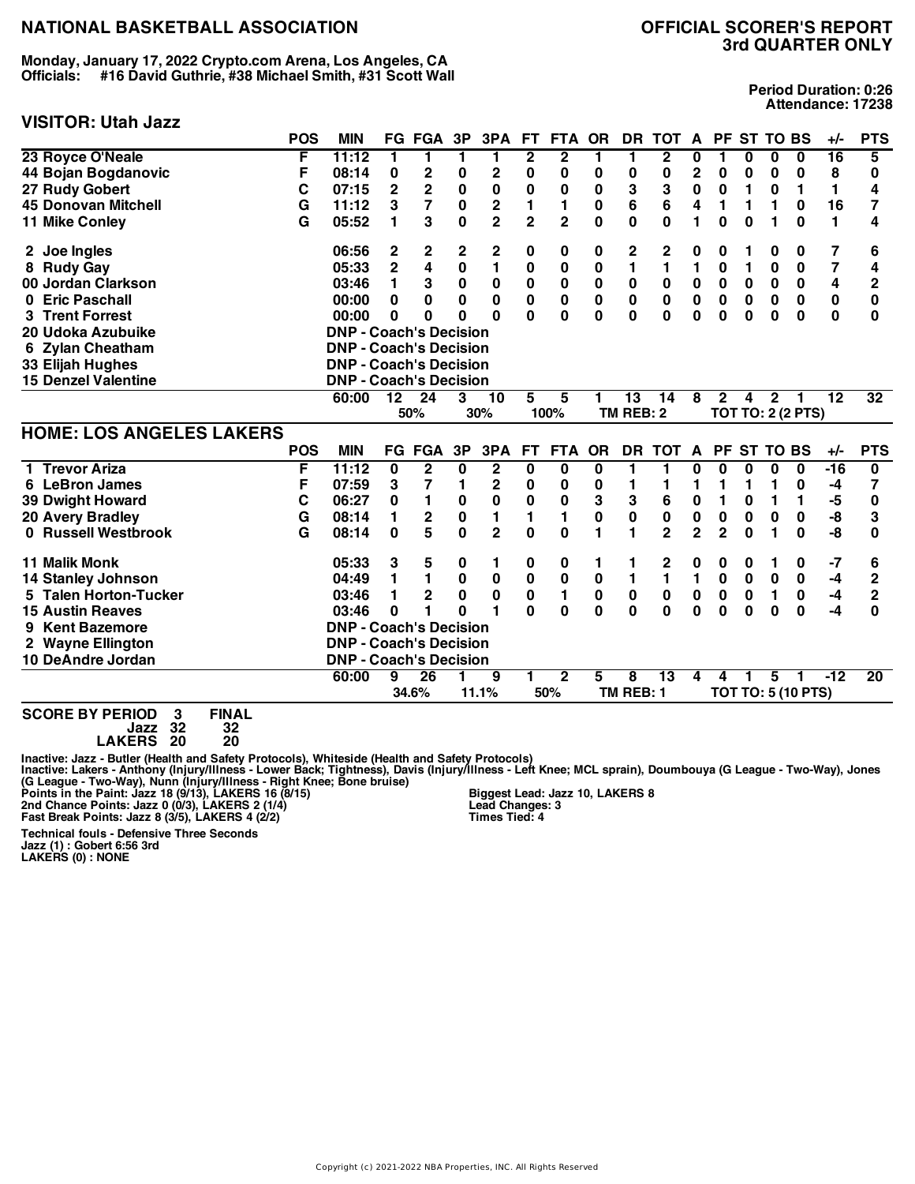**Monday, January 17, 2022 Crypto.com Arena, Los Angeles, CA Officials: #16 David Guthrie, #38 Michael Smith, #31 Scott Wall**

## **VISITOR: Utah Jazz**

**Period Duration: 0:26 Attendance: 17238**

|                                 | <b>POS</b> | <b>MIN</b>                    |                 | <b>FG FGA</b>           | 3P          | 3PA                     | <b>FT</b>               | <b>FTA</b>              | <b>OR</b>    | <b>DR</b>        | <b>TOT</b>      | A                       |                | PF ST TO BS |                |                           | $+/-$           | <b>PTS</b>     |
|---------------------------------|------------|-------------------------------|-----------------|-------------------------|-------------|-------------------------|-------------------------|-------------------------|--------------|------------------|-----------------|-------------------------|----------------|-------------|----------------|---------------------------|-----------------|----------------|
| 23 Royce O'Neale                | F          | 11:12                         | 1               | 1                       | 1           | 1                       | $\overline{\mathbf{2}}$ | $\overline{\mathbf{2}}$ | 1            | 1                | 2               | 0                       | 1              | 0           | 0              | 0                         | 16              | 5              |
| 44 Bojan Bogdanovic             | F          | 08:14                         | 0               | $\mathbf 2$             | 0           | $\mathbf 2$             | 0                       | 0                       | 0            | 0                | 0               | $\overline{2}$          | 0              | 0           | $\bf{0}$       | 0                         | 8               | 0              |
| 27 Rudy Gobert                  | C          | 07:15                         | $\mathbf 2$     | $\overline{\mathbf{2}}$ | $\bf{0}$    | $\bf{0}$                | $\mathbf 0$             | 0                       | $\mathbf 0$  | 3                | 3               | $\mathbf 0$             | 0              | 1           | 0              | 1                         | $\blacksquare$  | 4              |
| <b>45 Donovan Mitchell</b>      | G          | 11:12                         | 3               | $\overline{7}$          | 0           | $\mathbf 2$             | 1                       | 1                       | 0            | 6                | 6               | 4                       | 1              | 1           | 1              | 0                         | 16              | 7              |
| 11 Mike Conley                  | G          | 05:52                         | 1               | 3                       | $\mathbf 0$ | $\overline{2}$          | $\overline{\mathbf{2}}$ | $\overline{2}$          | $\mathbf{0}$ | $\mathbf{0}$     | $\mathbf 0$     | 1                       | $\bf{0}$       | $\bf{0}$    | 1              | $\bf{0}$                  | 1               | 4              |
| 2 Joe Ingles                    |            | 06:56                         | 2               | 2                       | 2           | 2                       | 0                       | 0                       | 0            | 2                | 2               | 0                       | 0              |             | 0              | 0                         | 7               | 6              |
| 8 Rudy Gay                      |            | 05:33                         | $\overline{2}$  | $\overline{\mathbf{4}}$ | $\bf{0}$    | $\mathbf{1}$            | $\mathbf 0$             | $\mathbf 0$             | $\mathbf 0$  | $\blacksquare$   | $\mathbf{1}$    | 1                       | 0              | 1           | $\bf{0}$       | $\mathbf 0$               | $\overline{7}$  | 4              |
| 00 Jordan Clarkson              |            | 03:46                         | 1               | 3                       | $\pmb{0}$   | 0                       | 0                       | $\pmb{0}$               | $\mathbf 0$  | 0                | $\bf{0}$        | $\pmb{0}$               | 0              | $\bf{0}$    | 0              | 0                         | 4               | $\mathbf{2}$   |
| <b>Eric Paschall</b><br>0       |            | 00:00                         | $\mathbf 0$     | $\bf{0}$                | 0           | 0                       | $\pmb{0}$               | 0                       | 0            | 0                | $\bf{0}$        | 0                       | 0              | $\bf{0}$    | 0              | 0                         | $\pmb{0}$       | $\bf{0}$       |
| <b>Trent Forrest</b>            |            | 00:00                         | $\bf{0}$        | 0                       | 0           | $\bf{0}$                | $\mathbf{0}$            | 0                       | $\mathbf{0}$ | $\mathbf{0}$     | $\bf{0}$        | $\bf{0}$                | $\bf{0}$       | $\bf{0}$    | $\bf{0}$       | $\bf{0}$                  | $\mathbf 0$     | $\bf{0}$       |
| 20 Udoka Azubuike               |            | <b>DNP - Coach's Decision</b> |                 |                         |             |                         |                         |                         |              |                  |                 |                         |                |             |                |                           |                 |                |
| 6 Zylan Cheatham                |            | <b>DNP - Coach's Decision</b> |                 |                         |             |                         |                         |                         |              |                  |                 |                         |                |             |                |                           |                 |                |
| 33 Elijah Hughes                |            | <b>DNP - Coach's Decision</b> |                 |                         |             |                         |                         |                         |              |                  |                 |                         |                |             |                |                           |                 |                |
| <b>15 Denzel Valentine</b>      |            | <b>DNP - Coach's Decision</b> |                 |                         |             |                         |                         |                         |              |                  |                 |                         |                |             |                |                           |                 |                |
|                                 |            | 60:00                         | $\overline{12}$ | $\overline{24}$         | 3           | $\overline{10}$         | 5                       | 5                       |              | $\overline{13}$  | $\overline{14}$ | $\overline{\mathbf{8}}$ | $\mathbf{2}$   | 4           | $\overline{2}$ |                           | $\overline{12}$ | 32             |
|                                 |            |                               |                 | 50%                     |             | 30%                     |                         | 100%                    |              | <b>TM REB: 2</b> |                 |                         |                |             |                | <b>TOT TO: 2 (2 PTS)</b>  |                 |                |
| <b>HOME: LOS ANGELES LAKERS</b> |            |                               |                 |                         |             |                         |                         |                         |              |                  |                 |                         |                |             |                |                           |                 |                |
|                                 | <b>POS</b> | <b>MIN</b>                    |                 | <b>FG FGA</b>           | 3P          | 3PA                     | FT.                     | <b>FTA</b>              | <b>OR</b>    |                  | DR TOT A        |                         |                | PF ST TO BS |                |                           | $+/-$           | <b>PTS</b>     |
| 1 Trevor Ariza                  | F          | 11:12                         | $\mathbf 0$     | $\overline{2}$          | 0           | $\overline{\mathbf{2}}$ | $\overline{\mathbf{0}}$ | $\overline{\mathbf{0}}$ | $\bf{0}$     | 1                | 1               | 0                       | $\bf{0}$       | 0           | 0              | $\mathbf 0$               | $-16$           | 0              |
| 6 LeBron James                  | F          | 07:59                         | 3               | 7                       | 1           | $\mathbf 2$             | 0                       | 0                       | 0            | 1                | 1               | 1                       | 1              | 1           | 1              | 0                         | -4              | 7              |
| <b>39 Dwight Howard</b>         | C          | 06:27                         | 0               | $\mathbf{1}$            | $\bf{0}$    | $\mathbf 0$             | $\pmb{0}$               | $\bf{0}$                | 3            | 3                | 6               | $\pmb{0}$               | 1              | 0           | 1              | 1                         | -5              | $\bf{0}$       |
| <b>20 Avery Bradley</b>         | G          | 08:14                         | 1               | $\mathbf 2$             | $\bf{0}$    | 1                       | 1                       | 1                       | $\mathbf 0$  | $\mathbf 0$      | $\bf{0}$        | $\pmb{0}$               | $\mathbf 0$    | 0           | $\bf{0}$       | 0                         | -8              | 3              |
| 0 Russell Westbrook             | G          | 08:14                         | $\mathbf 0$     | 5                       | $\mathbf 0$ | $\overline{2}$          | $\mathbf 0$             | 0                       | 1            | 1                | $\overline{2}$  | $\overline{2}$          | $\overline{2}$ | $\bf{0}$    | 1              | $\bf{0}$                  | -8              | 0              |
| <b>11 Malik Monk</b>            |            | 05:33                         | 3               | 5                       | 0           | 1                       | 0                       | 0                       | 1            | 1                | 2               | 0                       | 0              | 0           | 1              | 0                         | $-7$            | 6              |
| <b>14 Stanley Johnson</b>       |            | 04:49                         | 1               | $\blacksquare$          | $\mathbf 0$ | $\pmb{0}$               | $\mathbf 0$             | $\pmb{0}$               | $\mathbf 0$  | 1                | $\blacksquare$  | $\blacksquare$          | $\mathbf 0$    | $\mathbf 0$ | $\pmb{0}$      | $\mathbf 0$               | $-4$            | $\overline{c}$ |
| 5 Talen Horton-Tucker           |            | 03:46                         | 1               | $\mathbf 2$             | $\bf{0}$    | 0                       | $\mathbf 0$             | 1                       | $\mathbf 0$  | $\pmb{0}$        | $\bf{0}$        | $\pmb{0}$               | $\pmb{0}$      | 0           | 1              | 0                         | $-4$            | $\overline{2}$ |
| <b>15 Austin Reaves</b>         |            | 03:46                         | $\bf{0}$        | 1                       | $\Omega$    | 1                       | $\Omega$                | $\mathbf 0$             | $\mathbf{0}$ | $\mathbf 0$      | $\mathbf 0$     | $\bf{0}$                | 0              | $\bf{0}$    | $\bf{0}$       | $\bf{0}$                  | $-4$            | $\bf{0}$       |
| <b>Kent Bazemore</b><br>9       |            | <b>DNP - Coach's Decision</b> |                 |                         |             |                         |                         |                         |              |                  |                 |                         |                |             |                |                           |                 |                |
| 2 Wayne Ellington               |            | <b>DNP - Coach's Decision</b> |                 |                         |             |                         |                         |                         |              |                  |                 |                         |                |             |                |                           |                 |                |
| 10 DeAndre Jordan               |            | <b>DNP - Coach's Decision</b> |                 |                         |             |                         |                         |                         |              |                  |                 |                         |                |             |                |                           |                 |                |
|                                 |            | 60:00                         | 9               | $\overline{26}$         |             | 9                       | 1                       | $\overline{2}$          | 5            | 8                | 13              | 4                       | 4              |             | 5              |                           | -12             | 20             |
|                                 |            |                               |                 | 34.6%                   |             | 11.1%                   |                         | 50%                     |              | TM REB: 1        |                 |                         |                |             |                | <b>TOT TO: 5 (10 PTS)</b> |                 |                |
|                                 |            |                               |                 |                         |             |                         |                         |                         |              |                  |                 |                         |                |             |                |                           |                 |                |

**SCORE BY PERIOD 3 FINAL Jazz 32 32 LAKERS 20 20**

Inactive: Jazz - Butler (Health and Safety Protocols), Whiteside (Health and Safety Protocols)<br>Inactive: Lakers - Anthony (Injury/Illness - Lower Back; Tightness), Davis (Injury/Illness - Left Knee; MCL sprain), Doumbouya

**Biggest Lead: Jazz 10, LAKERS 8 Lead Changes: 3 Times Tied: 4**

**Technical fouls - Defensive Three Seconds Jazz (1) : Gobert 6:56 3rd LAKERS (0) : NONE**

Copyright (c) 2021-2022 NBA Properties, INC. All Rights Reserved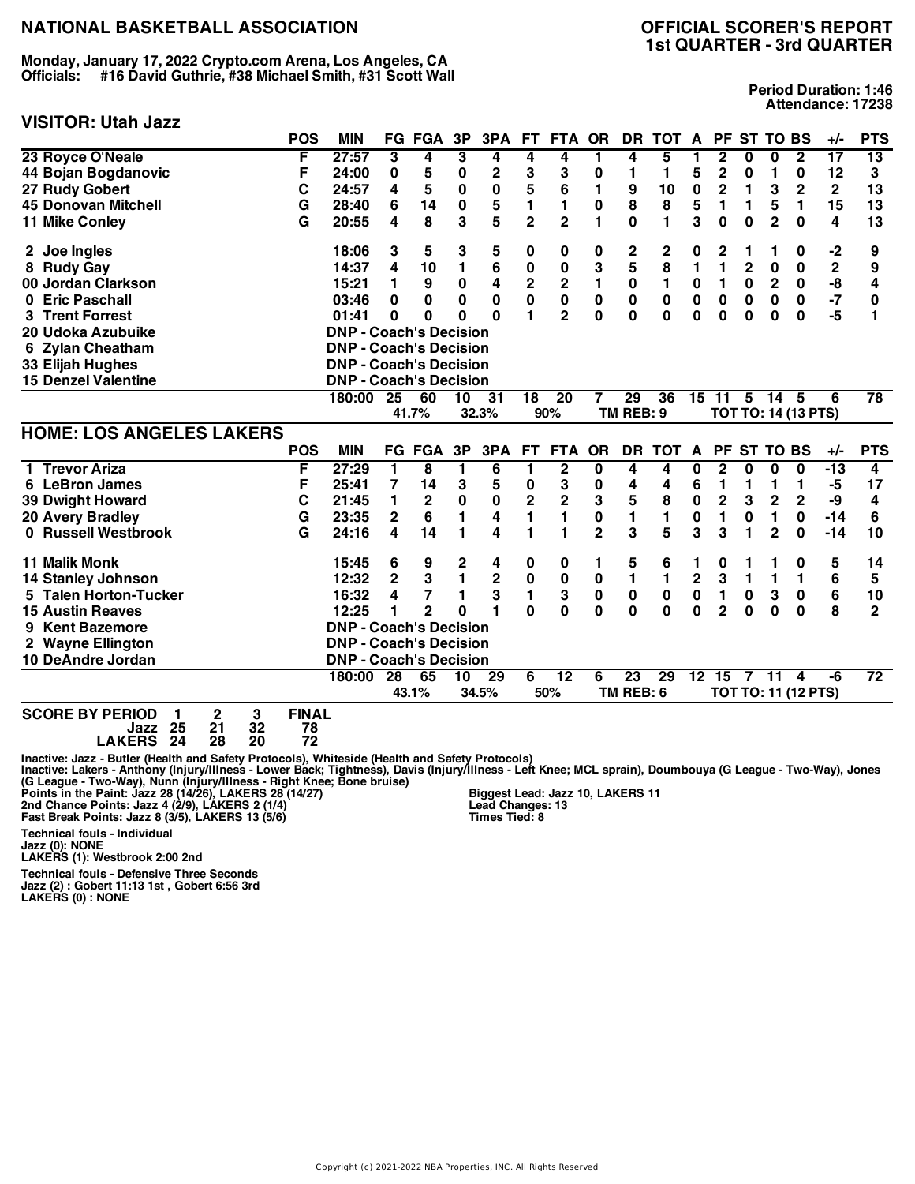**Monday, January 17, 2022 Crypto.com Arena, Los Angeles, CA Officials: #16 David Guthrie, #38 Michael Smith, #31 Scott Wall**

#### **VISITOR: Utah Jazz**

**Period Duration: 1:46 Attendance: 17238**

|                                 | <b>POS</b> | <b>MIN</b>                    |                 | <b>FG FGA</b> | 3P       | 3PA         | <b>FT</b>       | <b>FTA</b>      | <b>OR</b>      | DR          | <b>TOT</b>      | A                       | <b>PF</b>               |                  | <b>ST TO BS</b>         |                            | +/-          | <b>PTS</b>      |
|---------------------------------|------------|-------------------------------|-----------------|---------------|----------|-------------|-----------------|-----------------|----------------|-------------|-----------------|-------------------------|-------------------------|------------------|-------------------------|----------------------------|--------------|-----------------|
| 23 Royce O'Neale                | F          | 27:57                         | 3               | 4             | 3        | 4           | 4               | 4               | 1              | 4           | 5               | 1                       | $\overline{\mathbf{2}}$ | 0                | $\overline{\mathbf{0}}$ | $\overline{\mathbf{2}}$    | 17           | 13              |
| 44 Bojan Bogdanovic             | F          | 24:00                         | 0               | 5             | 0        | $\mathbf 2$ | 3               | 3               | $\bf{0}$       | 1           | 1               | 5                       | $\mathbf 2$             | 0                | 1                       | $\bf{0}$                   | 12           | 3               |
| 27 Rudy Gobert                  | C          | 24:57                         | 4               | 5             | 0        | $\pmb{0}$   | 5               | 6               | 1              | 9           | 10              | 0                       | $\mathbf 2$             | 1                | 3                       | $\mathbf 2$                | $\mathbf{2}$ | 13              |
| <b>45 Donovan Mitchell</b>      | G          | 28:40                         | 6               | 14            | 0        | 5           | 1               | 1               | $\bf{0}$       | 8           | 8               | 5                       | 1                       | 1                | 5                       | 1                          | 15           | 13              |
| 11 Mike Conley                  | G          | 20:55                         | 4               | 8             | 3        | 5           | $\overline{2}$  | $\overline{2}$  | 1              | $\mathbf 0$ | 1               | 3                       | 0                       | $\bf{0}$         | $\overline{2}$          | $\bf{0}$                   | 4            | 13              |
| 2 Joe Ingles                    |            | 18:06                         | 3               | 5             | 3        | 5           | 0               | 0               | 0              | 2           | 2               | 0                       | 2                       | 1                | 1                       | 0                          | $-2$         | 9               |
| 8 Rudy Gay                      |            | 14:37                         | 4               | 10            | 1        | 6           | 0               | 0               | 3              | 5           | 8               | 1                       | 1                       | $\mathbf{2}$     | 0                       | $\bf{0}$                   | $\mathbf 2$  | 9               |
| 00 Jordan Clarkson              |            | 15:21                         | 1               | 9             | 0        | 4           | 2               | $\mathbf 2$     | 1              | 0           | 1               | $\pmb{0}$               | 1                       | 0                | $\mathbf 2$             | 0                          | -8           | 4               |
| 0 Eric Paschall                 |            | 03:46                         | 0               | 0             | 0        | 0           | 0               | $\pmb{0}$       | 0              | 0           | $\bf{0}$        | 0                       | $\pmb{0}$               | $\boldsymbol{0}$ | $\bf{0}$                | $\bf{0}$                   | $-7$         | 0               |
| <b>Trent Forrest</b><br>3.      |            | 01:41                         | $\bf{0}$        | 0             | O        | $\Omega$    | 1               | $\overline{2}$  | $\bf{0}$       | 0           | $\bf{0}$        | $\bf{0}$                | 0                       | $\bf{0}$         | 0                       | $\bf{0}$                   | $-5$         | 1               |
| 20 Udoka Azubuike               |            | <b>DNP - Coach's Decision</b> |                 |               |          |             |                 |                 |                |             |                 |                         |                         |                  |                         |                            |              |                 |
| 6 Zylan Cheatham                |            | <b>DNP - Coach's Decision</b> |                 |               |          |             |                 |                 |                |             |                 |                         |                         |                  |                         |                            |              |                 |
| 33 Elijah Hughes                |            | <b>DNP - Coach's Decision</b> |                 |               |          |             |                 |                 |                |             |                 |                         |                         |                  |                         |                            |              |                 |
| <b>15 Denzel Valentine</b>      |            | <b>DNP - Coach's Decision</b> |                 |               |          |             |                 |                 |                |             |                 |                         |                         |                  |                         |                            |              |                 |
|                                 |            | 180:00                        | 25              | 60            | 10       | 31          | $\overline{18}$ | $\overline{20}$ | 7              | 29          | $\overline{36}$ |                         | 15 11                   | 5                | -14                     | - 5                        | 6            | $\overline{78}$ |
|                                 |            |                               |                 | 41.7%         |          | 32.3%       |                 | 90%             |                | TM REB: 9   |                 |                         |                         |                  |                         | <b>TOT TO: 14 (13 PTS)</b> |              |                 |
|                                 |            |                               |                 |               |          |             |                 |                 |                |             |                 |                         |                         |                  |                         |                            |              |                 |
| <b>HOME: LOS ANGELES LAKERS</b> |            |                               |                 |               |          |             |                 |                 |                |             |                 |                         |                         |                  |                         |                            |              |                 |
|                                 | <b>POS</b> | <b>MIN</b>                    |                 | <b>FG FGA</b> | 3P       | 3PA         | <b>FT</b>       | <b>FTA</b>      | <b>OR</b>      | <b>DR</b>   | <b>TOT</b>      | A                       | <b>PF</b>               |                  | <b>ST TO BS</b>         |                            | $+/-$        | <b>PTS</b>      |
| 1 Trevor Ariza                  | F          | 27:29                         | 1.              | 8             | 1        | 6           | 1               | $\overline{2}$  | 0              | 4           | 4               | $\bf{0}$                | $\mathbf{2}$            | 0                | 0                       | $\bf{0}$                   | $-13$        | 4               |
| 6 LeBron James                  | F          | 25:41                         | 7               | 14            | 3        | 5           | $\bf{0}$        | 3               | 0              | 4           | 4               | 6                       | 1                       | 1                | 1                       | 1                          | -5           | 17              |
| <b>39 Dwight Howard</b>         | С          | 21:45                         | 1               | 2             | $\bf{0}$ | $\pmb{0}$   | 2               | $\overline{2}$  | 3              | 5           | 8               | 0                       | $\overline{2}$          | 3                | $\overline{2}$          | $\mathbf 2$                | -9           | 4               |
| 20 Avery Bradley                | G          | 23:35                         | $\mathbf 2$     | 6             | 1        | 4           | 1               | 1               | 0              | 1           | 1               | $\mathbf{0}$            | 1                       | $\bf{0}$         | 1                       | $\bf{0}$                   | $-14$        | 6               |
| 0 Russell Westbrook             | G          | 24:16                         | 4               | 14            | 1        | 4           | 1               | 1               | $\overline{2}$ | 3           | 5               | 3                       | 3                       | 1                | $\overline{2}$          | 0                          | $-14$        | 10              |
| <b>11 Malik Monk</b>            |            | 15:45                         | 6               | 9             | 2        | 4           | 0               | 0               | 1              | 5           | 6               | 1                       | 0                       | 1                | 1                       | 0                          | 5            | 14              |
| <b>14 Stanley Johnson</b>       |            | 12:32                         | $\overline{2}$  | 3             | 1        | $\mathbf 2$ | $\pmb{0}$       | $\mathbf 0$     | $\bf{0}$       | 1           | 1               | $\overline{\mathbf{c}}$ | 3                       | 1                | $\mathbf{1}$            | 1                          | 6            | 5               |
| 5 Talen Horton-Tucker           |            | 16:32                         | 4               | 7             | 1        | 3           | 1               | 3               | $\bf{0}$       | $\mathbf 0$ | $\bf{0}$        | $\pmb{0}$               | 1                       | 0                | 3                       | $\pmb{0}$                  | 6            | 10              |
| <b>15 Austin Reaves</b>         |            | 12:25                         | 1               | $\mathbf{2}$  | O        | 1           | 0               | 0               | $\bf{0}$       | 0           | $\Omega$        | $\bf{0}$                | $\overline{2}$          | $\bf{0}$         | $\bf{0}$                | $\bf{0}$                   | 8            | $\overline{2}$  |
| <b>Kent Bazemore</b><br>9       |            | <b>DNP - Coach's Decision</b> |                 |               |          |             |                 |                 |                |             |                 |                         |                         |                  |                         |                            |              |                 |
| 2 Wayne Ellington               |            | <b>DNP - Coach's Decision</b> |                 |               |          |             |                 |                 |                |             |                 |                         |                         |                  |                         |                            |              |                 |
| 10 DeAndre Jordan               |            | <b>DNP - Coach's Decision</b> |                 |               |          |             |                 |                 |                |             |                 |                         |                         |                  |                         |                            |              |                 |
|                                 |            | 180:00                        | $\overline{28}$ | 65            | 10       | 29          | 6               | $\overline{12}$ | 6              | 23          | 29              |                         | $12-15$                 | $\overline{7}$   | $\overline{11}$         | 4                          | -6           | $\overline{72}$ |
|                                 |            |                               |                 | 43.1%         |          | 34.5%       |                 | 50%             |                | TM REB: 6   |                 |                         |                         |                  |                         | <b>TOT TO: 11 (12 PTS)</b> |              |                 |

**SCORE BY PERIOD 1 2 3 FINAL Jazz 25 21 32 78**

**LAKERS 24 28 20 72**

Inactive: Jazz - Butler (Health and Safety Protocols), Whiteside (Health and Safety Protocols)<br>Inactive: Lakers - Anthony (Injury/Illness - Lower Back; Tightness), Davis (Injury/Illness - Left Knee; MCL sprain), Doumbouya

**Technical fouls - Individual**

**Jazz (0): NONE LAKERS (1): Westbrook 2:00 2nd**

Technical fouls - Defensive Three Seconds<br>Jazz (2) : Gobert 11:13 1st , Gobert 6:56 3rd<br>LAKERS (0) : NONE

**Biggest Lead: Jazz 10, LAKERS 11 Lead Changes: 13 Times Tied: 8**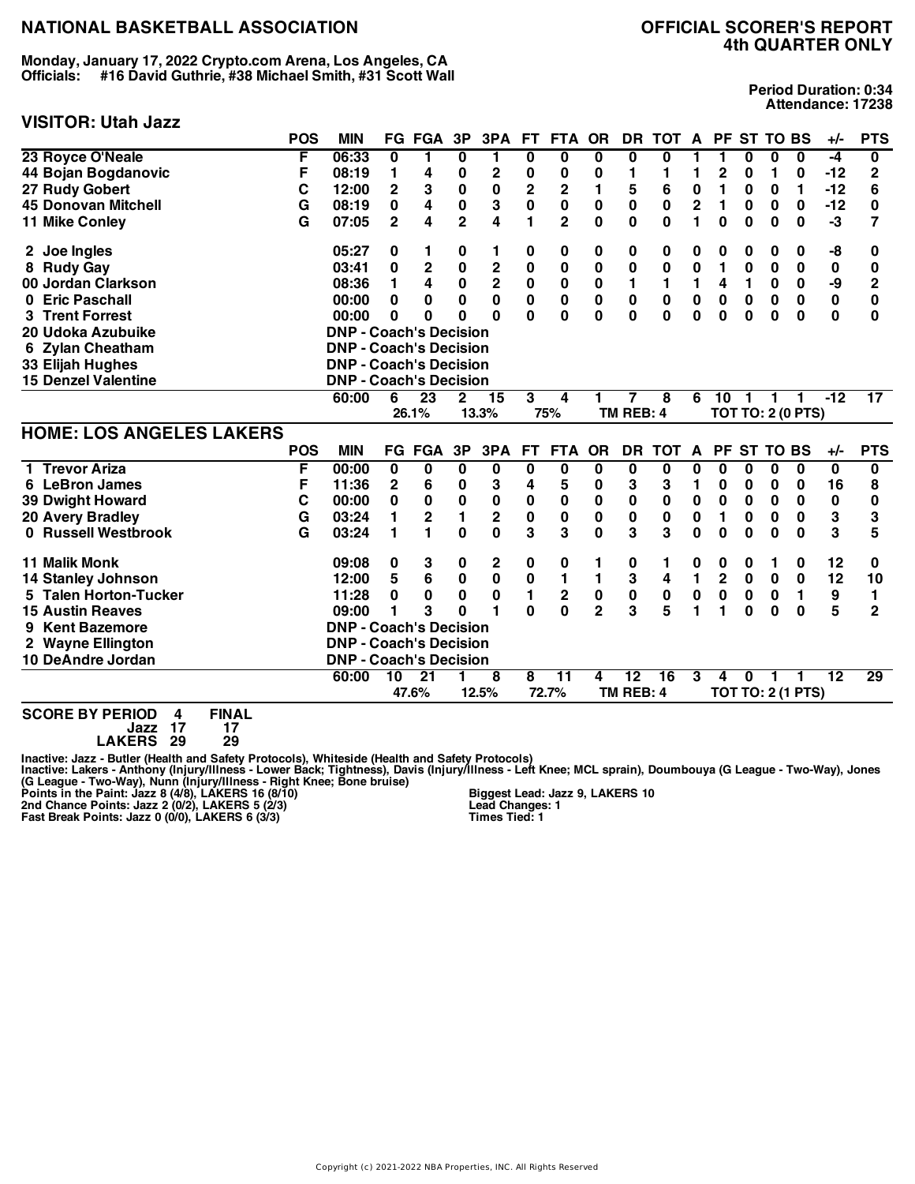**Monday, January 17, 2022 Crypto.com Arena, Los Angeles, CA Officials: #16 David Guthrie, #38 Michael Smith, #31 Scott Wall**

## **VISITOR: Utah Jazz**

**Period Duration: 0:34 Attendance: 17238**

|                                                     | <b>POS</b> | <b>MIN</b>                    |                         | <b>FG FGA</b>   | 3P                      | 3PA                     | FT.                     | <b>FTA</b>              | <b>OR</b>               | <b>DR</b>       | <b>TOT</b>      | A              |                         | PF ST TO BS  |                 |                          | $+/-$           | <b>PTS</b>              |
|-----------------------------------------------------|------------|-------------------------------|-------------------------|-----------------|-------------------------|-------------------------|-------------------------|-------------------------|-------------------------|-----------------|-----------------|----------------|-------------------------|--------------|-----------------|--------------------------|-----------------|-------------------------|
| 23 Royce O'Neale                                    | F          | 06:33                         | $\overline{\mathbf{0}}$ | 1               | 0                       | 1                       | $\bf{0}$                | $\overline{\mathbf{0}}$ | $\overline{\mathbf{0}}$ | $\bf{0}$        | 0               | 1              | 1                       | 0            | 0               | $\overline{\mathbf{0}}$  | $-4$            | $\overline{\mathbf{0}}$ |
| 44 Bojan Bogdanovic                                 | F          | 08:19                         | 1                       | 4               | 0                       | $\boldsymbol{2}$        | 0                       | 0                       | 0                       | 1               | 1               | 1              | 2                       | 0            | 1               | 0                        | $-12$           | $\mathbf 2$             |
| 27 Rudy Gobert                                      | C          | 12:00                         | 2                       | 3               | $\mathbf 0$             | $\mathbf 0$             | $\overline{\mathbf{c}}$ | $\mathbf 2$             | 1                       | 5               | 6               | $\bf{0}$       | 1                       | 0            | $\bf{0}$        | 1                        | $-12$           | 6                       |
| <b>45 Donovan Mitchell</b>                          | G          | 08:19                         | $\mathbf 0$             | 4               | $\mathbf 0$             | 3                       | 0                       | $\mathbf 0$             | $\mathbf 0$             | $\mathbf 0$     | $\mathbf 0$     | $\overline{2}$ | 1                       | $\mathbf 0$  | 0               | $\mathbf 0$              | $-12$           | $\mathbf 0$             |
| 11 Mike Conley                                      | G          | 07:05                         | $\overline{2}$          | 4               | $\overline{\mathbf{2}}$ | $\overline{\mathbf{4}}$ | $\blacksquare$          | $\overline{2}$          | $\mathbf 0$             | $\mathbf 0$     | $\mathbf 0$     | 1              | $\mathbf 0$             | $\mathbf 0$  | 0               | $\mathbf 0$              | $-3$            | $\overline{7}$          |
| 2 Joe Ingles                                        |            | 05:27                         | 0                       | 1               | 0                       | 1                       | 0                       | 0                       | 0                       | 0               | 0               | 0              | 0                       | 0            | 0               | 0                        | -8              | 0                       |
| 8 Rudy Gay                                          |            | 03:41                         | 0                       | $\mathbf 2$     | $\pmb{0}$               | $\mathbf 2$             | $\bf{0}$                | $\pmb{0}$               | $\pmb{0}$               | $\bf{0}$        | $\bf{0}$        | $\bf{0}$       | 1                       | 0            | 0               | 0                        | 0               | 0                       |
| 00 Jordan Clarkson                                  |            | 08:36                         | 1                       | 4               | $\mathbf 0$             | $\overline{\mathbf{2}}$ | $\pmb{0}$               | $\pmb{0}$               | $\pmb{0}$               | 1               | $\mathbf{1}$    | $\mathbf{1}$   | 4                       | $\mathbf{1}$ | 0               | $\mathbf 0$              | -9              | $\mathbf 2$             |
| <b>Eric Paschall</b><br>0                           |            | 00:00                         | $\bf{0}$                | 0               | 0                       | $\mathbf 0$             | 0                       | $\mathbf 0$             | $\mathbf 0$             | $\bf{0}$        | $\mathbf 0$     | $\mathbf 0$    | $\mathbf 0$             | $\mathbf 0$  | $\bf{0}$        | $\mathbf 0$              | 0               | $\mathbf 0$             |
| <b>3 Trent Forrest</b>                              |            | 00:00                         | $\bf{0}$                | 0               | 0                       | $\bf{0}$                | $\mathbf{0}$            | 0                       | 0                       | $\mathbf{0}$    | $\mathbf 0$     | $\bf{0}$       | $\bf{0}$                | 0            | 0               | $\mathbf 0$              | $\bf{0}$        | $\bf{0}$                |
| 20 Udoka Azubuike                                   |            | <b>DNP - Coach's Decision</b> |                         |                 |                         |                         |                         |                         |                         |                 |                 |                |                         |              |                 |                          |                 |                         |
| <b>Zylan Cheatham</b><br>6                          |            | <b>DNP - Coach's Decision</b> |                         |                 |                         |                         |                         |                         |                         |                 |                 |                |                         |              |                 |                          |                 |                         |
| 33 Elijah Hughes                                    |            | <b>DNP - Coach's Decision</b> |                         |                 |                         |                         |                         |                         |                         |                 |                 |                |                         |              |                 |                          |                 |                         |
| <b>15 Denzel Valentine</b>                          |            | <b>DNP - Coach's Decision</b> |                         |                 |                         |                         |                         |                         |                         |                 |                 |                |                         |              |                 |                          |                 |                         |
|                                                     |            | 60:00                         | 6                       | 23              | $\mathbf{2}$            | 15                      | 3                       | 4                       |                         |                 | 8               | 6              | 10                      |              |                 |                          | $-12$           | 17                      |
|                                                     |            |                               |                         | 26.1%           |                         | 13.3%                   |                         | 75%                     |                         | TM REB: 4       |                 |                |                         |              |                 | <b>TOT TO: 2 (0 PTS)</b> |                 |                         |
| <b>HOME: LOS ANGELES LAKERS</b>                     |            |                               |                         |                 |                         |                         |                         |                         |                         |                 |                 |                |                         |              |                 |                          |                 |                         |
|                                                     | <b>POS</b> | <b>MIN</b>                    |                         | <b>FG FGA</b>   | 3P                      | 3PA                     | <b>FT</b>               | <b>FTA</b>              | <b>OR</b>               | <b>DR</b>       | <b>TOT</b>      | $\mathsf{A}$   | <b>PF</b>               |              | <b>ST TO BS</b> |                          | $+/-$           | <b>PTS</b>              |
| 1 Trevor Ariza                                      | F          | 00:00                         | 0                       | 0               | 0                       | $\bf{0}$                | $\bf{0}$                | 0                       | 0                       | $\bf{0}$        | 0               | 0              | 0                       | $\bf{0}$     | 0               | 0                        | $\bf{0}$        | $\overline{\mathbf{0}}$ |
| 6 LeBron James                                      | F          | 11:36                         | $\mathbf{2}$            | 6               | 0                       | 3                       | 4                       | 5                       | 0                       | 3               | 3               | 1              | 0                       | 0            | 0               | 0                        | 16              | 8                       |
| <b>39 Dwight Howard</b>                             | C          | 00:00                         | 0                       | $\pmb{0}$       | $\pmb{0}$               | $\pmb{0}$               | 0                       | 0                       | 0                       | $\pmb{0}$       | 0               | $\pmb{0}$      | $\bf{0}$                | 0            | $\bf{0}$        | 0                        | 0               | 0                       |
| <b>20 Avery Bradley</b>                             | G          | 03:24                         | 1                       | $\mathbf 2$     | 1                       | $\mathbf 2$             | $\pmb{0}$               | 0                       | 0                       | $\bf{0}$        | $\bf{0}$        | $\bf{0}$       | 1                       | 0            | 0               | $\pmb{0}$                | 3               | 3                       |
| 0 Russell Westbrook                                 | G          | 03:24                         | 1                       | 1               | $\mathbf 0$             | $\mathbf 0$             | 3                       | 3                       | $\mathbf 0$             | 3               | 3               | $\bf{0}$       | $\bf{0}$                | $\bf{0}$     | $\mathbf 0$     | $\mathbf 0$              | 3               | 5                       |
| <b>11 Malik Monk</b>                                |            | 09:08                         | 0                       | 3               | 0                       | 2                       | 0                       | 0                       | 1                       | 0               | 1               | 0              | 0                       | 0            | 1               | 0                        | 12              | 0                       |
| <b>14 Stanley Johnson</b>                           |            | 12:00                         | 5                       | 6               | $\pmb{0}$               | $\pmb{0}$               | 0                       | 1                       | 1                       | 3               | 4               | $\mathbf{1}$   | $\overline{\mathbf{2}}$ | $\mathbf 0$  | 0               | $\pmb{0}$                | 12              | 10                      |
| 5 Talen Horton-Tucker                               |            | 11:28                         | 0                       | 0               | 0                       | $\bf{0}$                | 1                       | $\mathbf 2$             | $\pmb{0}$               | $\pmb{0}$       | $\pmb{0}$       | $\pmb{0}$      | $\pmb{0}$               | $\mathbf 0$  | $\bf{0}$        | 1                        | 9               | 1                       |
| <b>15 Austin Reaves</b>                             |            | 09:00                         | 1                       | 3               | $\Omega$                | 1                       | $\mathbf{0}$            | $\bf{0}$                | $\overline{2}$          | 3               | 5               | 1              | 1                       | $\bf{0}$     | 0               | 0                        | 5               | $\overline{2}$          |
| <b>Kent Bazemore</b><br>9                           |            | <b>DNP - Coach's Decision</b> |                         |                 |                         |                         |                         |                         |                         |                 |                 |                |                         |              |                 |                          |                 |                         |
| 2 Wayne Ellington                                   |            | <b>DNP - Coach's Decision</b> |                         |                 |                         |                         |                         |                         |                         |                 |                 |                |                         |              |                 |                          |                 |                         |
| 10 DeAndre Jordan                                   |            | <b>DNP - Coach's Decision</b> |                         |                 |                         |                         |                         |                         |                         |                 |                 |                |                         |              |                 |                          |                 |                         |
|                                                     |            | 60:00                         | 10                      | $\overline{21}$ |                         | 8                       | 8                       | $\overline{11}$         | 4                       | $\overline{12}$ | $\overline{16}$ | 3              | 4                       | $\bf{0}$     |                 | 1                        | $\overline{12}$ | 29                      |
|                                                     |            |                               |                         | 47.6%           |                         | 12.5%                   |                         | 72.7%                   |                         | TM REB: 4       |                 |                |                         |              |                 | <b>TOT TO: 2 (1 PTS)</b> |                 |                         |
| COODE BY BEBIAD<br><b>CINLA L</b><br>$\overline{a}$ |            |                               |                         |                 |                         |                         |                         |                         |                         |                 |                 |                |                         |              |                 |                          |                 |                         |

**SCORE BY PERIOD 4 FINAL Jazz 17 17**

**LAKERS 29 29**

Inactive: Jazz - Butler (Health and Safety Protocols), Whiteside (Health and Safety Protocols)<br>Inactive: Lakers - Anthony (Injury/Illness - Lower Back; Tightness), Davis (Injury/Illness - Left Knee; MCL sprain), Doumbouya

**Biggest Lead: Jazz 9, LAKERS 10 Lead Changes: 1 Times Tied: 1**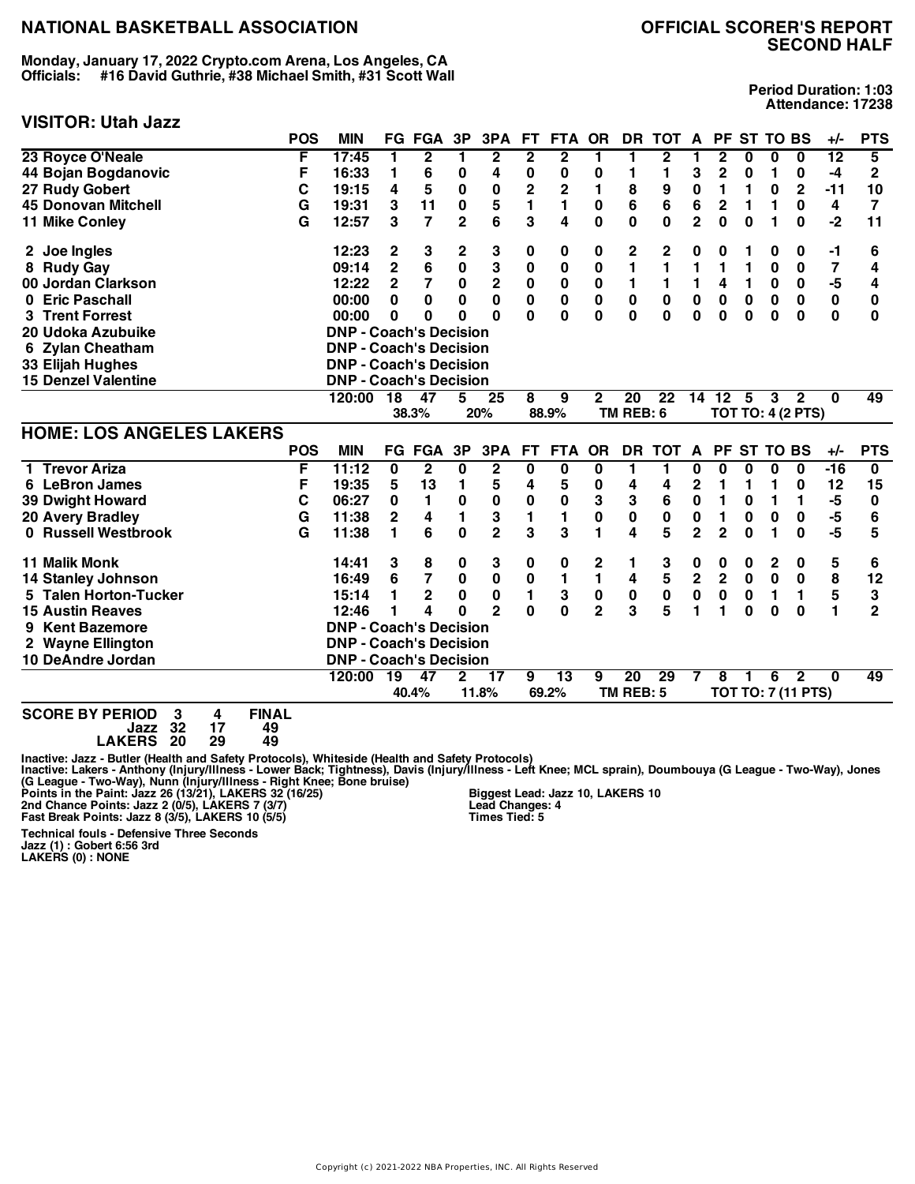**Monday, January 17, 2022 Crypto.com Arena, Los Angeles, CA Officials: #16 David Guthrie, #38 Michael Smith, #31 Scott Wall**

# **VISITOR: Utah Jazz**

| <b>Period Duration: 1:03</b> |
|------------------------------|
| Attendance: 17238            |

| VIƏLI UNI ULAN JAZZ                                   |            |                               |                |                |                |                         |                |                         |                |                 |                 |                |                |             |             |                           |                 |                |
|-------------------------------------------------------|------------|-------------------------------|----------------|----------------|----------------|-------------------------|----------------|-------------------------|----------------|-----------------|-----------------|----------------|----------------|-------------|-------------|---------------------------|-----------------|----------------|
|                                                       | <b>POS</b> | <b>MIN</b>                    |                | <b>FG FGA</b>  | 3P             | 3PA                     | FT.            | FTA OR                  |                | <b>DR</b>       | <b>TOT</b>      | A              |                | PF ST TO BS |             |                           | $+/-$           | <b>PTS</b>     |
| 23 Royce O'Neale                                      | F          | 17:45                         | 1              | 2              | 1              | $\boldsymbol{2}$        | $\overline{2}$ | $\overline{2}$          | 1              | 1               | $\overline{2}$  | 1              | 2              | 0           | 0           | 0                         | $\overline{12}$ | 5              |
| 44 Bojan Bogdanovic                                   | F          | 16:33                         | 1              | 6              | 0              | 4                       | 0              | 0                       | 0              | 1               | 1               | 3              | 2              | 0           | 1           | 0                         | -4              | $\mathbf 2$    |
| 27 Rudy Gobert                                        | С          | 19:15                         | 4              | 5              | 0              | 0                       | 2              | 2                       | 1              | 8               | 9               | $\bf{0}$       | 1              | 1           | 0           | $\mathbf{2}$              | $-11$           | 10             |
| <b>45 Donovan Mitchell</b>                            | G          | 19:31                         | 3              | 11             | 0              | 5                       | 1              | 1                       | 0              | 6               | 6               | 6              | 2              | 1           | 1           | 0                         | 4               | $\overline{7}$ |
| <b>11 Mike Conley</b>                                 | G          | 12:57                         | 3              | $\overline{7}$ | $\overline{2}$ | 6                       | 3              | 4                       | 0              | $\bf{0}$        | 0               | $\overline{2}$ | $\mathbf{0}$   | $\bf{0}$    | 1           | 0                         | $-2$            | 11             |
| 2 Joe Ingles                                          |            | 12:23                         | 2              | 3              | 2              | 3                       | 0              | 0                       | 0              | 2               | $\mathbf{2}$    | 0              | 0              | 1           | 0           | 0                         | $-1$            | 6              |
| 8 Rudy Gay                                            |            | 09:14                         | 2              | 6              | $\pmb{0}$      | 3                       | 0              | $\bf{0}$                | 0              | 1               | 1               | 1              | 1              | 1           | 0           | 0                         | 7               | 4              |
| 00 Jordan Clarkson                                    |            | 12:22                         | $\overline{2}$ | 7              | 0              | $\mathbf 2$             | 0              | 0                       | 0              | 1               | 1               | 1              | 4              | 1           | 0           | 0                         | -5              | 4              |
| 0 Eric Paschall                                       |            | 00:00                         | $\bf{0}$       | $\bf{0}$       | 0              | 0                       | 0              | 0                       | 0              | 0               | 0               | $\bf{0}$       | 0              | $\mathbf 0$ | 0           | 0                         | 0               | 0              |
| 3 Trent Forrest                                       |            | 00:00                         | 0              | 0              | 0              | O                       | O              | 0                       | 0              | 0               | $\bf{0}$        | $\bf{0}$       | $\bf{0}$       | $\bf{0}$    | $\bf{0}$    | $\bf{0}$                  | 0               | $\bf{0}$       |
| 20 Udoka Azubuike                                     |            | <b>DNP - Coach's Decision</b> |                |                |                |                         |                |                         |                |                 |                 |                |                |             |             |                           |                 |                |
| 6 Zylan Cheatham                                      |            | <b>DNP - Coach's Decision</b> |                |                |                |                         |                |                         |                |                 |                 |                |                |             |             |                           |                 |                |
| 33 Elijah Hughes                                      |            | <b>DNP - Coach's Decision</b> |                |                |                |                         |                |                         |                |                 |                 |                |                |             |             |                           |                 |                |
| <b>15 Denzel Valentine</b>                            |            | <b>DNP - Coach's Decision</b> |                |                |                |                         |                |                         |                |                 |                 |                |                |             |             |                           |                 |                |
|                                                       |            | 120:00                        | 18             | 47             | 5              | $\overline{25}$         | 8              | 9                       | 2              | $\overline{20}$ | $\overline{22}$ | 14             | 12             | -5          | 3           | $\overline{2}$            | $\Omega$        | 49             |
|                                                       |            |                               |                | 38.3%          |                | 20%                     |                | 88.9%                   |                | TM REB: 6       |                 |                |                |             |             | <b>TOT TO: 4 (2 PTS)</b>  |                 |                |
| <b>HOME: LOS ANGELES LAKERS</b>                       |            |                               |                |                |                |                         |                |                         |                |                 |                 |                |                |             |             |                           |                 |                |
|                                                       | <b>POS</b> | <b>MIN</b>                    |                | <b>FG FGA</b>  | 3P             | 3PA                     | FT.            | <b>FTA</b>              | <b>OR</b>      | <b>DR</b>       | TOT A           |                |                | PF ST TO BS |             |                           | $+/-$           | <b>PTS</b>     |
| 1 Trevor Ariza                                        | F          | 11:12                         | $\bf{0}$       | $\mathbf 2$    | 0              | $\overline{\mathbf{2}}$ | 0              | $\overline{\mathbf{0}}$ | 0              | 1               | 1               | 0              | $\bf{0}$       | $\bf{0}$    | 0           | $\bf{0}$                  | $-16$           | 0              |
| 6 LeBron James                                        | F          | 19:35                         | 5              | 13             | 1              | 5                       | 4              | 5                       | 0              | 4               | 4               | 2              | 1              | 1           | 1           | 0                         | 12              | 15             |
| <b>39 Dwight Howard</b>                               | C          | 06:27                         | 0              | 1              | $\pmb{0}$      | $\pmb{0}$               | $\bf{0}$       | $\bf{0}$                | 3              | 3               | 6               | $\bf{0}$       | 1              | 0           | 1           | 1                         | -5              | 0              |
| 20 Avery Bradley                                      | G          | 11:38                         | $\overline{2}$ | 4              | 1              | 3                       | 1              | 1                       | 0              | $\pmb{0}$       | 0               | $\bf{0}$       | 1              | $\pmb{0}$   | 0           | 0                         | -5              | 6              |
| 0 Russell Westbrook                                   | G          | 11:38                         | 1              | 6              | $\bf{0}$       | $\overline{2}$          | 3              | 3                       | 1              | 4               | 5               | $\overline{2}$ | $\overline{2}$ | 0           | 1           | 0                         | $-5$            | 5              |
| <b>11 Malik Monk</b>                                  |            | 14:41                         | 3              | 8              | 0              | 3                       | 0              | $\bf{0}$                | 2              | 1               | 3               | 0              | 0              | 0           | $\mathbf 2$ | 0                         | 5               | 6              |
| <b>14 Stanley Johnson</b>                             |            | 16:49                         | 6              | 7              | 0              | $\pmb{0}$               | 0              | 1                       | 1              | 4               | 5               | $\mathbf 2$    | $\overline{2}$ | $\mathbf 0$ | $\bf{0}$    | $\mathbf 0$               | 8               | 12             |
| 5 Talen Horton-Tucker                                 |            | 15:14                         | 1              | $\overline{2}$ | 0              | $\pmb{0}$               | 1              | 3                       | 0              | $\pmb{0}$       | $\pmb{0}$       | $\pmb{0}$      | 0              | 0           | 1           | 1                         | 5               | 3              |
| <b>15 Austin Reaves</b>                               |            | 12:46                         | 1              | 4              | O              | $\overline{2}$          | 0              | $\bf{0}$                | $\overline{2}$ | 3               | 5               | 1              | 1              | $\bf{0}$    | 0           | $\bf{0}$                  | 1               | $\overline{2}$ |
| <b>Kent Bazemore</b><br>9                             |            | <b>DNP - Coach's Decision</b> |                |                |                |                         |                |                         |                |                 |                 |                |                |             |             |                           |                 |                |
| 2 Wayne Ellington                                     |            | <b>DNP - Coach's Decision</b> |                |                |                |                         |                |                         |                |                 |                 |                |                |             |             |                           |                 |                |
| 10 DeAndre Jordan                                     |            | <b>DNP - Coach's Decision</b> |                |                |                |                         |                |                         |                |                 |                 |                |                |             |             |                           |                 |                |
|                                                       |            | 120:00                        | 19             | 47             | 2              | $\overline{17}$         | 9              | $\overline{13}$         | 9              | 20              | 29              | 7              | 8              |             | 6           | 2                         | 0               | 49             |
|                                                       |            |                               |                | 40.4%          |                | 11.8%                   |                | 69.2%                   |                | TM REB: 5       |                 |                |                |             |             | <b>TOT TO: 7 (11 PTS)</b> |                 |                |
| COODE BY DEDIAN<br><b>CINAL</b><br>o.<br>$\mathbf{A}$ |            |                               |                |                |                |                         |                |                         |                |                 |                 |                |                |             |             |                           |                 |                |

**SCORE BY PERIOD 3 4 FINAL Jazz 32 17 49 LAKERS 20 29 49**

Inactive: Jazz - Butler (Health and Safety Protocols), Whiteside (Health and Safety Protocols)<br>Inactive: Lakers - Anthony (Injury/Illness - Lower Back; Tightness), Davis (Injury/Illness - Left Knee; MCL sprain), Doumbouya

**Biggest Lead: Jazz 10, LAKERS 10 Lead Changes: 4 Times Tied: 5**

**Technical fouls - Defensive Three Seconds Jazz (1) : Gobert 6:56 3rd LAKERS (0) : NONE**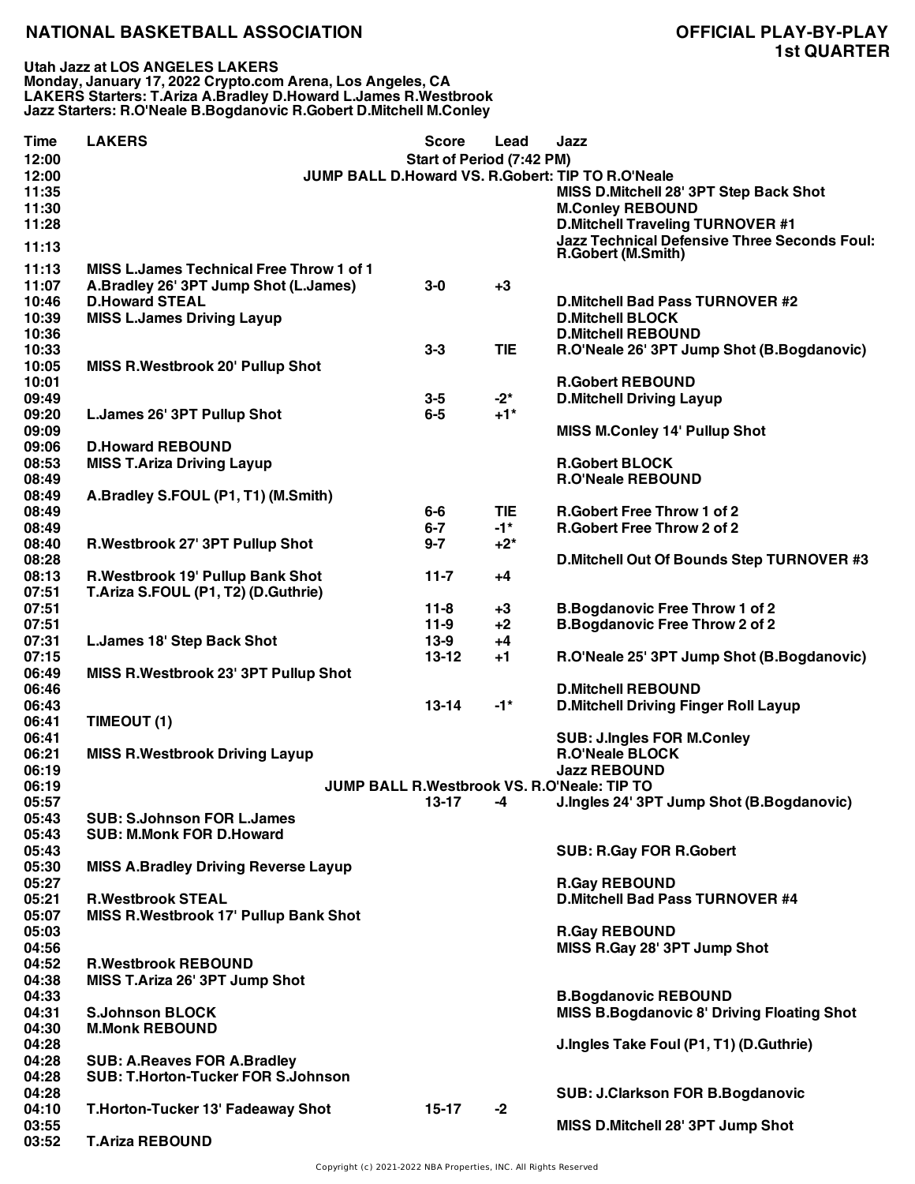**Utah Jazz at LOS ANGELES LAKERS Monday, January 17, 2022 Crypto.com Arena, Los Angeles, CA LAKERS Starters: T.Ariza A.Bradley D.Howard L.James R.Westbrook Jazz Starters: R.O'Neale B.Bogdanovic R.Gobert D.Mitchell M.Conley**

| <b>Time</b> | <b>LAKERS</b>                                    | <b>Score</b>                     | Lead       | Jazz                                                |
|-------------|--------------------------------------------------|----------------------------------|------------|-----------------------------------------------------|
| 12:00       |                                                  | <b>Start of Period (7:42 PM)</b> |            |                                                     |
| 12:00       |                                                  |                                  |            | JUMP BALL D.Howard VS. R.Gobert: TIP TO R.O'Neale   |
| 11:35       |                                                  |                                  |            | MISS D.Mitchell 28' 3PT Step Back Shot              |
| 11:30       |                                                  |                                  |            | <b>M.Conley REBOUND</b>                             |
| 11:28       |                                                  |                                  |            | <b>D.Mitchell Traveling TURNOVER #1</b>             |
|             |                                                  |                                  |            | <b>Jazz Technical Defensive Three Seconds Foul:</b> |
| 11:13       |                                                  |                                  |            | R.Gobert (M.Smith)                                  |
| 11:13       | <b>MISS L. James Technical Free Throw 1 of 1</b> |                                  |            |                                                     |
| 11:07       | A.Bradley 26' 3PT Jump Shot (L.James)            | $3-0$                            | $+3$       |                                                     |
| 10:46       | <b>D.Howard STEAL</b>                            |                                  |            | <b>D.Mitchell Bad Pass TURNOVER #2</b>              |
| 10:39       | <b>MISS L.James Driving Layup</b>                |                                  |            | <b>D.Mitchell BLOCK</b>                             |
| 10:36       |                                                  |                                  |            | <b>D.Mitchell REBOUND</b>                           |
| 10:33       |                                                  | $3-3$                            | <b>TIE</b> | R.O'Neale 26' 3PT Jump Shot (B.Bogdanovic)          |
| 10:05       | <b>MISS R.Westbrook 20' Pullup Shot</b>          |                                  |            |                                                     |
| 10:01       |                                                  |                                  |            | <b>R.Gobert REBOUND</b>                             |
| 09:49       |                                                  | $3-5$                            | $-2^*$     | <b>D.Mitchell Driving Layup</b>                     |
| 09:20       | L.James 26' 3PT Pullup Shot                      | $6-5$                            | $+1*$      |                                                     |
| 09:09       |                                                  |                                  |            |                                                     |
| 09:06       | <b>D.Howard REBOUND</b>                          |                                  |            | <b>MISS M.Conley 14' Pullup Shot</b>                |
|             |                                                  |                                  |            |                                                     |
| 08:53       | <b>MISS T.Ariza Driving Layup</b>                |                                  |            | <b>R.Gobert BLOCK</b>                               |
| 08:49       |                                                  |                                  |            | <b>R.O'Neale REBOUND</b>                            |
| 08:49       | A.Bradley S.FOUL (P1, T1) (M.Smith)              |                                  |            |                                                     |
| 08:49       |                                                  | $6-6$                            | <b>TIE</b> | <b>R.Gobert Free Throw 1 of 2</b>                   |
| 08:49       |                                                  | $6 - 7$                          | $-1*$      | <b>R.Gobert Free Throw 2 of 2</b>                   |
| 08:40       | R.Westbrook 27' 3PT Pullup Shot                  | $9 - 7$                          | $+2^*$     |                                                     |
| 08:28       |                                                  |                                  |            | D. Mitchell Out Of Bounds Step TURNOVER #3          |
| 08:13       | R.Westbrook 19' Pullup Bank Shot                 | $11 - 7$                         | +4         |                                                     |
| 07:51       | T.Ariza S.FOUL (P1, T2) (D.Guthrie)              |                                  |            |                                                     |
| 07:51       |                                                  | $11 - 8$                         | $+3$       | <b>B.Bogdanovic Free Throw 1 of 2</b>               |
| 07:51       |                                                  | $11-9$                           | $+2$       | <b>B.Bogdanovic Free Throw 2 of 2</b>               |
| 07:31       | <b>L.James 18' Step Back Shot</b>                | $13-9$                           | $+4$       |                                                     |
| 07:15       |                                                  | $13 - 12$                        | $+1$       | R.O'Neale 25' 3PT Jump Shot (B.Bogdanovic)          |
| 06:49       | MISS R. Westbrook 23' 3PT Pullup Shot            |                                  |            |                                                     |
| 06:46       |                                                  |                                  |            | <b>D.Mitchell REBOUND</b>                           |
| 06:43       |                                                  | $13 - 14$                        | $-1*$      | <b>D.Mitchell Driving Finger Roll Layup</b>         |
| 06:41       | TIMEOUT (1)                                      |                                  |            |                                                     |
| 06:41       |                                                  |                                  |            | <b>SUB: J.Ingles FOR M.Conley</b>                   |
| 06:21       | <b>MISS R.Westbrook Driving Layup</b>            |                                  |            | <b>R.O'Neale BLOCK</b>                              |
| 06:19       |                                                  |                                  |            | <b>Jazz REBOUND</b>                                 |
|             |                                                  |                                  |            |                                                     |
| 06:19       |                                                  |                                  |            | JUMP BALL R. Westbrook VS. R. O'Neale: TIP TO       |
| 05:57       |                                                  | 13-17                            | -4         | J.Ingles 24' 3PT Jump Shot (B.Bogdanovic)           |
| 05:43       | <b>SUB: S.Johnson FOR L.James</b>                |                                  |            |                                                     |
| 05:43       | <b>SUB: M.Monk FOR D.Howard</b>                  |                                  |            |                                                     |
| 05:43       |                                                  |                                  |            | <b>SUB: R.Gay FOR R.Gobert</b>                      |
| 05:30       | <b>MISS A.Bradley Driving Reverse Layup</b>      |                                  |            |                                                     |
| 05:27       |                                                  |                                  |            | <b>R.Gay REBOUND</b>                                |
| 05:21       | <b>R.Westbrook STEAL</b>                         |                                  |            | <b>D.Mitchell Bad Pass TURNOVER #4</b>              |
| 05:07       | <b>MISS R. Westbrook 17' Pullup Bank Shot</b>    |                                  |            |                                                     |
| 05:03       |                                                  |                                  |            | <b>R.Gay REBOUND</b>                                |
| 04:56       |                                                  |                                  |            | MISS R.Gay 28' 3PT Jump Shot                        |
| 04:52       | <b>R.Westbrook REBOUND</b>                       |                                  |            |                                                     |
| 04:38       | MISS T.Ariza 26' 3PT Jump Shot                   |                                  |            |                                                     |
| 04:33       |                                                  |                                  |            | <b>B.Bogdanovic REBOUND</b>                         |
| 04:31       | <b>S.Johnson BLOCK</b>                           |                                  |            | <b>MISS B.Bogdanovic 8' Driving Floating Shot</b>   |
| 04:30       | <b>M.Monk REBOUND</b>                            |                                  |            |                                                     |
| 04:28       |                                                  |                                  |            | J.Ingles Take Foul (P1, T1) (D.Guthrie)             |
| 04:28       | <b>SUB: A.Reaves FOR A.Bradley</b>               |                                  |            |                                                     |
| 04:28       | <b>SUB: T.Horton-Tucker FOR S.Johnson</b>        |                                  |            |                                                     |
| 04:28       |                                                  |                                  |            | <b>SUB: J.Clarkson FOR B.Bogdanovic</b>             |
| 04:10       | T.Horton-Tucker 13' Fadeaway Shot                | $15-17$                          | $-2$       |                                                     |
| 03:55       |                                                  |                                  |            | MISS D.Mitchell 28' 3PT Jump Shot                   |
| 03:52       | <b>T.Ariza REBOUND</b>                           |                                  |            |                                                     |
|             |                                                  |                                  |            |                                                     |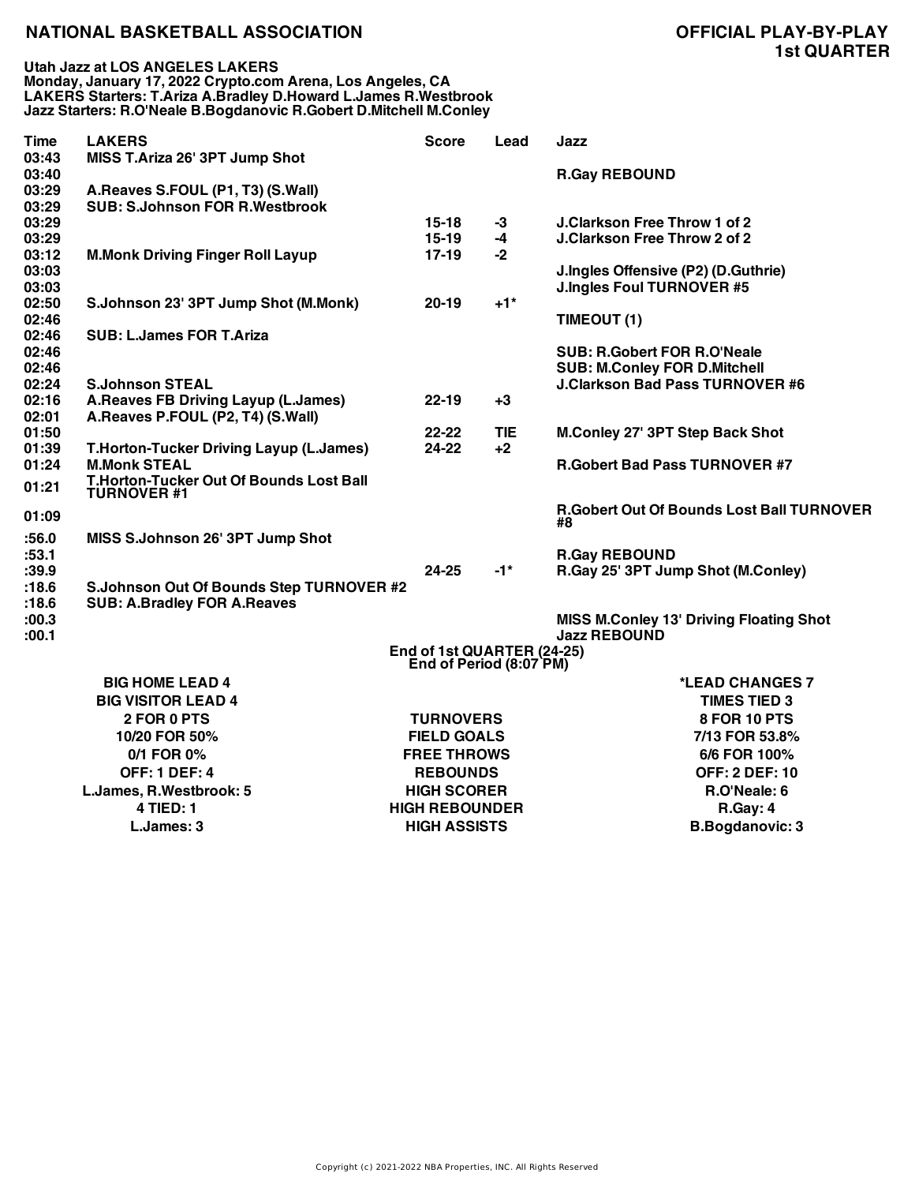| 03:43<br>MISS T.Ariza 26' 3PT Jump Shot<br>03:40<br><b>R.Gay REBOUND</b>                         |  |
|--------------------------------------------------------------------------------------------------|--|
| 03:29<br>A.Reaves S.FOUL (P1, T3) (S.Wall)                                                       |  |
| <b>SUB: S.Johnson FOR R.Westbrook</b><br>03:29                                                   |  |
| 03:29<br>$15-18$<br>J.Clarkson Free Throw 1 of 2<br>$-3$                                         |  |
| $15-19$<br><b>J.Clarkson Free Throw 2 of 2</b><br>03:29<br>$-4$                                  |  |
| $17-19$<br>03:12<br><b>M.Monk Driving Finger Roll Layup</b><br>$-2$                              |  |
| 03:03<br>J.Ingles Offensive (P2) (D.Guthrie)<br>03:03<br><b>J.Ingles Foul TURNOVER #5</b>        |  |
| 02:50<br>S.Johnson 23' 3PT Jump Shot (M.Monk)<br>$+1$ <sup>*</sup><br>$20 - 19$                  |  |
| 02:46<br>TIMEOUT (1)                                                                             |  |
| 02:46<br><b>SUB: L.James FOR T.Ariza</b>                                                         |  |
| 02:46<br><b>SUB: R.Gobert FOR R.O'Neale</b>                                                      |  |
| 02:46<br><b>SUB: M.Conley FOR D.Mitchell</b>                                                     |  |
| <b>S.Johnson STEAL</b><br><b>J.Clarkson Bad Pass TURNOVER #6</b><br>02:24                        |  |
| 02:16<br>A.Reaves FB Driving Layup (L.James)<br>$22 - 19$<br>$+3$                                |  |
| 02:01<br>A.Reaves P.FOUL (P2, T4) (S.Wall)                                                       |  |
| 01:50<br>$22 - 22$<br><b>TIE</b><br>M.Conley 27' 3PT Step Back Shot                              |  |
| 24-22<br>01:39<br>T.Horton-Tucker Driving Layup (L.James)<br>$+2$                                |  |
| <b>M.Monk STEAL</b><br>01:24<br><b>R.Gobert Bad Pass TURNOVER #7</b>                             |  |
| T.Horton-Tucker Out Of Bounds Lost Ball<br>01:21<br><b>TURNOVER #1</b>                           |  |
| R.Gobert Out Of Bounds Lost Ball TURNOVER<br>01:09<br>#8                                         |  |
| :56.0<br>MISS S.Johnson 26' 3PT Jump Shot                                                        |  |
| :53.1<br><b>R.Gay REBOUND</b>                                                                    |  |
| R.Gay 25' 3PT Jump Shot (M.Conley)<br>:39.9<br>24-25<br>$-1*$                                    |  |
| :18.6<br>S.Johnson Out Of Bounds Step TURNOVER #2<br>:18.6<br><b>SUB: A.Bradley FOR A.Reaves</b> |  |
| :00.3<br><b>MISS M.Conley 13' Driving Floating Shot</b>                                          |  |
| <b>Jazz REBOUND</b><br>:00.1                                                                     |  |
| End of 1st QUARTER (24-25)                                                                       |  |
| End of Period (8:07 PM)                                                                          |  |
| <b>BIG HOME LEAD 4</b><br>*LEAD CHANGES 7                                                        |  |
| <b>BIG VISITOR LEAD 4</b><br><b>TIMES TIED 3</b>                                                 |  |
| <b>TURNOVERS</b><br>8 FOR 10 PTS<br>2 FOR 0 PTS                                                  |  |
| 10/20 FOR 50%<br><b>FIELD GOALS</b><br>7/13 FOR 53.8%                                            |  |
| <b>FREE THROWS</b><br>0/1 FOR 0%<br>6/6 FOR 100%                                                 |  |
| <b>OFF: 1 DEF: 4</b><br><b>REBOUNDS</b><br><b>OFF: 2 DEF: 10</b>                                 |  |

**L.James, R.Westbrook: 5 HIGH SCORER R.O'Neale: 6**

**4 TIED: 1 HIGH REBOUNDER R.Gay: 4 L.James: 3 HIGH ASSISTS B.Bogdanovic: 3**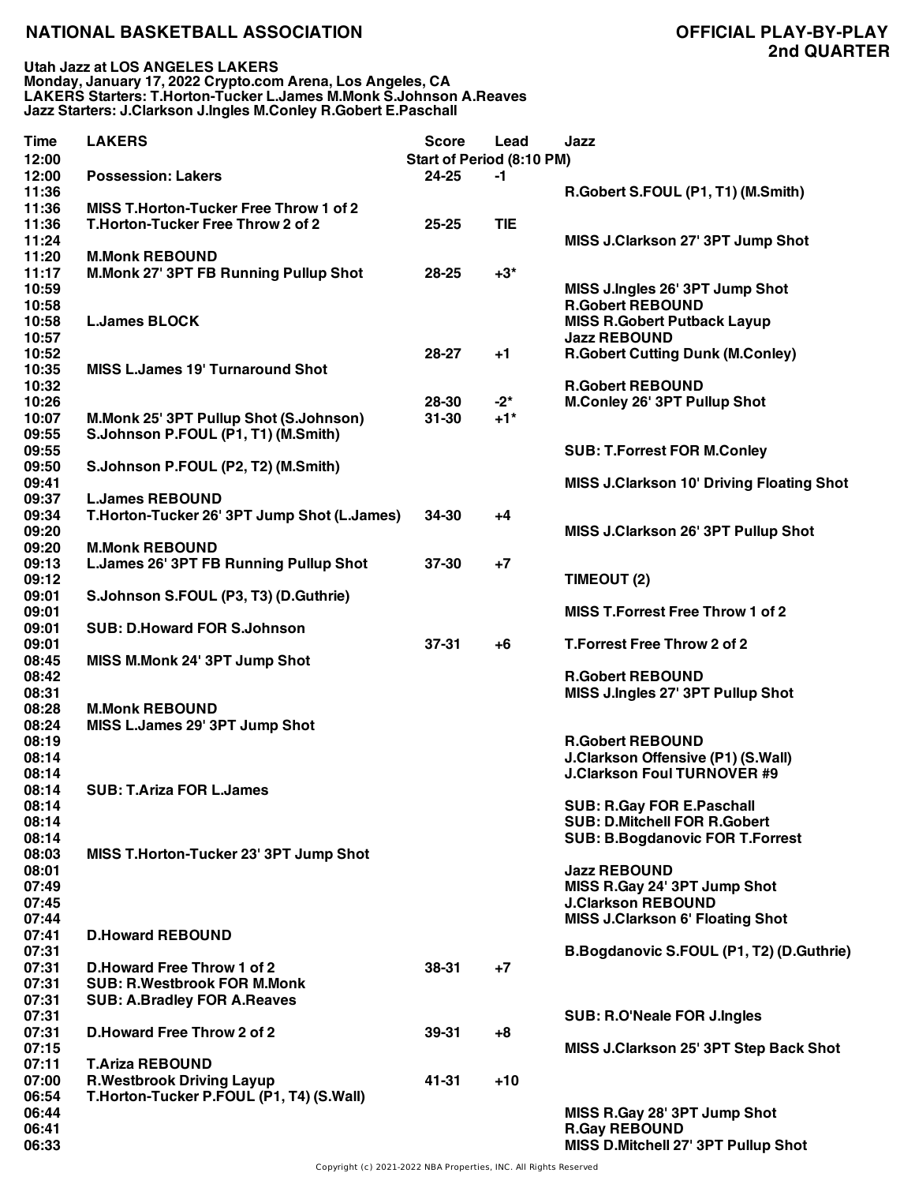**Utah Jazz at LOS ANGELES LAKERS Monday, January 17, 2022 Crypto.com Arena, Los Angeles, CA LAKERS Starters: T.Horton-Tucker L.James M.Monk S.Johnson A.Reaves Jazz Starters: J.Clarkson J.Ingles M.Conley R.Gobert E.Paschall**

| Time  | <b>LAKERS</b>                                 | <b>Score</b>              | Lead       | Jazz                                             |
|-------|-----------------------------------------------|---------------------------|------------|--------------------------------------------------|
| 12:00 |                                               | Start of Period (8:10 PM) |            |                                                  |
| 12:00 | <b>Possession: Lakers</b>                     | 24-25                     | -1         |                                                  |
| 11:36 |                                               |                           |            | R.Gobert S.FOUL (P1, T1) (M.Smith)               |
| 11:36 | <b>MISS T.Horton-Tucker Free Throw 1 of 2</b> |                           |            |                                                  |
| 11:36 | T.Horton-Tucker Free Throw 2 of 2             | 25-25                     | <b>TIE</b> |                                                  |
| 11:24 |                                               |                           |            | MISS J.Clarkson 27' 3PT Jump Shot                |
| 11:20 | <b>M.Monk REBOUND</b>                         |                           |            |                                                  |
| 11:17 | M.Monk 27' 3PT FB Running Pullup Shot         | 28-25                     | $+3*$      |                                                  |
| 10:59 |                                               |                           |            | MISS J.Ingles 26' 3PT Jump Shot                  |
| 10:58 |                                               |                           |            | <b>R.Gobert REBOUND</b>                          |
| 10:58 | <b>L.James BLOCK</b>                          |                           |            | <b>MISS R.Gobert Putback Layup</b>               |
| 10:57 |                                               |                           |            | <b>Jazz REBOUND</b>                              |
|       |                                               |                           |            |                                                  |
| 10:52 |                                               | 28-27                     | +1         | <b>R.Gobert Cutting Dunk (M.Conley)</b>          |
| 10:35 | MISS L.James 19' Turnaround Shot              |                           |            |                                                  |
| 10:32 |                                               |                           |            | <b>R.Gobert REBOUND</b>                          |
| 10:26 |                                               | 28-30                     | $-2^{*}$   | <b>M.Conley 26' 3PT Pullup Shot</b>              |
| 10:07 | M.Monk 25' 3PT Pullup Shot (S.Johnson)        | $31 - 30$                 | $+1*$      |                                                  |
| 09:55 | S.Johnson P.FOUL (P1, T1) (M.Smith)           |                           |            |                                                  |
| 09:55 |                                               |                           |            | <b>SUB: T.Forrest FOR M.Conley</b>               |
| 09:50 | S.Johnson P.FOUL (P2, T2) (M.Smith)           |                           |            |                                                  |
| 09:41 |                                               |                           |            | <b>MISS J.Clarkson 10' Driving Floating Shot</b> |
| 09:37 | <b>L.James REBOUND</b>                        |                           |            |                                                  |
| 09:34 | T.Horton-Tucker 26' 3PT Jump Shot (L.James)   | 34-30                     | +4         |                                                  |
| 09:20 |                                               |                           |            | MISS J.Clarkson 26' 3PT Pullup Shot              |
| 09:20 | <b>M.Monk REBOUND</b>                         |                           |            |                                                  |
| 09:13 | L.James 26' 3PT FB Running Pullup Shot        | $37 - 30$                 | $+7$       |                                                  |
| 09:12 |                                               |                           |            | TIMEOUT (2)                                      |
| 09:01 | S.Johnson S.FOUL (P3, T3) (D.Guthrie)         |                           |            |                                                  |
| 09:01 |                                               |                           |            | <b>MISS T.Forrest Free Throw 1 of 2</b>          |
| 09:01 | <b>SUB: D.Howard FOR S.Johnson</b>            |                           |            |                                                  |
| 09:01 |                                               | $37 - 31$                 | $+6$       | T.Forrest Free Throw 2 of 2                      |
| 08:45 | MISS M.Monk 24' 3PT Jump Shot                 |                           |            |                                                  |
| 08:42 |                                               |                           |            | <b>R.Gobert REBOUND</b>                          |
| 08:31 |                                               |                           |            | MISS J.Ingles 27' 3PT Pullup Shot                |
| 08:28 | <b>M.Monk REBOUND</b>                         |                           |            |                                                  |
| 08:24 | MISS L.James 29' 3PT Jump Shot                |                           |            |                                                  |
| 08:19 |                                               |                           |            | <b>R.Gobert REBOUND</b>                          |
| 08:14 |                                               |                           |            | J.Clarkson Offensive (P1) (S.Wall)               |
| 08:14 |                                               |                           |            | <b>J.Clarkson Foul TURNOVER #9</b>               |
| 08:14 | <b>SUB: T.Ariza FOR L.James</b>               |                           |            |                                                  |
| 08:14 |                                               |                           |            | <b>SUB: R.Gay FOR E.Paschall</b>                 |
| 08:14 |                                               |                           |            | <b>SUB: D.Mitchell FOR R.Gobert</b>              |
| 08:14 |                                               |                           |            | <b>SUB: B.Bogdanovic FOR T.Forrest</b>           |
| 08:03 | MISS T.Horton-Tucker 23' 3PT Jump Shot        |                           |            |                                                  |
| 08:01 |                                               |                           |            | <b>Jazz REBOUND</b>                              |
| 07:49 |                                               |                           |            | MISS R.Gay 24' 3PT Jump Shot                     |
| 07:45 |                                               |                           |            | <b>J.Clarkson REBOUND</b>                        |
| 07:44 |                                               |                           |            | <b>MISS J.Clarkson 6' Floating Shot</b>          |
| 07:41 | <b>D.Howard REBOUND</b>                       |                           |            |                                                  |
| 07:31 |                                               |                           |            | B.Bogdanovic S.FOUL (P1, T2) (D.Guthrie)         |
| 07:31 | D. Howard Free Throw 1 of 2                   | 38-31                     |            |                                                  |
|       |                                               |                           | +7         |                                                  |
| 07:31 | <b>SUB: R.Westbrook FOR M.Monk</b>            |                           |            |                                                  |
| 07:31 | <b>SUB: A.Bradley FOR A.Reaves</b>            |                           |            |                                                  |
| 07:31 |                                               |                           |            | <b>SUB: R.O'Neale FOR J.Ingles</b>               |
| 07:31 | D. Howard Free Throw 2 of 2                   | 39-31                     | $+8$       |                                                  |
| 07:15 |                                               |                           |            | MISS J.Clarkson 25' 3PT Step Back Shot           |
| 07:11 | <b>T.Ariza REBOUND</b>                        |                           |            |                                                  |
| 07:00 | <b>R.Westbrook Driving Layup</b>              | 41-31                     | $+10$      |                                                  |
| 06:54 | T.Horton-Tucker P.FOUL (P1, T4) (S.Wall)      |                           |            |                                                  |
| 06:44 |                                               |                           |            | MISS R.Gay 28' 3PT Jump Shot                     |
| 06:41 |                                               |                           |            | <b>R.Gay REBOUND</b>                             |
| 06:33 |                                               |                           |            | MISS D.Mitchell 27' 3PT Pullup Shot              |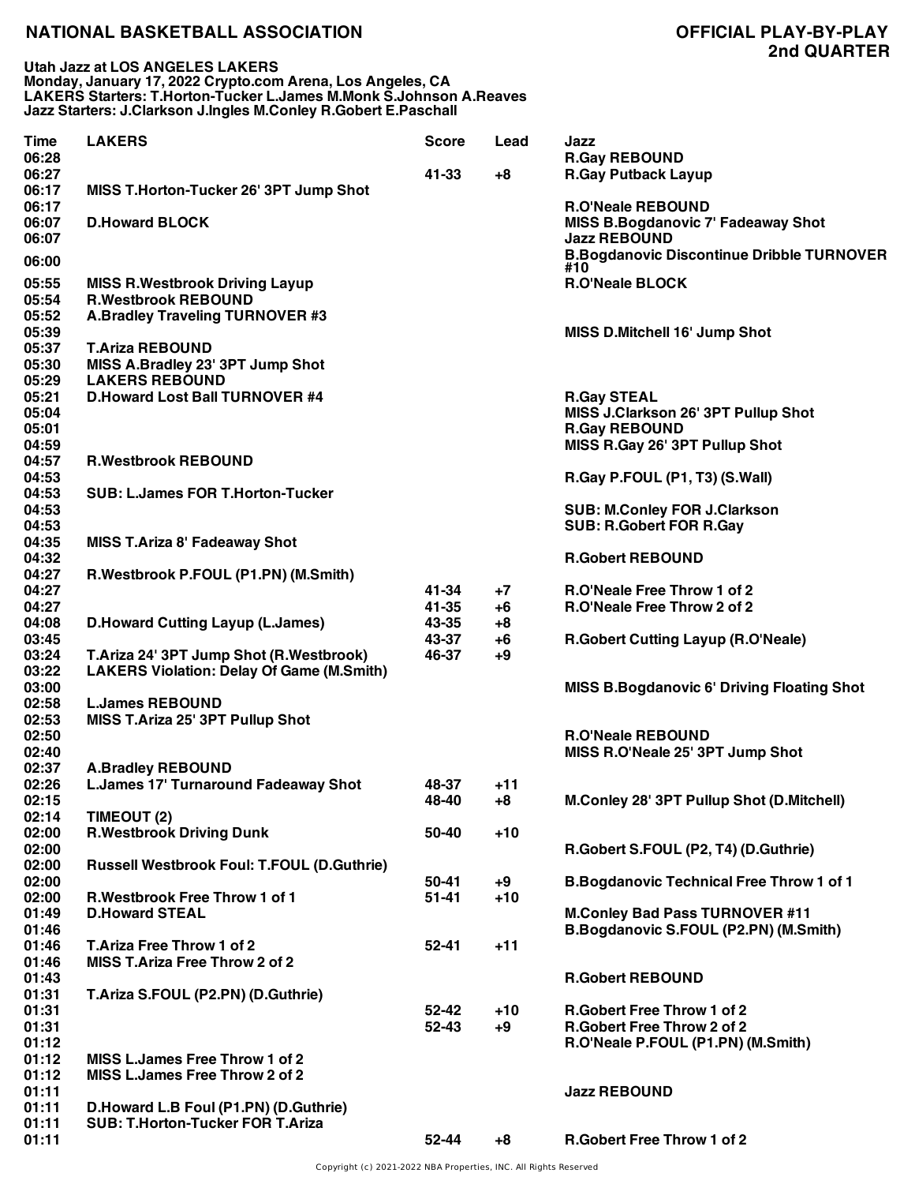**Utah Jazz at LOS ANGELES LAKERS Monday, January 17, 2022 Crypto.com Arena, Los Angeles, CA LAKERS Starters: T.Horton-Tucker L.James M.Monk S.Johnson A.Reaves Jazz Starters: J.Clarkson J.Ingles M.Conley R.Gobert E.Paschall**

| Time<br>06:28  | <b>LAKERS</b>                                                       | <b>Score</b>   | Lead       | Jazz<br><b>R.Gay REBOUND</b>                                                   |
|----------------|---------------------------------------------------------------------|----------------|------------|--------------------------------------------------------------------------------|
| 06:27<br>06:17 | MISS T.Horton-Tucker 26' 3PT Jump Shot                              | 41-33          | +8         | <b>R.Gay Putback Layup</b>                                                     |
| 06:17<br>06:07 | <b>D.Howard BLOCK</b>                                               |                |            | <b>R.O'Neale REBOUND</b><br><b>MISS B.Bogdanovic 7' Fadeaway Shot</b>          |
| 06:07          |                                                                     |                |            | <b>Jazz REBOUND</b><br><b>B.Bogdanovic Discontinue Dribble TURNOVER</b>        |
| 06:00          |                                                                     |                |            | #10                                                                            |
| 05:55<br>05:54 | <b>MISS R.Westbrook Driving Layup</b><br><b>R.Westbrook REBOUND</b> |                |            | <b>R.O'Neale BLOCK</b>                                                         |
| 05:52<br>05:39 | A.Bradley Traveling TURNOVER #3                                     |                |            | MISS D.Mitchell 16' Jump Shot                                                  |
| 05:37<br>05:30 | <b>T.Ariza REBOUND</b><br>MISS A.Bradley 23' 3PT Jump Shot          |                |            |                                                                                |
| 05:29          | <b>LAKERS REBOUND</b>                                               |                |            |                                                                                |
| 05:21          | <b>D.Howard Lost Ball TURNOVER #4</b>                               |                |            | <b>R.Gay STEAL</b>                                                             |
| 05:04<br>05:01 |                                                                     |                |            | MISS J.Clarkson 26' 3PT Pullup Shot<br><b>R.Gay REBOUND</b>                    |
| 04:59          |                                                                     |                |            | MISS R.Gay 26' 3PT Pullup Shot                                                 |
| 04:57<br>04:53 | <b>R.Westbrook REBOUND</b>                                          |                |            | R.Gay P.FOUL (P1, T3) (S.Wall)                                                 |
| 04:53<br>04:53 | <b>SUB: L.James FOR T.Horton-Tucker</b>                             |                |            | <b>SUB: M.Conley FOR J.Clarkson</b>                                            |
| 04:53          |                                                                     |                |            | <b>SUB: R.Gobert FOR R.Gay</b>                                                 |
| 04:35          | <b>MISS T.Ariza 8' Fadeaway Shot</b>                                |                |            |                                                                                |
| 04:32          |                                                                     |                |            | <b>R.Gobert REBOUND</b>                                                        |
| 04:27          | R.Westbrook P.FOUL (P1.PN) (M.Smith)                                |                |            |                                                                                |
| 04:27          |                                                                     | 41-34<br>41-35 | $+7$       | R.O'Neale Free Throw 1 of 2<br>R.O'Neale Free Throw 2 of 2                     |
| 04:27<br>04:08 | <b>D.Howard Cutting Layup (L.James)</b>                             | 43-35          | +6<br>$+8$ |                                                                                |
| 03:45          |                                                                     | 43-37          | $+6$       | <b>R.Gobert Cutting Layup (R.O'Neale)</b>                                      |
| 03:24          | T.Ariza 24' 3PT Jump Shot (R.Westbrook)                             | 46-37          | +9         |                                                                                |
| 03:22          | <b>LAKERS Violation: Delay Of Game (M.Smith)</b>                    |                |            |                                                                                |
| 03:00          |                                                                     |                |            | <b>MISS B.Bogdanovic 6' Driving Floating Shot</b>                              |
| 02:58<br>02:53 | <b>L.James REBOUND</b><br>MISS T.Ariza 25' 3PT Pullup Shot          |                |            |                                                                                |
| 02:50          |                                                                     |                |            | <b>R.O'Neale REBOUND</b>                                                       |
| 02:40          |                                                                     |                |            | MISS R.O'Neale 25' 3PT Jump Shot                                               |
| 02:37          | <b>A.Bradley REBOUND</b>                                            |                |            |                                                                                |
| 02:26          | <b>L.James 17' Turnaround Fadeaway Shot</b>                         | 48-37          | $+11$      |                                                                                |
| 02:15<br>02:14 |                                                                     | 48-40          | $+8$       | M.Conley 28' 3PT Pullup Shot (D.Mitchell)                                      |
| 02:00          | TIMEOUT (2)<br><b>R.Westbrook Driving Dunk</b>                      | 50-40          | $+10$      |                                                                                |
| 02:00          |                                                                     |                |            | R.Gobert S.FOUL (P2, T4) (D.Guthrie)                                           |
| 02:00          | <b>Russell Westbrook Foul: T.FOUL (D.Guthrie)</b>                   |                |            |                                                                                |
| 02:00          |                                                                     | 50-41          | $+9$       | <b>B.Bogdanovic Technical Free Throw 1 of 1</b>                                |
| 02:00          | <b>R.Westbrook Free Throw 1 of 1</b>                                | $51 - 41$      | $+10$      |                                                                                |
| 01:49<br>01:46 | <b>D.Howard STEAL</b>                                               |                |            | <b>M.Conley Bad Pass TURNOVER #11</b><br>B.Bogdanovic S.FOUL (P2.PN) (M.Smith) |
| 01:46          | T.Ariza Free Throw 1 of 2                                           | $52 - 41$      | $+11$      |                                                                                |
| 01:46          | <b>MISS T.Ariza Free Throw 2 of 2</b>                               |                |            |                                                                                |
| 01:43          |                                                                     |                |            | <b>R.Gobert REBOUND</b>                                                        |
| 01:31          | T.Ariza S.FOUL (P2.PN) (D.Guthrie)                                  |                |            |                                                                                |
| 01:31          |                                                                     | $52 - 42$      | $+10$      | <b>R.Gobert Free Throw 1 of 2</b>                                              |
| 01:31<br>01:12 |                                                                     | $52 - 43$      | $+9$       | <b>R.Gobert Free Throw 2 of 2</b><br>R.O'Neale P.FOUL (P1.PN) (M.Smith)        |
| 01:12          | <b>MISS L.James Free Throw 1 of 2</b>                               |                |            |                                                                                |
| 01:12          | MISS L.James Free Throw 2 of 2                                      |                |            |                                                                                |
| 01:11          |                                                                     |                |            | <b>Jazz REBOUND</b>                                                            |
| 01:11          | D.Howard L.B Foul (P1.PN) (D.Guthrie)                               |                |            |                                                                                |
| 01:11          | SUB: T.Horton-Tucker FOR T.Ariza                                    |                |            |                                                                                |
| 01:11          |                                                                     | 52-44          | +8         | <b>R.Gobert Free Throw 1 of 2</b>                                              |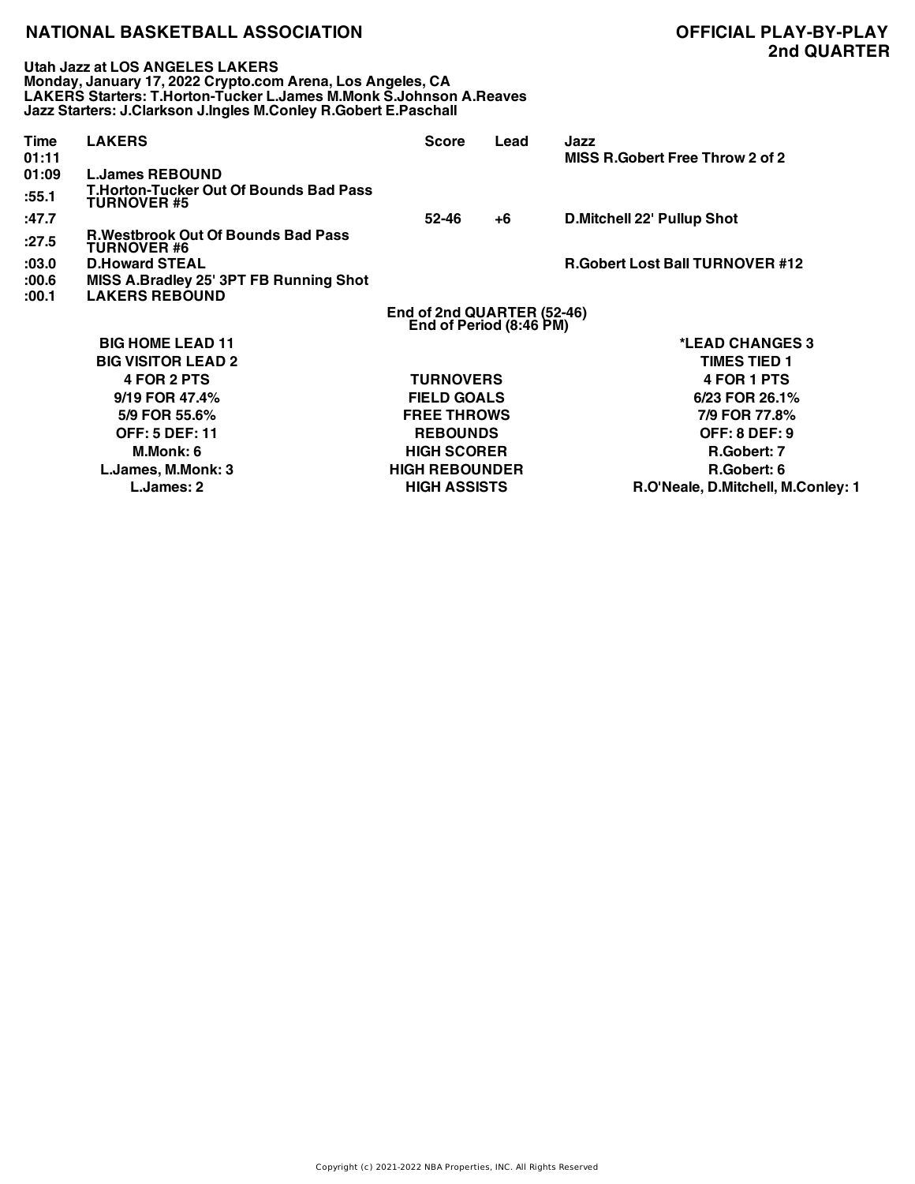**Utah Jazz at LOS ANGELES LAKERS Monday, January 17, 2022 Crypto.com Arena, Los Angeles, CA LAKERS Starters: T.Horton-Tucker L.James M.Monk S.Johnson A.Reaves Jazz Starters: J.Clarkson J.Ingles M.Conley R.Gobert E.Paschall**

| Time<br>01:11 | <b>LAKERS</b>                                                       | <b>Score</b>                                          | Lead | Jazz<br>MISS R.Gobert Free Throw 2 of 2 |
|---------------|---------------------------------------------------------------------|-------------------------------------------------------|------|-----------------------------------------|
| 01:09         | <b>L.James REBOUND</b>                                              |                                                       |      |                                         |
| :55.1         | <b>T.Horton-Tucker Out Of Bounds Bad Pass</b><br><b>TURNOVER #5</b> |                                                       |      |                                         |
| :47.7         |                                                                     | 52-46                                                 | +6   | <b>D.Mitchell 22' Pullup Shot</b>       |
| :27.5         | <b>R.Westbrook Out Of Bounds Bad Pass</b><br><b>TURNOVER #6</b>     |                                                       |      |                                         |
| :03.0         | <b>D.Howard STEAL</b>                                               |                                                       |      | <b>R.Gobert Lost Ball TURNOVER #12</b>  |
| :00.6         | MISS A.Bradley 25' 3PT FB Running Shot                              |                                                       |      |                                         |
| :00.1         | <b>LAKERS REBOUND</b>                                               |                                                       |      |                                         |
|               |                                                                     | End of 2nd QUARTER (52-46)<br>End of Period (8:46 PM) |      |                                         |
|               | <b>BIG HOME LEAD 11</b>                                             |                                                       |      | *LEAD CHANGES 3                         |
|               | <b>BIG VISITOR LEAD 2</b>                                           |                                                       |      | <b>TIMES TIED 1</b>                     |
|               | 4 FOR 2 PTS                                                         | <b>TURNOVERS</b>                                      |      | 4 FOR 1 PTS                             |
|               | 9/19 FOR 47.4%                                                      | <b>FIELD GOALS</b>                                    |      | 6/23 FOR 26.1%                          |
|               | 5/9 FOR 55.6%                                                       | <b>FREE THROWS</b>                                    |      | 7/9 FOR 77.8%                           |
|               | <b>OFF: 5 DEF: 11</b>                                               | <b>REBOUNDS</b>                                       |      | <b>OFF: 8 DEF: 9</b>                    |
|               | M.Monk: 6                                                           | <b>HIGH SCORER</b>                                    |      | R.Gobert: 7                             |
|               | L.James, M.Monk: 3                                                  | <b>HIGH REBOUNDER</b>                                 |      | R.Gobert: 6                             |
|               | L.James: 2                                                          | <b>HIGH ASSISTS</b>                                   |      | R.O'Neale, D.Mitchell, M.Conley: 1      |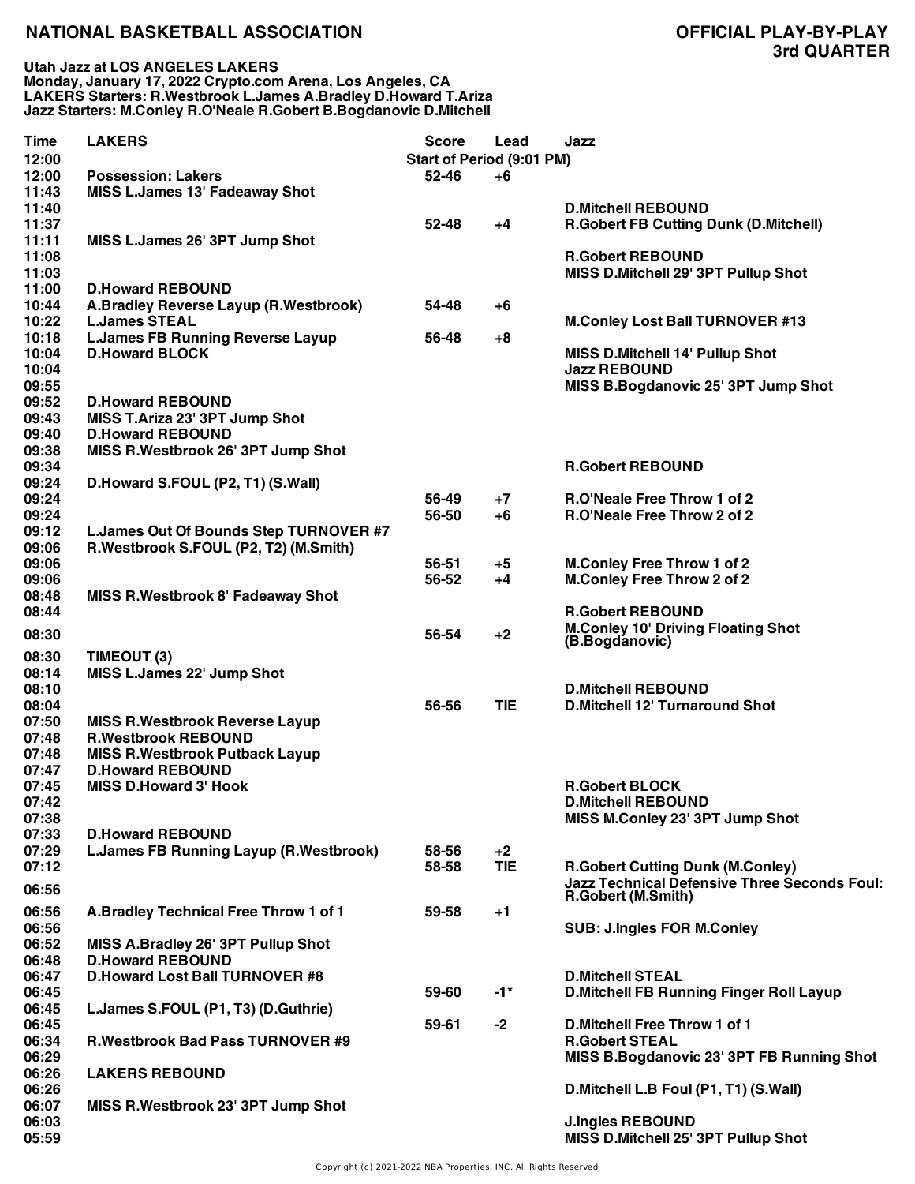| Time  | <b>LAKERS</b>                                 | <b>Score</b>              | Lead       | Jazz                                                           |
|-------|-----------------------------------------------|---------------------------|------------|----------------------------------------------------------------|
| 12:00 |                                               | Start of Period (9:01 PM) |            |                                                                |
| 12:00 | <b>Possession: Lakers</b>                     | 52-46                     | +6         |                                                                |
| 11:43 | <b>MISS L.James 13' Fadeaway Shot</b>         |                           |            |                                                                |
| 11:40 |                                               |                           |            | <b>D.Mitchell REBOUND</b>                                      |
| 11:37 |                                               | $52 - 48$                 | $+4$       | <b>R.Gobert FB Cutting Dunk (D.Mitchell)</b>                   |
| 11:11 | MISS L.James 26' 3PT Jump Shot                |                           |            |                                                                |
| 11:08 |                                               |                           |            | <b>R.Gobert REBOUND</b>                                        |
| 11:03 |                                               |                           |            | MISS D.Mitchell 29' 3PT Pullup Shot                            |
| 11:00 | <b>D.Howard REBOUND</b>                       |                           |            |                                                                |
| 10:44 |                                               | 54-48                     | $+6$       |                                                                |
|       | A.Bradley Reverse Layup (R.Westbrook)         |                           |            |                                                                |
| 10:22 | <b>L.James STEAL</b>                          |                           |            | <b>M.Conley Lost Ball TURNOVER #13</b>                         |
| 10:18 | <b>L.James FB Running Reverse Layup</b>       | 56-48                     | +8         |                                                                |
| 10:04 | <b>D.Howard BLOCK</b>                         |                           |            | <b>MISS D.Mitchell 14' Pullup Shot</b>                         |
| 10:04 |                                               |                           |            | <b>Jazz REBOUND</b>                                            |
| 09:55 |                                               |                           |            | MISS B.Bogdanovic 25' 3PT Jump Shot                            |
| 09:52 | <b>D.Howard REBOUND</b>                       |                           |            |                                                                |
| 09:43 | MISS T.Ariza 23' 3PT Jump Shot                |                           |            |                                                                |
| 09:40 | <b>D.Howard REBOUND</b>                       |                           |            |                                                                |
| 09:38 | MISS R.Westbrook 26' 3PT Jump Shot            |                           |            |                                                                |
| 09:34 |                                               |                           |            | <b>R.Gobert REBOUND</b>                                        |
| 09:24 | D.Howard S.FOUL (P2, T1) (S.Wall)             |                           |            |                                                                |
| 09:24 |                                               | 56-49                     | $+7$       | R.O'Neale Free Throw 1 of 2                                    |
| 09:24 |                                               | 56-50                     | +6         | R.O'Neale Free Throw 2 of 2                                    |
| 09:12 | L.James Out Of Bounds Step TURNOVER #7        |                           |            |                                                                |
| 09:06 | R.Westbrook S.FOUL (P2, T2) (M.Smith)         |                           |            |                                                                |
| 09:06 |                                               | 56-51                     | $+5$       | <b>M.Conley Free Throw 1 of 2</b>                              |
| 09:06 |                                               | 56-52                     | +4         | <b>M.Conley Free Throw 2 of 2</b>                              |
| 08:48 | MISS R. Westbrook 8' Fadeaway Shot            |                           |            |                                                                |
|       |                                               |                           |            |                                                                |
| 08:44 |                                               |                           |            | <b>R.Gobert REBOUND</b>                                        |
| 08:30 |                                               | 56-54                     | $+2$       | <b>M.Conley 10' Driving Floating Shot</b><br>(B.Bogdanovic)    |
| 08:30 | TIMEOUT (3)                                   |                           |            |                                                                |
| 08:14 | MISS L.James 22' Jump Shot                    |                           |            |                                                                |
| 08:10 |                                               |                           |            | <b>D.Mitchell REBOUND</b>                                      |
| 08:04 |                                               | 56-56                     | <b>TIE</b> | <b>D.Mitchell 12' Turnaround Shot</b>                          |
|       |                                               |                           |            |                                                                |
| 07:50 | <b>MISS R. Westbrook Reverse Layup</b>        |                           |            |                                                                |
| 07:48 | <b>R.Westbrook REBOUND</b>                    |                           |            |                                                                |
| 07:48 | <b>MISS R.Westbrook Putback Layup</b>         |                           |            |                                                                |
| 07:47 | <b>D.Howard REBOUND</b>                       |                           |            |                                                                |
| 07:45 | <b>MISS D.Howard 3' Hook</b>                  |                           |            | <b>R.Gobert BLOCK</b>                                          |
| 07:42 |                                               |                           |            | <b>D.Mitchell REBOUND</b>                                      |
| 07:38 |                                               |                           |            | MISS M.Conley 23' 3PT Jump Shot                                |
| 07:33 | <b>D.Howard REBOUND</b>                       |                           |            |                                                                |
| 07:29 | <b>L.James FB Running Layup (R.Westbrook)</b> | 58-56                     | $+2$       |                                                                |
| 07:12 |                                               | 58-58                     | <b>TIE</b> | <b>R.Gobert Cutting Dunk (M.Conley)</b>                        |
| 06:56 |                                               |                           |            | <b>Jazz Technical Defensive Three Seconds Foul:</b>            |
|       |                                               |                           |            | R.Gobert (M.Smith)                                             |
| 06:56 | A.Bradley Technical Free Throw 1 of 1         | 59-58                     | $+1$       |                                                                |
| 06:56 |                                               |                           |            | <b>SUB: J.Ingles FOR M.Conley</b>                              |
| 06:52 | MISS A.Bradley 26' 3PT Pullup Shot            |                           |            |                                                                |
| 06:48 | <b>D.Howard REBOUND</b>                       |                           |            |                                                                |
| 06:47 | <b>D.Howard Lost Ball TURNOVER #8</b>         |                           |            | <b>D.Mitchell STEAL</b>                                        |
| 06:45 |                                               | 59-60                     | $-1*$      | <b>D.Mitchell FB Running Finger Roll Layup</b>                 |
| 06:45 | L.James S.FOUL (P1, T3) (D.Guthrie)           |                           |            |                                                                |
| 06:45 |                                               | 59-61                     | $-2$       | <b>D.Mitchell Free Throw 1 of 1</b>                            |
| 06:34 | <b>R.Westbrook Bad Pass TURNOVER #9</b>       |                           |            | <b>R.Gobert STEAL</b>                                          |
| 06:29 |                                               |                           |            | MISS B.Bogdanovic 23' 3PT FB Running Shot                      |
| 06:26 | <b>LAKERS REBOUND</b>                         |                           |            |                                                                |
| 06:26 |                                               |                           |            | D. Mitchell L.B Foul (P1, T1) (S. Wall)                        |
| 06:07 | MISS R.Westbrook 23' 3PT Jump Shot            |                           |            |                                                                |
| 06:03 |                                               |                           |            |                                                                |
| 05:59 |                                               |                           |            | <b>J.Ingles REBOUND</b><br>MISS D.Mitchell 25' 3PT Pullup Shot |
|       |                                               |                           |            |                                                                |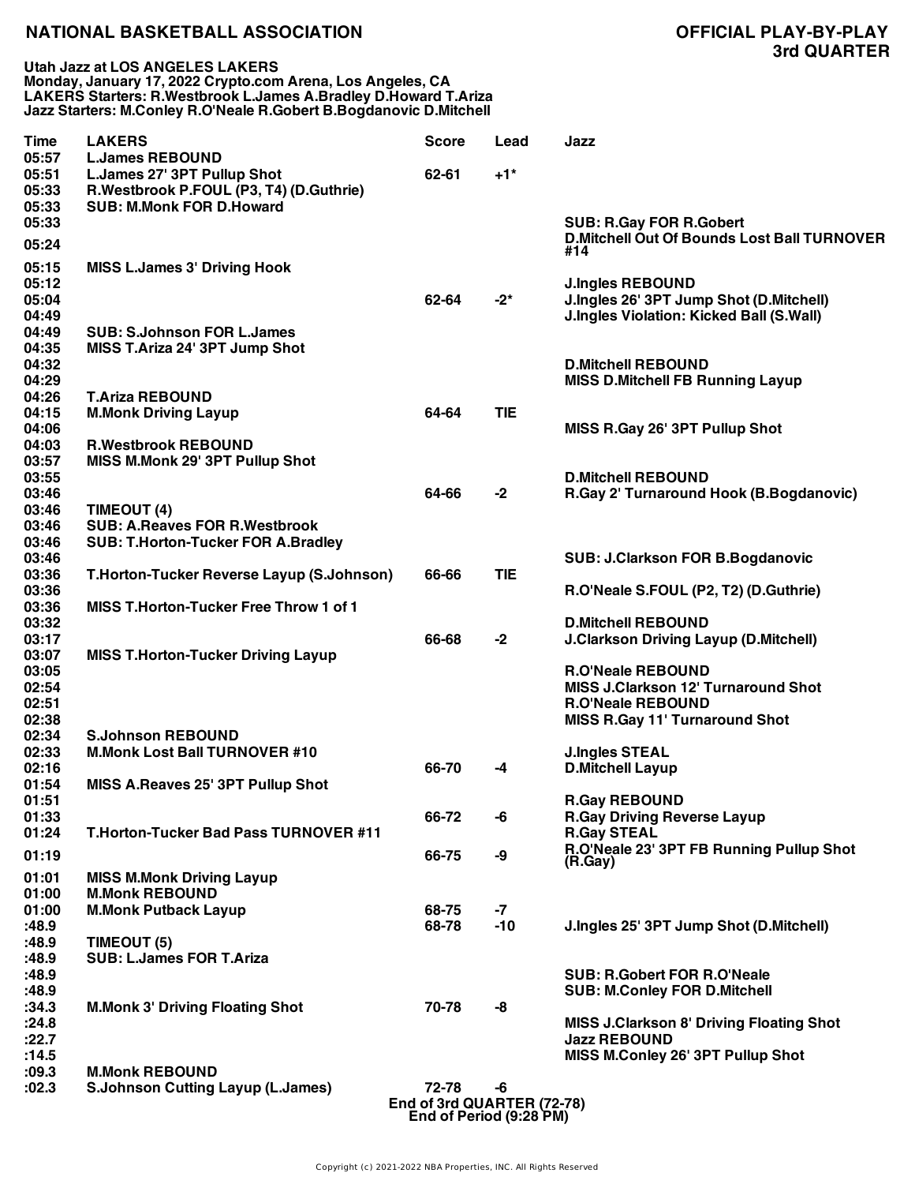| Time           | <b>LAKERS</b>                                  | <b>Score</b>               | Lead       | Jazz                                                      |
|----------------|------------------------------------------------|----------------------------|------------|-----------------------------------------------------------|
| 05:57          | <b>L.James REBOUND</b>                         |                            |            |                                                           |
| 05:51          | L.James 27' 3PT Pullup Shot                    | 62-61                      | $+1*$      |                                                           |
| 05:33          | R.Westbrook P.FOUL (P3, T4) (D.Guthrie)        |                            |            |                                                           |
| 05:33          | <b>SUB: M.Monk FOR D.Howard</b>                |                            |            |                                                           |
| 05:33          |                                                |                            |            | <b>SUB: R.Gay FOR R.Gobert</b>                            |
| 05:24          |                                                |                            |            | <b>D.Mitchell Out Of Bounds Lost Ball TURNOVER</b><br>#14 |
| 05:15          | <b>MISS L.James 3' Driving Hook</b>            |                            |            |                                                           |
| 05:12          |                                                |                            |            | <b>J.Ingles REBOUND</b>                                   |
| 05:04          |                                                | 62-64                      | $-2^{*}$   | J.Ingles 26' 3PT Jump Shot (D.Mitchell)                   |
| 04:49          |                                                |                            |            | <b>J.Ingles Violation: Kicked Ball (S.Wall)</b>           |
| 04:49          | <b>SUB: S.Johnson FOR L.James</b>              |                            |            |                                                           |
| 04:35          | MISS T.Ariza 24' 3PT Jump Shot                 |                            |            |                                                           |
| 04:32          |                                                |                            |            | <b>D.Mitchell REBOUND</b>                                 |
| 04:29          |                                                |                            |            | <b>MISS D.Mitchell FB Running Layup</b>                   |
| 04:26          | <b>T.Ariza REBOUND</b>                         |                            |            |                                                           |
| 04:15          | <b>M.Monk Driving Layup</b>                    | 64-64                      | <b>TIE</b> |                                                           |
| 04:06          |                                                |                            |            | MISS R.Gay 26' 3PT Pullup Shot                            |
| 04:03          | <b>R.Westbrook REBOUND</b>                     |                            |            |                                                           |
| 03:57          | MISS M.Monk 29' 3PT Pullup Shot                |                            |            |                                                           |
| 03:55          |                                                |                            |            | <b>D.Mitchell REBOUND</b>                                 |
| 03:46          |                                                | 64-66                      | $-2$       | R.Gay 2' Turnaround Hook (B.Bogdanovic)                   |
| 03:46          | TIMEOUT (4)                                    |                            |            |                                                           |
| 03:46          | <b>SUB: A.Reaves FOR R.Westbrook</b>           |                            |            |                                                           |
| 03:46          | <b>SUB: T.Horton-Tucker FOR A.Bradley</b>      |                            |            |                                                           |
| 03:46          |                                                |                            |            | <b>SUB: J.Clarkson FOR B.Bogdanovic</b>                   |
| 03:36          | T.Horton-Tucker Reverse Layup (S.Johnson)      | 66-66                      | <b>TIE</b> |                                                           |
| 03:36          |                                                |                            |            | R.O'Neale S.FOUL (P2, T2) (D.Guthrie)                     |
| 03:36          | <b>MISS T.Horton-Tucker Free Throw 1 of 1</b>  |                            |            |                                                           |
| 03:32          |                                                |                            |            | <b>D.Mitchell REBOUND</b>                                 |
| 03:17          |                                                | 66-68                      | $-2$       | <b>J.Clarkson Driving Layup (D.Mitchell)</b>              |
| 03:07          | <b>MISS T.Horton-Tucker Driving Layup</b>      |                            |            |                                                           |
| 03:05          |                                                |                            |            | <b>R.O'Neale REBOUND</b>                                  |
| 02:54          |                                                |                            |            | <b>MISS J.Clarkson 12' Turnaround Shot</b>                |
| 02:51          |                                                |                            |            | <b>R.O'Neale REBOUND</b>                                  |
| 02:38          |                                                |                            |            | <b>MISS R.Gay 11' Turnaround Shot</b>                     |
| 02:34          | <b>S.Johnson REBOUND</b>                       |                            |            |                                                           |
| 02:33          | <b>M.Monk Lost Ball TURNOVER #10</b>           |                            |            | <b>J.Ingles STEAL</b>                                     |
| 02:16          |                                                | 66-70                      | $-4$       | <b>D.Mitchell Layup</b>                                   |
| 01:54          | MISS A.Reaves 25' 3PT Pullup Shot              |                            |            |                                                           |
| 01:51          |                                                |                            |            | <b>R.Gay REBOUND</b>                                      |
| 01:33          |                                                | 66-72                      | -6         | <b>R.Gay Driving Reverse Layup</b>                        |
| 01:24          | <b>T.Horton-Tucker Bad Pass TURNOVER #11</b>   |                            |            | <b>R.Gay STEAL</b>                                        |
| 01:19          |                                                | 66-75                      | -9         | R.O'Neale 23' 3PT FB Running Pullup Shot                  |
|                |                                                |                            |            | (R.Gay)                                                   |
| 01:01          | <b>MISS M.Monk Driving Layup</b>               |                            |            |                                                           |
| 01:00          | <b>M.Monk REBOUND</b>                          |                            |            |                                                           |
| 01:00          | <b>M.Monk Putback Layup</b>                    | 68-75                      | $-7$       |                                                           |
| :48.9          |                                                | 68-78                      | $-10$      | J.Ingles 25' 3PT Jump Shot (D.Mitchell)                   |
| :48.9          | TIMEOUT (5)<br><b>SUB: L.James FOR T.Ariza</b> |                            |            |                                                           |
| :48.9<br>:48.9 |                                                |                            |            | <b>SUB: R.Gobert FOR R.O'Neale</b>                        |
| :48.9          |                                                |                            |            | <b>SUB: M.Conley FOR D.Mitchell</b>                       |
| :34.3          | <b>M.Monk 3' Driving Floating Shot</b>         | 70-78                      | -8         |                                                           |
| :24.8          |                                                |                            |            | <b>MISS J.Clarkson 8' Driving Floating Shot</b>           |
| :22.7          |                                                |                            |            | <b>Jazz REBOUND</b>                                       |
| :14.5          |                                                |                            |            | MISS M.Conley 26' 3PT Pullup Shot                         |
| :09.3          | <b>M.Monk REBOUND</b>                          |                            |            |                                                           |
| :02.3          | <b>S.Johnson Cutting Layup (L.James)</b>       | 72-78                      | -6         |                                                           |
|                |                                                | End of 3rd QUARTER (72-78) |            |                                                           |
|                |                                                |                            |            |                                                           |

**End of Period (9:28 PM)**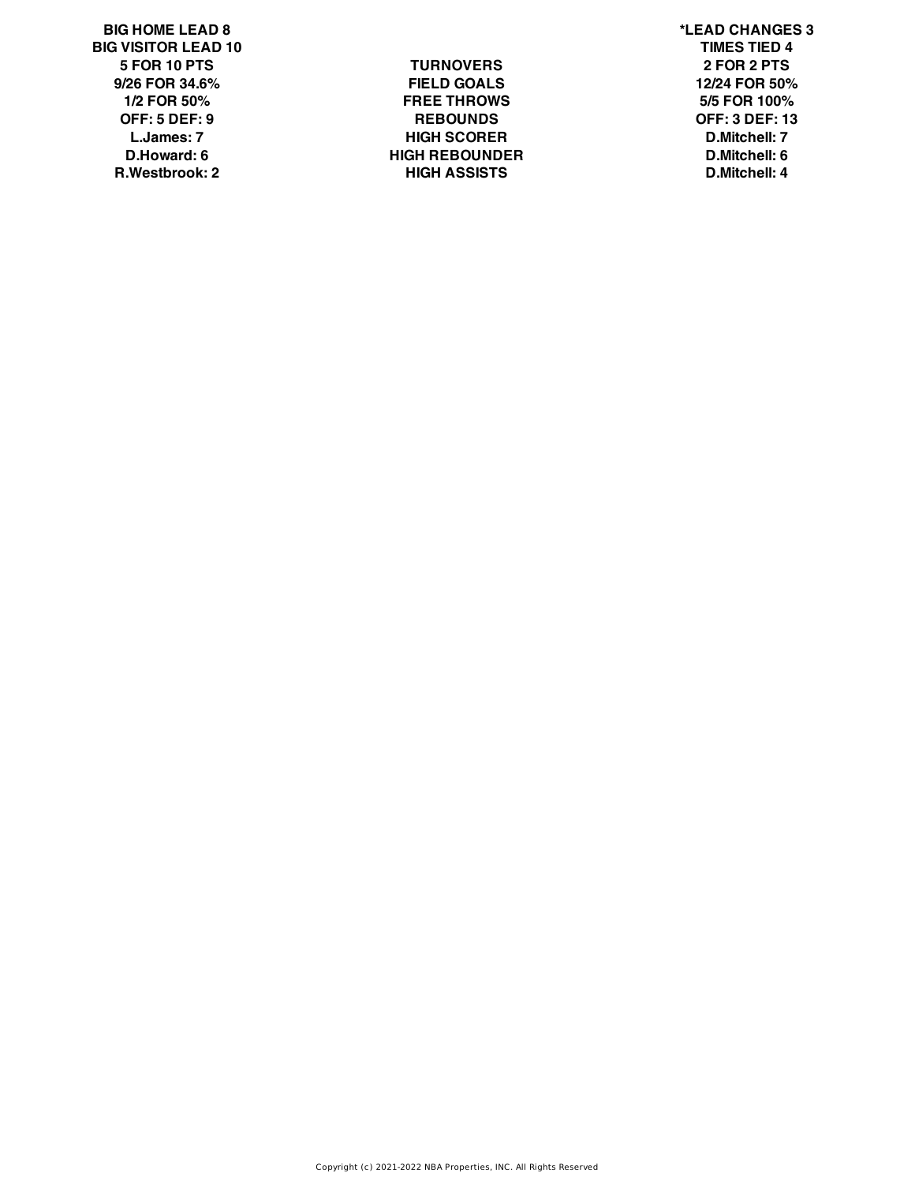**BIG HOME LEAD 8 \*LEAD CHANGES 3 BIG VISITOR LEAD 10 TIMES TIED 4**

**5 FOR 10 PTS TURNOVERS 2 FOR 2 PTS 9/26 FOR 34.6% FIELD GOALS 12/24 FOR 50% 1/2 FOR 50% FREE THROWS 5/5 FOR 100% OFF: 5 DEF: 9 REBOUNDS OFF: 3 DEF: 13 L.James: 7 HIGH SCORER D.Mitchell: 7 D.Howard: 6 HIGH REBOUNDER D.Mitchell: 6 R.Westbrook: 2 HIGH ASSISTS D.Mitchell: 4**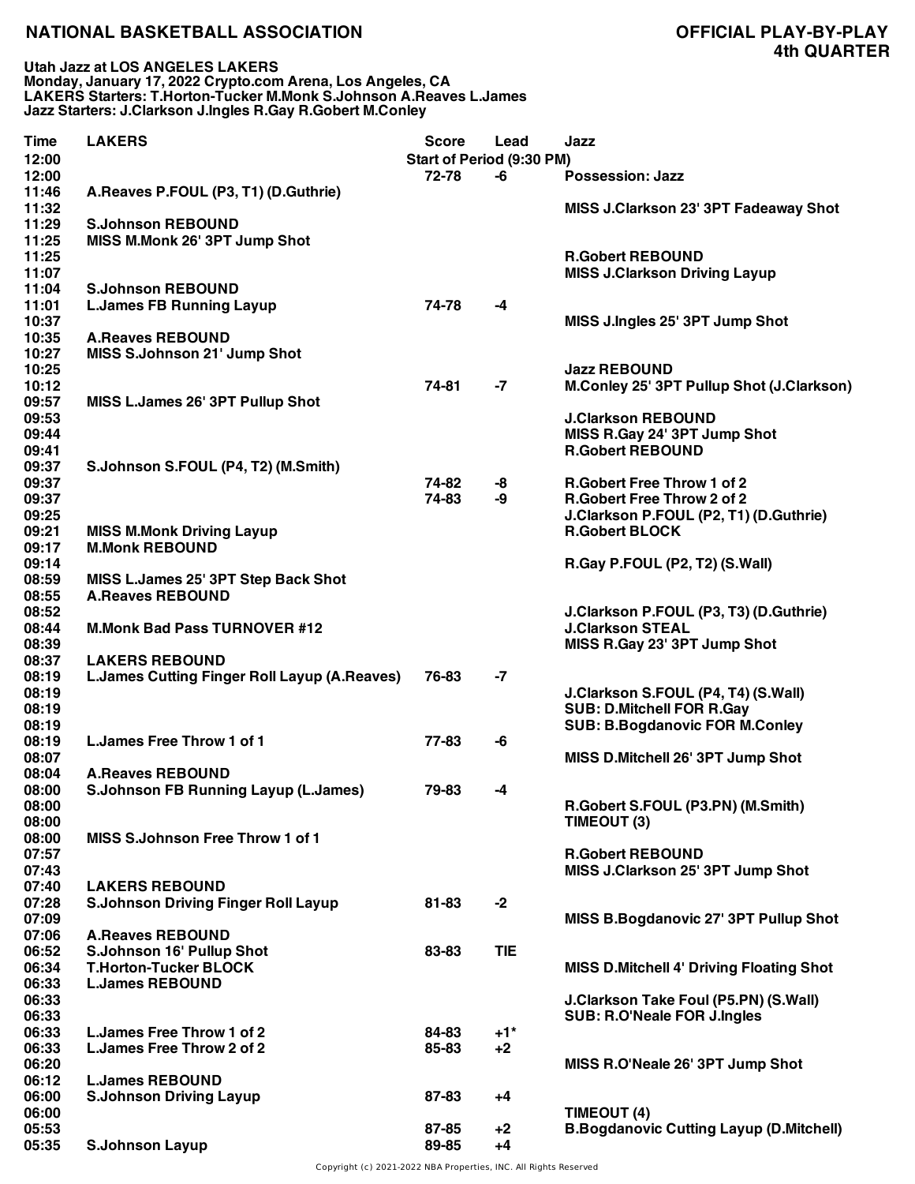**Utah Jazz at LOS ANGELES LAKERS Monday, January 17, 2022 Crypto.com Arena, Los Angeles, CA LAKERS Starters: T.Horton-Tucker M.Monk S.Johnson A.Reaves L.James Jazz Starters: J.Clarkson J.Ingles R.Gay R.Gobert M.Conley**

| Start of Period (9:30 PM)<br>12:00<br>12:00<br>72-78<br><b>Possession: Jazz</b><br>-6<br>A.Reaves P.FOUL (P3, T1) (D.Guthrie)<br>11:46<br>11:32<br>MISS J.Clarkson 23' 3PT Fadeaway Shot<br>11:29<br><b>S.Johnson REBOUND</b><br>11:25<br>MISS M.Monk 26' 3PT Jump Shot<br>11:25<br><b>R.Gobert REBOUND</b><br>11:07<br><b>MISS J.Clarkson Driving Layup</b><br>11:04<br><b>S.Johnson REBOUND</b><br>11:01<br><b>L.James FB Running Layup</b><br>74-78<br>-4<br>10:37<br>MISS J.Ingles 25' 3PT Jump Shot<br>10:35<br><b>A.Reaves REBOUND</b><br>10:27<br>MISS S.Johnson 21' Jump Shot<br>10:25<br><b>Jazz REBOUND</b><br>10:12<br>74-81<br>-7<br>09:57<br>MISS L.James 26' 3PT Pullup Shot<br>09:53<br><b>J.Clarkson REBOUND</b><br>09:44<br>MISS R.Gay 24' 3PT Jump Shot<br><b>R.Gobert REBOUND</b><br>09:41<br>09:37<br>S.Johnson S.FOUL (P4, T2) (M.Smith)<br>09:37<br>74-82<br><b>R.Gobert Free Throw 1 of 2</b><br>-8<br>09:37<br>74-83<br>-9<br><b>R.Gobert Free Throw 2 of 2</b><br>09:25<br>J.Clarkson P.FOUL (P2, T1) (D.Guthrie)<br>09:21<br><b>R.Gobert BLOCK</b><br><b>MISS M.Monk Driving Layup</b><br>09:17<br><b>M.Monk REBOUND</b><br>09:14<br>R.Gay P.FOUL (P2, T2) (S.Wall)<br>08:59<br>MISS L.James 25' 3PT Step Back Shot<br>08:55<br><b>A.Reaves REBOUND</b><br>08:52<br>J.Clarkson P.FOUL (P3, T3) (D.Guthrie)<br>08:44<br><b>J.Clarkson STEAL</b><br><b>M.Monk Bad Pass TURNOVER #12</b><br>08:39<br>MISS R.Gay 23' 3PT Jump Shot<br>08:37<br><b>LAKERS REBOUND</b><br>08:19<br><b>L.James Cutting Finger Roll Layup (A.Reaves)</b><br>76-83<br>-7<br>08:19<br>J.Clarkson S.FOUL (P4, T4) (S.Wall)<br>08:19<br><b>SUB: D.Mitchell FOR R.Gay</b><br>08:19<br><b>SUB: B.Bogdanovic FOR M.Conley</b><br>L. James Free Throw 1 of 1<br>08:19<br>77-83<br>-6<br>08:07<br>MISS D.Mitchell 26' 3PT Jump Shot<br>08:04<br><b>A.Reaves REBOUND</b><br><b>S.Johnson FB Running Layup (L.James)</b><br>08:00<br>79-83<br>-4<br>08:00<br>R.Gobert S.FOUL (P3.PN) (M.Smith)<br>08:00<br>TIMEOUT (3)<br>08:00<br><b>MISS S.Johnson Free Throw 1 of 1</b><br>07:57<br><b>R.Gobert REBOUND</b><br>07:43<br>MISS J.Clarkson 25' 3PT Jump Shot<br>07:40<br><b>LAKERS REBOUND</b><br>07:28<br>$-2$<br><b>S.Johnson Driving Finger Roll Layup</b><br>81-83<br>07:09<br>MISS B.Bogdanovic 27' 3PT Pullup Shot<br>07:06<br><b>A.Reaves REBOUND</b><br>06:52<br>S.Johnson 16' Pullup Shot<br><b>TIE</b><br>83-83<br>06:34<br><b>T.Horton-Tucker BLOCK</b><br><b>MISS D.Mitchell 4' Driving Floating Shot</b><br>06:33<br><b>L.James REBOUND</b><br>06:33<br>J.Clarkson Take Foul (P5.PN) (S.Wall)<br>06:33<br><b>SUB: R.O'Neale FOR J.Ingles</b><br>06:33<br>L. James Free Throw 1 of 2<br>$+1$ <sup>*</sup><br>84-83<br>06:33<br>L. James Free Throw 2 of 2<br>85-83<br>$+2$<br>06:20<br>MISS R.O'Neale 26' 3PT Jump Shot<br>06:12<br><b>L.James REBOUND</b><br>06:00<br><b>S.Johnson Driving Layup</b><br>87-83<br>$+4$<br>06:00<br>TIMEOUT (4)<br>05:53<br><b>B.Bogdanovic Cutting Layup (D.Mitchell)</b><br>87-85<br>$+2$<br>05:35<br><b>S.Johnson Layup</b><br>89-85<br>$+4$ | <b>Time</b> | <b>LAKERS</b> | <b>Score</b> | Lead | Jazz                                      |
|-----------------------------------------------------------------------------------------------------------------------------------------------------------------------------------------------------------------------------------------------------------------------------------------------------------------------------------------------------------------------------------------------------------------------------------------------------------------------------------------------------------------------------------------------------------------------------------------------------------------------------------------------------------------------------------------------------------------------------------------------------------------------------------------------------------------------------------------------------------------------------------------------------------------------------------------------------------------------------------------------------------------------------------------------------------------------------------------------------------------------------------------------------------------------------------------------------------------------------------------------------------------------------------------------------------------------------------------------------------------------------------------------------------------------------------------------------------------------------------------------------------------------------------------------------------------------------------------------------------------------------------------------------------------------------------------------------------------------------------------------------------------------------------------------------------------------------------------------------------------------------------------------------------------------------------------------------------------------------------------------------------------------------------------------------------------------------------------------------------------------------------------------------------------------------------------------------------------------------------------------------------------------------------------------------------------------------------------------------------------------------------------------------------------------------------------------------------------------------------------------------------------------------------------------------------------------------------------------------------------------------------------------------------------------------------------------------------------------------------------------------------------------------------------------------------------------------------------------------------------------------------------------------------------------------------------------------------------------------------------------------------------------------------------------------------------------------------|-------------|---------------|--------------|------|-------------------------------------------|
|                                                                                                                                                                                                                                                                                                                                                                                                                                                                                                                                                                                                                                                                                                                                                                                                                                                                                                                                                                                                                                                                                                                                                                                                                                                                                                                                                                                                                                                                                                                                                                                                                                                                                                                                                                                                                                                                                                                                                                                                                                                                                                                                                                                                                                                                                                                                                                                                                                                                                                                                                                                                                                                                                                                                                                                                                                                                                                                                                                                                                                                                                   |             |               |              |      |                                           |
|                                                                                                                                                                                                                                                                                                                                                                                                                                                                                                                                                                                                                                                                                                                                                                                                                                                                                                                                                                                                                                                                                                                                                                                                                                                                                                                                                                                                                                                                                                                                                                                                                                                                                                                                                                                                                                                                                                                                                                                                                                                                                                                                                                                                                                                                                                                                                                                                                                                                                                                                                                                                                                                                                                                                                                                                                                                                                                                                                                                                                                                                                   |             |               |              |      |                                           |
|                                                                                                                                                                                                                                                                                                                                                                                                                                                                                                                                                                                                                                                                                                                                                                                                                                                                                                                                                                                                                                                                                                                                                                                                                                                                                                                                                                                                                                                                                                                                                                                                                                                                                                                                                                                                                                                                                                                                                                                                                                                                                                                                                                                                                                                                                                                                                                                                                                                                                                                                                                                                                                                                                                                                                                                                                                                                                                                                                                                                                                                                                   |             |               |              |      |                                           |
|                                                                                                                                                                                                                                                                                                                                                                                                                                                                                                                                                                                                                                                                                                                                                                                                                                                                                                                                                                                                                                                                                                                                                                                                                                                                                                                                                                                                                                                                                                                                                                                                                                                                                                                                                                                                                                                                                                                                                                                                                                                                                                                                                                                                                                                                                                                                                                                                                                                                                                                                                                                                                                                                                                                                                                                                                                                                                                                                                                                                                                                                                   |             |               |              |      |                                           |
|                                                                                                                                                                                                                                                                                                                                                                                                                                                                                                                                                                                                                                                                                                                                                                                                                                                                                                                                                                                                                                                                                                                                                                                                                                                                                                                                                                                                                                                                                                                                                                                                                                                                                                                                                                                                                                                                                                                                                                                                                                                                                                                                                                                                                                                                                                                                                                                                                                                                                                                                                                                                                                                                                                                                                                                                                                                                                                                                                                                                                                                                                   |             |               |              |      |                                           |
|                                                                                                                                                                                                                                                                                                                                                                                                                                                                                                                                                                                                                                                                                                                                                                                                                                                                                                                                                                                                                                                                                                                                                                                                                                                                                                                                                                                                                                                                                                                                                                                                                                                                                                                                                                                                                                                                                                                                                                                                                                                                                                                                                                                                                                                                                                                                                                                                                                                                                                                                                                                                                                                                                                                                                                                                                                                                                                                                                                                                                                                                                   |             |               |              |      |                                           |
|                                                                                                                                                                                                                                                                                                                                                                                                                                                                                                                                                                                                                                                                                                                                                                                                                                                                                                                                                                                                                                                                                                                                                                                                                                                                                                                                                                                                                                                                                                                                                                                                                                                                                                                                                                                                                                                                                                                                                                                                                                                                                                                                                                                                                                                                                                                                                                                                                                                                                                                                                                                                                                                                                                                                                                                                                                                                                                                                                                                                                                                                                   |             |               |              |      |                                           |
|                                                                                                                                                                                                                                                                                                                                                                                                                                                                                                                                                                                                                                                                                                                                                                                                                                                                                                                                                                                                                                                                                                                                                                                                                                                                                                                                                                                                                                                                                                                                                                                                                                                                                                                                                                                                                                                                                                                                                                                                                                                                                                                                                                                                                                                                                                                                                                                                                                                                                                                                                                                                                                                                                                                                                                                                                                                                                                                                                                                                                                                                                   |             |               |              |      |                                           |
|                                                                                                                                                                                                                                                                                                                                                                                                                                                                                                                                                                                                                                                                                                                                                                                                                                                                                                                                                                                                                                                                                                                                                                                                                                                                                                                                                                                                                                                                                                                                                                                                                                                                                                                                                                                                                                                                                                                                                                                                                                                                                                                                                                                                                                                                                                                                                                                                                                                                                                                                                                                                                                                                                                                                                                                                                                                                                                                                                                                                                                                                                   |             |               |              |      |                                           |
|                                                                                                                                                                                                                                                                                                                                                                                                                                                                                                                                                                                                                                                                                                                                                                                                                                                                                                                                                                                                                                                                                                                                                                                                                                                                                                                                                                                                                                                                                                                                                                                                                                                                                                                                                                                                                                                                                                                                                                                                                                                                                                                                                                                                                                                                                                                                                                                                                                                                                                                                                                                                                                                                                                                                                                                                                                                                                                                                                                                                                                                                                   |             |               |              |      |                                           |
|                                                                                                                                                                                                                                                                                                                                                                                                                                                                                                                                                                                                                                                                                                                                                                                                                                                                                                                                                                                                                                                                                                                                                                                                                                                                                                                                                                                                                                                                                                                                                                                                                                                                                                                                                                                                                                                                                                                                                                                                                                                                                                                                                                                                                                                                                                                                                                                                                                                                                                                                                                                                                                                                                                                                                                                                                                                                                                                                                                                                                                                                                   |             |               |              |      |                                           |
|                                                                                                                                                                                                                                                                                                                                                                                                                                                                                                                                                                                                                                                                                                                                                                                                                                                                                                                                                                                                                                                                                                                                                                                                                                                                                                                                                                                                                                                                                                                                                                                                                                                                                                                                                                                                                                                                                                                                                                                                                                                                                                                                                                                                                                                                                                                                                                                                                                                                                                                                                                                                                                                                                                                                                                                                                                                                                                                                                                                                                                                                                   |             |               |              |      |                                           |
|                                                                                                                                                                                                                                                                                                                                                                                                                                                                                                                                                                                                                                                                                                                                                                                                                                                                                                                                                                                                                                                                                                                                                                                                                                                                                                                                                                                                                                                                                                                                                                                                                                                                                                                                                                                                                                                                                                                                                                                                                                                                                                                                                                                                                                                                                                                                                                                                                                                                                                                                                                                                                                                                                                                                                                                                                                                                                                                                                                                                                                                                                   |             |               |              |      |                                           |
|                                                                                                                                                                                                                                                                                                                                                                                                                                                                                                                                                                                                                                                                                                                                                                                                                                                                                                                                                                                                                                                                                                                                                                                                                                                                                                                                                                                                                                                                                                                                                                                                                                                                                                                                                                                                                                                                                                                                                                                                                                                                                                                                                                                                                                                                                                                                                                                                                                                                                                                                                                                                                                                                                                                                                                                                                                                                                                                                                                                                                                                                                   |             |               |              |      | M.Conley 25' 3PT Pullup Shot (J.Clarkson) |
|                                                                                                                                                                                                                                                                                                                                                                                                                                                                                                                                                                                                                                                                                                                                                                                                                                                                                                                                                                                                                                                                                                                                                                                                                                                                                                                                                                                                                                                                                                                                                                                                                                                                                                                                                                                                                                                                                                                                                                                                                                                                                                                                                                                                                                                                                                                                                                                                                                                                                                                                                                                                                                                                                                                                                                                                                                                                                                                                                                                                                                                                                   |             |               |              |      |                                           |
|                                                                                                                                                                                                                                                                                                                                                                                                                                                                                                                                                                                                                                                                                                                                                                                                                                                                                                                                                                                                                                                                                                                                                                                                                                                                                                                                                                                                                                                                                                                                                                                                                                                                                                                                                                                                                                                                                                                                                                                                                                                                                                                                                                                                                                                                                                                                                                                                                                                                                                                                                                                                                                                                                                                                                                                                                                                                                                                                                                                                                                                                                   |             |               |              |      |                                           |
|                                                                                                                                                                                                                                                                                                                                                                                                                                                                                                                                                                                                                                                                                                                                                                                                                                                                                                                                                                                                                                                                                                                                                                                                                                                                                                                                                                                                                                                                                                                                                                                                                                                                                                                                                                                                                                                                                                                                                                                                                                                                                                                                                                                                                                                                                                                                                                                                                                                                                                                                                                                                                                                                                                                                                                                                                                                                                                                                                                                                                                                                                   |             |               |              |      |                                           |
|                                                                                                                                                                                                                                                                                                                                                                                                                                                                                                                                                                                                                                                                                                                                                                                                                                                                                                                                                                                                                                                                                                                                                                                                                                                                                                                                                                                                                                                                                                                                                                                                                                                                                                                                                                                                                                                                                                                                                                                                                                                                                                                                                                                                                                                                                                                                                                                                                                                                                                                                                                                                                                                                                                                                                                                                                                                                                                                                                                                                                                                                                   |             |               |              |      |                                           |
|                                                                                                                                                                                                                                                                                                                                                                                                                                                                                                                                                                                                                                                                                                                                                                                                                                                                                                                                                                                                                                                                                                                                                                                                                                                                                                                                                                                                                                                                                                                                                                                                                                                                                                                                                                                                                                                                                                                                                                                                                                                                                                                                                                                                                                                                                                                                                                                                                                                                                                                                                                                                                                                                                                                                                                                                                                                                                                                                                                                                                                                                                   |             |               |              |      |                                           |
|                                                                                                                                                                                                                                                                                                                                                                                                                                                                                                                                                                                                                                                                                                                                                                                                                                                                                                                                                                                                                                                                                                                                                                                                                                                                                                                                                                                                                                                                                                                                                                                                                                                                                                                                                                                                                                                                                                                                                                                                                                                                                                                                                                                                                                                                                                                                                                                                                                                                                                                                                                                                                                                                                                                                                                                                                                                                                                                                                                                                                                                                                   |             |               |              |      |                                           |
|                                                                                                                                                                                                                                                                                                                                                                                                                                                                                                                                                                                                                                                                                                                                                                                                                                                                                                                                                                                                                                                                                                                                                                                                                                                                                                                                                                                                                                                                                                                                                                                                                                                                                                                                                                                                                                                                                                                                                                                                                                                                                                                                                                                                                                                                                                                                                                                                                                                                                                                                                                                                                                                                                                                                                                                                                                                                                                                                                                                                                                                                                   |             |               |              |      |                                           |
|                                                                                                                                                                                                                                                                                                                                                                                                                                                                                                                                                                                                                                                                                                                                                                                                                                                                                                                                                                                                                                                                                                                                                                                                                                                                                                                                                                                                                                                                                                                                                                                                                                                                                                                                                                                                                                                                                                                                                                                                                                                                                                                                                                                                                                                                                                                                                                                                                                                                                                                                                                                                                                                                                                                                                                                                                                                                                                                                                                                                                                                                                   |             |               |              |      |                                           |
|                                                                                                                                                                                                                                                                                                                                                                                                                                                                                                                                                                                                                                                                                                                                                                                                                                                                                                                                                                                                                                                                                                                                                                                                                                                                                                                                                                                                                                                                                                                                                                                                                                                                                                                                                                                                                                                                                                                                                                                                                                                                                                                                                                                                                                                                                                                                                                                                                                                                                                                                                                                                                                                                                                                                                                                                                                                                                                                                                                                                                                                                                   |             |               |              |      |                                           |
|                                                                                                                                                                                                                                                                                                                                                                                                                                                                                                                                                                                                                                                                                                                                                                                                                                                                                                                                                                                                                                                                                                                                                                                                                                                                                                                                                                                                                                                                                                                                                                                                                                                                                                                                                                                                                                                                                                                                                                                                                                                                                                                                                                                                                                                                                                                                                                                                                                                                                                                                                                                                                                                                                                                                                                                                                                                                                                                                                                                                                                                                                   |             |               |              |      |                                           |
|                                                                                                                                                                                                                                                                                                                                                                                                                                                                                                                                                                                                                                                                                                                                                                                                                                                                                                                                                                                                                                                                                                                                                                                                                                                                                                                                                                                                                                                                                                                                                                                                                                                                                                                                                                                                                                                                                                                                                                                                                                                                                                                                                                                                                                                                                                                                                                                                                                                                                                                                                                                                                                                                                                                                                                                                                                                                                                                                                                                                                                                                                   |             |               |              |      |                                           |
|                                                                                                                                                                                                                                                                                                                                                                                                                                                                                                                                                                                                                                                                                                                                                                                                                                                                                                                                                                                                                                                                                                                                                                                                                                                                                                                                                                                                                                                                                                                                                                                                                                                                                                                                                                                                                                                                                                                                                                                                                                                                                                                                                                                                                                                                                                                                                                                                                                                                                                                                                                                                                                                                                                                                                                                                                                                                                                                                                                                                                                                                                   |             |               |              |      |                                           |
|                                                                                                                                                                                                                                                                                                                                                                                                                                                                                                                                                                                                                                                                                                                                                                                                                                                                                                                                                                                                                                                                                                                                                                                                                                                                                                                                                                                                                                                                                                                                                                                                                                                                                                                                                                                                                                                                                                                                                                                                                                                                                                                                                                                                                                                                                                                                                                                                                                                                                                                                                                                                                                                                                                                                                                                                                                                                                                                                                                                                                                                                                   |             |               |              |      |                                           |
|                                                                                                                                                                                                                                                                                                                                                                                                                                                                                                                                                                                                                                                                                                                                                                                                                                                                                                                                                                                                                                                                                                                                                                                                                                                                                                                                                                                                                                                                                                                                                                                                                                                                                                                                                                                                                                                                                                                                                                                                                                                                                                                                                                                                                                                                                                                                                                                                                                                                                                                                                                                                                                                                                                                                                                                                                                                                                                                                                                                                                                                                                   |             |               |              |      |                                           |
|                                                                                                                                                                                                                                                                                                                                                                                                                                                                                                                                                                                                                                                                                                                                                                                                                                                                                                                                                                                                                                                                                                                                                                                                                                                                                                                                                                                                                                                                                                                                                                                                                                                                                                                                                                                                                                                                                                                                                                                                                                                                                                                                                                                                                                                                                                                                                                                                                                                                                                                                                                                                                                                                                                                                                                                                                                                                                                                                                                                                                                                                                   |             |               |              |      |                                           |
|                                                                                                                                                                                                                                                                                                                                                                                                                                                                                                                                                                                                                                                                                                                                                                                                                                                                                                                                                                                                                                                                                                                                                                                                                                                                                                                                                                                                                                                                                                                                                                                                                                                                                                                                                                                                                                                                                                                                                                                                                                                                                                                                                                                                                                                                                                                                                                                                                                                                                                                                                                                                                                                                                                                                                                                                                                                                                                                                                                                                                                                                                   |             |               |              |      |                                           |
|                                                                                                                                                                                                                                                                                                                                                                                                                                                                                                                                                                                                                                                                                                                                                                                                                                                                                                                                                                                                                                                                                                                                                                                                                                                                                                                                                                                                                                                                                                                                                                                                                                                                                                                                                                                                                                                                                                                                                                                                                                                                                                                                                                                                                                                                                                                                                                                                                                                                                                                                                                                                                                                                                                                                                                                                                                                                                                                                                                                                                                                                                   |             |               |              |      |                                           |
|                                                                                                                                                                                                                                                                                                                                                                                                                                                                                                                                                                                                                                                                                                                                                                                                                                                                                                                                                                                                                                                                                                                                                                                                                                                                                                                                                                                                                                                                                                                                                                                                                                                                                                                                                                                                                                                                                                                                                                                                                                                                                                                                                                                                                                                                                                                                                                                                                                                                                                                                                                                                                                                                                                                                                                                                                                                                                                                                                                                                                                                                                   |             |               |              |      |                                           |
|                                                                                                                                                                                                                                                                                                                                                                                                                                                                                                                                                                                                                                                                                                                                                                                                                                                                                                                                                                                                                                                                                                                                                                                                                                                                                                                                                                                                                                                                                                                                                                                                                                                                                                                                                                                                                                                                                                                                                                                                                                                                                                                                                                                                                                                                                                                                                                                                                                                                                                                                                                                                                                                                                                                                                                                                                                                                                                                                                                                                                                                                                   |             |               |              |      |                                           |
|                                                                                                                                                                                                                                                                                                                                                                                                                                                                                                                                                                                                                                                                                                                                                                                                                                                                                                                                                                                                                                                                                                                                                                                                                                                                                                                                                                                                                                                                                                                                                                                                                                                                                                                                                                                                                                                                                                                                                                                                                                                                                                                                                                                                                                                                                                                                                                                                                                                                                                                                                                                                                                                                                                                                                                                                                                                                                                                                                                                                                                                                                   |             |               |              |      |                                           |
|                                                                                                                                                                                                                                                                                                                                                                                                                                                                                                                                                                                                                                                                                                                                                                                                                                                                                                                                                                                                                                                                                                                                                                                                                                                                                                                                                                                                                                                                                                                                                                                                                                                                                                                                                                                                                                                                                                                                                                                                                                                                                                                                                                                                                                                                                                                                                                                                                                                                                                                                                                                                                                                                                                                                                                                                                                                                                                                                                                                                                                                                                   |             |               |              |      |                                           |
|                                                                                                                                                                                                                                                                                                                                                                                                                                                                                                                                                                                                                                                                                                                                                                                                                                                                                                                                                                                                                                                                                                                                                                                                                                                                                                                                                                                                                                                                                                                                                                                                                                                                                                                                                                                                                                                                                                                                                                                                                                                                                                                                                                                                                                                                                                                                                                                                                                                                                                                                                                                                                                                                                                                                                                                                                                                                                                                                                                                                                                                                                   |             |               |              |      |                                           |
|                                                                                                                                                                                                                                                                                                                                                                                                                                                                                                                                                                                                                                                                                                                                                                                                                                                                                                                                                                                                                                                                                                                                                                                                                                                                                                                                                                                                                                                                                                                                                                                                                                                                                                                                                                                                                                                                                                                                                                                                                                                                                                                                                                                                                                                                                                                                                                                                                                                                                                                                                                                                                                                                                                                                                                                                                                                                                                                                                                                                                                                                                   |             |               |              |      |                                           |
|                                                                                                                                                                                                                                                                                                                                                                                                                                                                                                                                                                                                                                                                                                                                                                                                                                                                                                                                                                                                                                                                                                                                                                                                                                                                                                                                                                                                                                                                                                                                                                                                                                                                                                                                                                                                                                                                                                                                                                                                                                                                                                                                                                                                                                                                                                                                                                                                                                                                                                                                                                                                                                                                                                                                                                                                                                                                                                                                                                                                                                                                                   |             |               |              |      |                                           |
|                                                                                                                                                                                                                                                                                                                                                                                                                                                                                                                                                                                                                                                                                                                                                                                                                                                                                                                                                                                                                                                                                                                                                                                                                                                                                                                                                                                                                                                                                                                                                                                                                                                                                                                                                                                                                                                                                                                                                                                                                                                                                                                                                                                                                                                                                                                                                                                                                                                                                                                                                                                                                                                                                                                                                                                                                                                                                                                                                                                                                                                                                   |             |               |              |      |                                           |
|                                                                                                                                                                                                                                                                                                                                                                                                                                                                                                                                                                                                                                                                                                                                                                                                                                                                                                                                                                                                                                                                                                                                                                                                                                                                                                                                                                                                                                                                                                                                                                                                                                                                                                                                                                                                                                                                                                                                                                                                                                                                                                                                                                                                                                                                                                                                                                                                                                                                                                                                                                                                                                                                                                                                                                                                                                                                                                                                                                                                                                                                                   |             |               |              |      |                                           |
|                                                                                                                                                                                                                                                                                                                                                                                                                                                                                                                                                                                                                                                                                                                                                                                                                                                                                                                                                                                                                                                                                                                                                                                                                                                                                                                                                                                                                                                                                                                                                                                                                                                                                                                                                                                                                                                                                                                                                                                                                                                                                                                                                                                                                                                                                                                                                                                                                                                                                                                                                                                                                                                                                                                                                                                                                                                                                                                                                                                                                                                                                   |             |               |              |      |                                           |
|                                                                                                                                                                                                                                                                                                                                                                                                                                                                                                                                                                                                                                                                                                                                                                                                                                                                                                                                                                                                                                                                                                                                                                                                                                                                                                                                                                                                                                                                                                                                                                                                                                                                                                                                                                                                                                                                                                                                                                                                                                                                                                                                                                                                                                                                                                                                                                                                                                                                                                                                                                                                                                                                                                                                                                                                                                                                                                                                                                                                                                                                                   |             |               |              |      |                                           |
|                                                                                                                                                                                                                                                                                                                                                                                                                                                                                                                                                                                                                                                                                                                                                                                                                                                                                                                                                                                                                                                                                                                                                                                                                                                                                                                                                                                                                                                                                                                                                                                                                                                                                                                                                                                                                                                                                                                                                                                                                                                                                                                                                                                                                                                                                                                                                                                                                                                                                                                                                                                                                                                                                                                                                                                                                                                                                                                                                                                                                                                                                   |             |               |              |      |                                           |
|                                                                                                                                                                                                                                                                                                                                                                                                                                                                                                                                                                                                                                                                                                                                                                                                                                                                                                                                                                                                                                                                                                                                                                                                                                                                                                                                                                                                                                                                                                                                                                                                                                                                                                                                                                                                                                                                                                                                                                                                                                                                                                                                                                                                                                                                                                                                                                                                                                                                                                                                                                                                                                                                                                                                                                                                                                                                                                                                                                                                                                                                                   |             |               |              |      |                                           |
|                                                                                                                                                                                                                                                                                                                                                                                                                                                                                                                                                                                                                                                                                                                                                                                                                                                                                                                                                                                                                                                                                                                                                                                                                                                                                                                                                                                                                                                                                                                                                                                                                                                                                                                                                                                                                                                                                                                                                                                                                                                                                                                                                                                                                                                                                                                                                                                                                                                                                                                                                                                                                                                                                                                                                                                                                                                                                                                                                                                                                                                                                   |             |               |              |      |                                           |
|                                                                                                                                                                                                                                                                                                                                                                                                                                                                                                                                                                                                                                                                                                                                                                                                                                                                                                                                                                                                                                                                                                                                                                                                                                                                                                                                                                                                                                                                                                                                                                                                                                                                                                                                                                                                                                                                                                                                                                                                                                                                                                                                                                                                                                                                                                                                                                                                                                                                                                                                                                                                                                                                                                                                                                                                                                                                                                                                                                                                                                                                                   |             |               |              |      |                                           |
|                                                                                                                                                                                                                                                                                                                                                                                                                                                                                                                                                                                                                                                                                                                                                                                                                                                                                                                                                                                                                                                                                                                                                                                                                                                                                                                                                                                                                                                                                                                                                                                                                                                                                                                                                                                                                                                                                                                                                                                                                                                                                                                                                                                                                                                                                                                                                                                                                                                                                                                                                                                                                                                                                                                                                                                                                                                                                                                                                                                                                                                                                   |             |               |              |      |                                           |
|                                                                                                                                                                                                                                                                                                                                                                                                                                                                                                                                                                                                                                                                                                                                                                                                                                                                                                                                                                                                                                                                                                                                                                                                                                                                                                                                                                                                                                                                                                                                                                                                                                                                                                                                                                                                                                                                                                                                                                                                                                                                                                                                                                                                                                                                                                                                                                                                                                                                                                                                                                                                                                                                                                                                                                                                                                                                                                                                                                                                                                                                                   |             |               |              |      |                                           |
|                                                                                                                                                                                                                                                                                                                                                                                                                                                                                                                                                                                                                                                                                                                                                                                                                                                                                                                                                                                                                                                                                                                                                                                                                                                                                                                                                                                                                                                                                                                                                                                                                                                                                                                                                                                                                                                                                                                                                                                                                                                                                                                                                                                                                                                                                                                                                                                                                                                                                                                                                                                                                                                                                                                                                                                                                                                                                                                                                                                                                                                                                   |             |               |              |      |                                           |
|                                                                                                                                                                                                                                                                                                                                                                                                                                                                                                                                                                                                                                                                                                                                                                                                                                                                                                                                                                                                                                                                                                                                                                                                                                                                                                                                                                                                                                                                                                                                                                                                                                                                                                                                                                                                                                                                                                                                                                                                                                                                                                                                                                                                                                                                                                                                                                                                                                                                                                                                                                                                                                                                                                                                                                                                                                                                                                                                                                                                                                                                                   |             |               |              |      |                                           |
|                                                                                                                                                                                                                                                                                                                                                                                                                                                                                                                                                                                                                                                                                                                                                                                                                                                                                                                                                                                                                                                                                                                                                                                                                                                                                                                                                                                                                                                                                                                                                                                                                                                                                                                                                                                                                                                                                                                                                                                                                                                                                                                                                                                                                                                                                                                                                                                                                                                                                                                                                                                                                                                                                                                                                                                                                                                                                                                                                                                                                                                                                   |             |               |              |      |                                           |
|                                                                                                                                                                                                                                                                                                                                                                                                                                                                                                                                                                                                                                                                                                                                                                                                                                                                                                                                                                                                                                                                                                                                                                                                                                                                                                                                                                                                                                                                                                                                                                                                                                                                                                                                                                                                                                                                                                                                                                                                                                                                                                                                                                                                                                                                                                                                                                                                                                                                                                                                                                                                                                                                                                                                                                                                                                                                                                                                                                                                                                                                                   |             |               |              |      |                                           |
|                                                                                                                                                                                                                                                                                                                                                                                                                                                                                                                                                                                                                                                                                                                                                                                                                                                                                                                                                                                                                                                                                                                                                                                                                                                                                                                                                                                                                                                                                                                                                                                                                                                                                                                                                                                                                                                                                                                                                                                                                                                                                                                                                                                                                                                                                                                                                                                                                                                                                                                                                                                                                                                                                                                                                                                                                                                                                                                                                                                                                                                                                   |             |               |              |      |                                           |
|                                                                                                                                                                                                                                                                                                                                                                                                                                                                                                                                                                                                                                                                                                                                                                                                                                                                                                                                                                                                                                                                                                                                                                                                                                                                                                                                                                                                                                                                                                                                                                                                                                                                                                                                                                                                                                                                                                                                                                                                                                                                                                                                                                                                                                                                                                                                                                                                                                                                                                                                                                                                                                                                                                                                                                                                                                                                                                                                                                                                                                                                                   |             |               |              |      |                                           |
|                                                                                                                                                                                                                                                                                                                                                                                                                                                                                                                                                                                                                                                                                                                                                                                                                                                                                                                                                                                                                                                                                                                                                                                                                                                                                                                                                                                                                                                                                                                                                                                                                                                                                                                                                                                                                                                                                                                                                                                                                                                                                                                                                                                                                                                                                                                                                                                                                                                                                                                                                                                                                                                                                                                                                                                                                                                                                                                                                                                                                                                                                   |             |               |              |      |                                           |
|                                                                                                                                                                                                                                                                                                                                                                                                                                                                                                                                                                                                                                                                                                                                                                                                                                                                                                                                                                                                                                                                                                                                                                                                                                                                                                                                                                                                                                                                                                                                                                                                                                                                                                                                                                                                                                                                                                                                                                                                                                                                                                                                                                                                                                                                                                                                                                                                                                                                                                                                                                                                                                                                                                                                                                                                                                                                                                                                                                                                                                                                                   |             |               |              |      |                                           |
|                                                                                                                                                                                                                                                                                                                                                                                                                                                                                                                                                                                                                                                                                                                                                                                                                                                                                                                                                                                                                                                                                                                                                                                                                                                                                                                                                                                                                                                                                                                                                                                                                                                                                                                                                                                                                                                                                                                                                                                                                                                                                                                                                                                                                                                                                                                                                                                                                                                                                                                                                                                                                                                                                                                                                                                                                                                                                                                                                                                                                                                                                   |             |               |              |      |                                           |

Copyright (c) 2021-2022 NBA Properties, INC. All Rights Reserved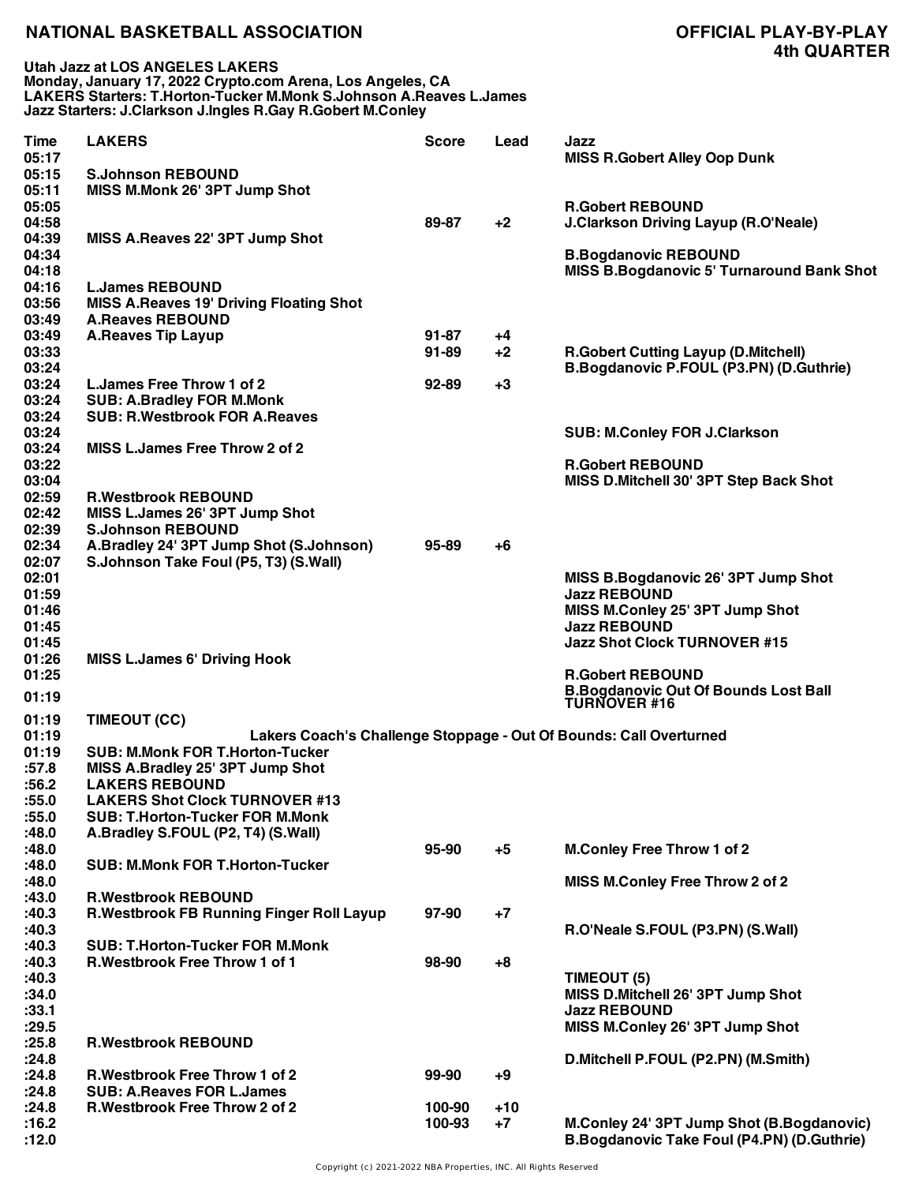**Utah Jazz at LOS ANGELES LAKERS Monday, January 17, 2022 Crypto.com Arena, Los Angeles, CA LAKERS Starters: T.Horton-Tucker M.Monk S.Johnson A.Reaves L.James Jazz Starters: J.Clarkson J.Ingles R.Gay R.Gobert M.Conley**

| Time  | <b>LAKERS</b>                                  | <b>Score</b> | Lead  | Jazz                                                               |
|-------|------------------------------------------------|--------------|-------|--------------------------------------------------------------------|
| 05:17 |                                                |              |       | <b>MISS R.Gobert Alley Oop Dunk</b>                                |
| 05:15 | <b>S.Johnson REBOUND</b>                       |              |       |                                                                    |
| 05:11 | MISS M.Monk 26' 3PT Jump Shot                  |              |       |                                                                    |
| 05:05 |                                                |              |       | <b>R.Gobert REBOUND</b>                                            |
| 04:58 |                                                | 89-87        | $+2$  | <b>J.Clarkson Driving Layup (R.O'Neale)</b>                        |
| 04:39 | MISS A.Reaves 22' 3PT Jump Shot                |              |       |                                                                    |
| 04:34 |                                                |              |       | <b>B.Bogdanovic REBOUND</b>                                        |
| 04:18 |                                                |              |       | <b>MISS B.Bogdanovic 5' Turnaround Bank Shot</b>                   |
| 04:16 | <b>L.James REBOUND</b>                         |              |       |                                                                    |
| 03:56 | <b>MISS A.Reaves 19' Driving Floating Shot</b> |              |       |                                                                    |
| 03:49 | <b>A.Reaves REBOUND</b>                        |              |       |                                                                    |
| 03:49 | <b>A.Reaves Tip Layup</b>                      | $91 - 87$    | +4    |                                                                    |
| 03:33 |                                                | $91 - 89$    | $+2$  | <b>R.Gobert Cutting Layup (D.Mitchell)</b>                         |
| 03:24 |                                                |              |       | B.Bogdanovic P.FOUL (P3.PN) (D.Guthrie)                            |
| 03:24 | L. James Free Throw 1 of 2                     | $92 - 89$    | $+3$  |                                                                    |
| 03:24 | <b>SUB: A.Bradley FOR M.Monk</b>               |              |       |                                                                    |
| 03:24 | <b>SUB: R.Westbrook FOR A.Reaves</b>           |              |       |                                                                    |
| 03:24 |                                                |              |       | <b>SUB: M.Conley FOR J.Clarkson</b>                                |
| 03:24 | MISS L.James Free Throw 2 of 2                 |              |       |                                                                    |
| 03:22 |                                                |              |       | <b>R.Gobert REBOUND</b>                                            |
| 03:04 |                                                |              |       |                                                                    |
|       |                                                |              |       | MISS D.Mitchell 30' 3PT Step Back Shot                             |
| 02:59 | <b>R.Westbrook REBOUND</b>                     |              |       |                                                                    |
| 02:42 | MISS L.James 26' 3PT Jump Shot                 |              |       |                                                                    |
| 02:39 | <b>S.Johnson REBOUND</b>                       |              |       |                                                                    |
| 02:34 | A.Bradley 24' 3PT Jump Shot (S.Johnson)        | 95-89        | $+6$  |                                                                    |
| 02:07 | S.Johnson Take Foul (P5, T3) (S.Wall)          |              |       |                                                                    |
| 02:01 |                                                |              |       | MISS B.Bogdanovic 26' 3PT Jump Shot                                |
| 01:59 |                                                |              |       | <b>Jazz REBOUND</b>                                                |
| 01:46 |                                                |              |       | MISS M.Conley 25' 3PT Jump Shot                                    |
| 01:45 |                                                |              |       | <b>Jazz REBOUND</b>                                                |
| 01:45 |                                                |              |       | <b>Jazz Shot Clock TURNOVER #15</b>                                |
| 01:26 | <b>MISS L.James 6' Driving Hook</b>            |              |       |                                                                    |
| 01:25 |                                                |              |       | <b>R.Gobert REBOUND</b>                                            |
| 01:19 |                                                |              |       | <b>B.Bogdanovic Out Of Bounds Lost Ball<br/>TURNOVER #16</b>       |
|       |                                                |              |       |                                                                    |
| 01:19 | TIMEOUT (CC)                                   |              |       |                                                                    |
| 01:19 |                                                |              |       | Lakers Coach's Challenge Stoppage - Out Of Bounds: Call Overturned |
| 01:19 | <b>SUB: M.Monk FOR T.Horton-Tucker</b>         |              |       |                                                                    |
| :57.8 | MISS A.Bradley 25' 3PT Jump Shot               |              |       |                                                                    |
| :56.2 | <b>LAKERS REBOUND</b>                          |              |       |                                                                    |
| :55.0 | <b>LAKERS Shot Clock TURNOVER #13</b>          |              |       |                                                                    |
| :55.0 | <b>SUB: T.Horton-Tucker FOR M.Monk</b>         |              |       |                                                                    |
| :48.0 | A.Bradley S.FOUL (P2, T4) (S.Wall)             |              |       |                                                                    |
| :48.0 |                                                | 95-90        | $+5$  | <b>M.Conley Free Throw 1 of 2</b>                                  |
| :48.0 | <b>SUB: M.Monk FOR T.Horton-Tucker</b>         |              |       |                                                                    |
| :48.0 |                                                |              |       | MISS M.Conley Free Throw 2 of 2                                    |
| :43.0 | <b>R.Westbrook REBOUND</b>                     |              |       |                                                                    |
| :40.3 | R. Westbrook FB Running Finger Roll Layup      | 97-90        | $+7$  |                                                                    |
| :40.3 |                                                |              |       | R.O'Neale S.FOUL (P3.PN) (S.Wall)                                  |
| :40.3 | <b>SUB: T.Horton-Tucker FOR M.Monk</b>         |              |       |                                                                    |
| :40.3 | <b>R.Westbrook Free Throw 1 of 1</b>           | 98-90        | $+8$  |                                                                    |
| :40.3 |                                                |              |       | TIMEOUT (5)                                                        |
| :34.0 |                                                |              |       | MISS D.Mitchell 26' 3PT Jump Shot                                  |
| :33.1 |                                                |              |       | <b>Jazz REBOUND</b>                                                |
| :29.5 |                                                |              |       | MISS M.Conley 26' 3PT Jump Shot                                    |
| :25.8 | <b>R.Westbrook REBOUND</b>                     |              |       |                                                                    |
| :24.8 |                                                |              |       | D.Mitchell P.FOUL (P2.PN) (M.Smith)                                |
| :24.8 | <b>R.Westbrook Free Throw 1 of 2</b>           | 99-90        | $+9$  |                                                                    |
| :24.8 | <b>SUB: A.Reaves FOR L.James</b>               |              |       |                                                                    |
| :24.8 | <b>R.Westbrook Free Throw 2 of 2</b>           | 100-90       | $+10$ |                                                                    |
| :16.2 |                                                | 100-93       | $+7$  | M.Conley 24' 3PT Jump Shot (B.Bogdanovic)                          |
| :12.0 |                                                |              |       | <b>B.Bogdanovic Take Foul (P4.PN) (D.Guthrie)</b>                  |
|       |                                                |              |       |                                                                    |